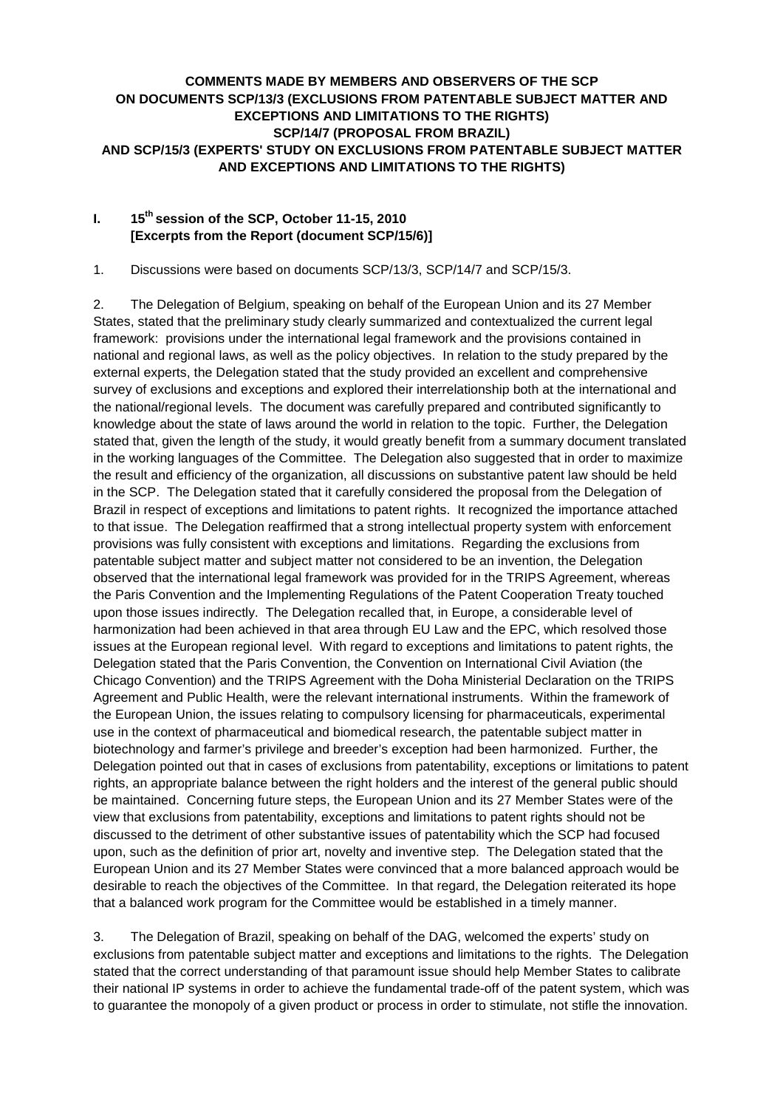## **COMMENTS MADE BY MEMBERS AND OBSERVERS OF THE SCP ON DOCUMENTS SCP/13/3 (EXCLUSIONS FROM PATENTABLE SUBJECT MATTER AND EXCEPTIONS AND LIMITATIONS TO THE RIGHTS) SCP/14/7 (PROPOSAL FROM BRAZIL) AND SCP/15/3 (EXPERTS' STUDY ON EXCLUSIONS FROM PATENTABLE SUBJECT MATTER AND EXCEPTIONS AND LIMITATIONS TO THE RIGHTS)**

## **I. 15th session of the SCP, October 11-15, 2010 [Excerpts from the Report (document SCP/15/6)]**

1. Discussions were based on documents SCP/13/3, SCP/14/7 and SCP/15/3.

2. The Delegation of Belgium, speaking on behalf of the European Union and its 27 Member States, stated that the preliminary study clearly summarized and contextualized the current legal framework: provisions under the international legal framework and the provisions contained in national and regional laws, as well as the policy objectives. In relation to the study prepared by the external experts, the Delegation stated that the study provided an excellent and comprehensive survey of exclusions and exceptions and explored their interrelationship both at the international and the national/regional levels. The document was carefully prepared and contributed significantly to knowledge about the state of laws around the world in relation to the topic. Further, the Delegation stated that, given the length of the study, it would greatly benefit from a summary document translated in the working languages of the Committee. The Delegation also suggested that in order to maximize the result and efficiency of the organization, all discussions on substantive patent law should be held in the SCP. The Delegation stated that it carefully considered the proposal from the Delegation of Brazil in respect of exceptions and limitations to patent rights. It recognized the importance attached to that issue. The Delegation reaffirmed that a strong intellectual property system with enforcement provisions was fully consistent with exceptions and limitations. Regarding the exclusions from patentable subject matter and subject matter not considered to be an invention, the Delegation observed that the international legal framework was provided for in the TRIPS Agreement, whereas the Paris Convention and the Implementing Regulations of the Patent Cooperation Treaty touched upon those issues indirectly. The Delegation recalled that, in Europe, a considerable level of harmonization had been achieved in that area through EU Law and the EPC, which resolved those issues at the European regional level. With regard to exceptions and limitations to patent rights, the Delegation stated that the Paris Convention, the Convention on International Civil Aviation (the Chicago Convention) and the TRIPS Agreement with the Doha Ministerial Declaration on the TRIPS Agreement and Public Health, were the relevant international instruments. Within the framework of the European Union, the issues relating to compulsory licensing for pharmaceuticals, experimental use in the context of pharmaceutical and biomedical research, the patentable subject matter in biotechnology and farmer's privilege and breeder's exception had been harmonized. Further, the Delegation pointed out that in cases of exclusions from patentability, exceptions or limitations to patent rights, an appropriate balance between the right holders and the interest of the general public should be maintained. Concerning future steps, the European Union and its 27 Member States were of the view that exclusions from patentability, exceptions and limitations to patent rights should not be discussed to the detriment of other substantive issues of patentability which the SCP had focused upon, such as the definition of prior art, novelty and inventive step. The Delegation stated that the European Union and its 27 Member States were convinced that a more balanced approach would be desirable to reach the objectives of the Committee. In that regard, the Delegation reiterated its hope that a balanced work program for the Committee would be established in a timely manner.

3. The Delegation of Brazil, speaking on behalf of the DAG, welcomed the experts' study on exclusions from patentable subject matter and exceptions and limitations to the rights. The Delegation stated that the correct understanding of that paramount issue should help Member States to calibrate their national IP systems in order to achieve the fundamental trade-off of the patent system, which was to guarantee the monopoly of a given product or process in order to stimulate, not stifle the innovation.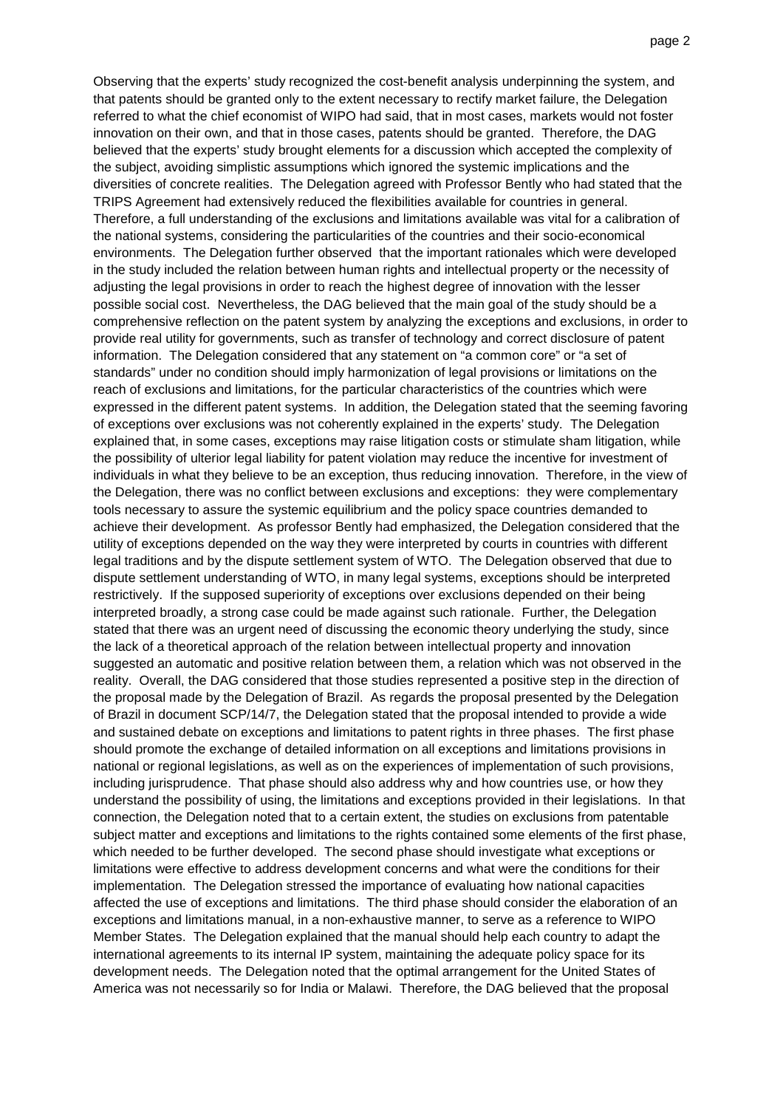Observing that the experts' study recognized the cost-benefit analysis underpinning the system, and that patents should be granted only to the extent necessary to rectify market failure, the Delegation referred to what the chief economist of WIPO had said, that in most cases, markets would not foster innovation on their own, and that in those cases, patents should be granted. Therefore, the DAG believed that the experts' study brought elements for a discussion which accepted the complexity of the subject, avoiding simplistic assumptions which ignored the systemic implications and the diversities of concrete realities. The Delegation agreed with Professor Bently who had stated that the TRIPS Agreement had extensively reduced the flexibilities available for countries in general. Therefore, a full understanding of the exclusions and limitations available was vital for a calibration of the national systems, considering the particularities of the countries and their socio-economical environments. The Delegation further observed that the important rationales which were developed in the study included the relation between human rights and intellectual property or the necessity of adjusting the legal provisions in order to reach the highest degree of innovation with the lesser possible social cost. Nevertheless, the DAG believed that the main goal of the study should be a comprehensive reflection on the patent system by analyzing the exceptions and exclusions, in order to provide real utility for governments, such as transfer of technology and correct disclosure of patent information. The Delegation considered that any statement on "a common core" or "a set of standards" under no condition should imply harmonization of legal provisions or limitations on the reach of exclusions and limitations, for the particular characteristics of the countries which were expressed in the different patent systems. In addition, the Delegation stated that the seeming favoring of exceptions over exclusions was not coherently explained in the experts' study. The Delegation explained that, in some cases, exceptions may raise litigation costs or stimulate sham litigation, while the possibility of ulterior legal liability for patent violation may reduce the incentive for investment of individuals in what they believe to be an exception, thus reducing innovation. Therefore, in the view of the Delegation, there was no conflict between exclusions and exceptions: they were complementary tools necessary to assure the systemic equilibrium and the policy space countries demanded to achieve their development. As professor Bently had emphasized, the Delegation considered that the utility of exceptions depended on the way they were interpreted by courts in countries with different legal traditions and by the dispute settlement system of WTO. The Delegation observed that due to dispute settlement understanding of WTO, in many legal systems, exceptions should be interpreted restrictively. If the supposed superiority of exceptions over exclusions depended on their being interpreted broadly, a strong case could be made against such rationale. Further, the Delegation stated that there was an urgent need of discussing the economic theory underlying the study, since the lack of a theoretical approach of the relation between intellectual property and innovation suggested an automatic and positive relation between them, a relation which was not observed in the reality. Overall, the DAG considered that those studies represented a positive step in the direction of the proposal made by the Delegation of Brazil. As regards the proposal presented by the Delegation of Brazil in document SCP/14/7, the Delegation stated that the proposal intended to provide a wide and sustained debate on exceptions and limitations to patent rights in three phases. The first phase should promote the exchange of detailed information on all exceptions and limitations provisions in national or regional legislations, as well as on the experiences of implementation of such provisions, including jurisprudence. That phase should also address why and how countries use, or how they understand the possibility of using, the limitations and exceptions provided in their legislations. In that connection, the Delegation noted that to a certain extent, the studies on exclusions from patentable subject matter and exceptions and limitations to the rights contained some elements of the first phase, which needed to be further developed. The second phase should investigate what exceptions or limitations were effective to address development concerns and what were the conditions for their implementation. The Delegation stressed the importance of evaluating how national capacities affected the use of exceptions and limitations. The third phase should consider the elaboration of an exceptions and limitations manual, in a non-exhaustive manner, to serve as a reference to WIPO Member States. The Delegation explained that the manual should help each country to adapt the international agreements to its internal IP system, maintaining the adequate policy space for its development needs. The Delegation noted that the optimal arrangement for the United States of America was not necessarily so for India or Malawi. Therefore, the DAG believed that the proposal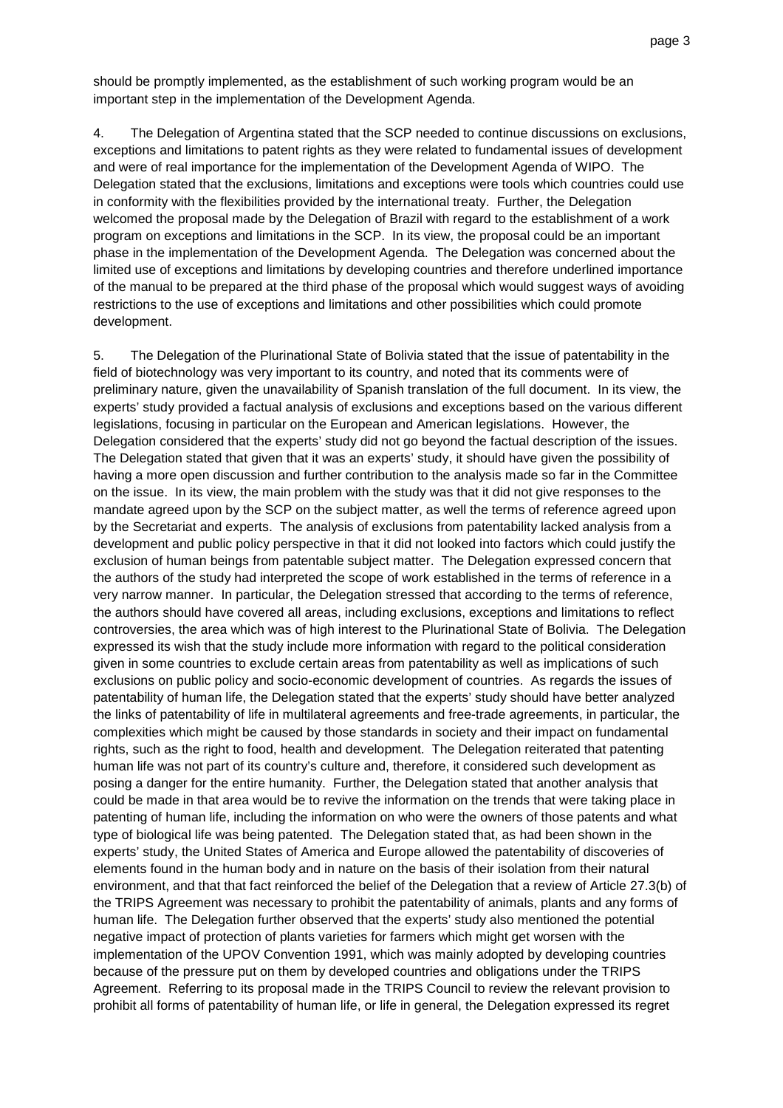should be promptly implemented, as the establishment of such working program would be an important step in the implementation of the Development Agenda.

4. The Delegation of Argentina stated that the SCP needed to continue discussions on exclusions, exceptions and limitations to patent rights as they were related to fundamental issues of development and were of real importance for the implementation of the Development Agenda of WIPO. The Delegation stated that the exclusions, limitations and exceptions were tools which countries could use in conformity with the flexibilities provided by the international treaty. Further, the Delegation welcomed the proposal made by the Delegation of Brazil with regard to the establishment of a work program on exceptions and limitations in the SCP. In its view, the proposal could be an important phase in the implementation of the Development Agenda. The Delegation was concerned about the limited use of exceptions and limitations by developing countries and therefore underlined importance of the manual to be prepared at the third phase of the proposal which would suggest ways of avoiding restrictions to the use of exceptions and limitations and other possibilities which could promote development.

5. The Delegation of the Plurinational State of Bolivia stated that the issue of patentability in the field of biotechnology was very important to its country, and noted that its comments were of preliminary nature, given the unavailability of Spanish translation of the full document. In its view, the experts' study provided a factual analysis of exclusions and exceptions based on the various different legislations, focusing in particular on the European and American legislations. However, the Delegation considered that the experts' study did not go beyond the factual description of the issues. The Delegation stated that given that it was an experts' study, it should have given the possibility of having a more open discussion and further contribution to the analysis made so far in the Committee on the issue. In its view, the main problem with the study was that it did not give responses to the mandate agreed upon by the SCP on the subject matter, as well the terms of reference agreed upon by the Secretariat and experts. The analysis of exclusions from patentability lacked analysis from a development and public policy perspective in that it did not looked into factors which could justify the exclusion of human beings from patentable subject matter. The Delegation expressed concern that the authors of the study had interpreted the scope of work established in the terms of reference in a very narrow manner. In particular, the Delegation stressed that according to the terms of reference, the authors should have covered all areas, including exclusions, exceptions and limitations to reflect controversies, the area which was of high interest to the Plurinational State of Bolivia. The Delegation expressed its wish that the study include more information with regard to the political consideration given in some countries to exclude certain areas from patentability as well as implications of such exclusions on public policy and socio-economic development of countries. As regards the issues of patentability of human life, the Delegation stated that the experts' study should have better analyzed the links of patentability of life in multilateral agreements and free-trade agreements, in particular, the complexities which might be caused by those standards in society and their impact on fundamental rights, such as the right to food, health and development. The Delegation reiterated that patenting human life was not part of its country's culture and, therefore, it considered such development as posing a danger for the entire humanity. Further, the Delegation stated that another analysis that could be made in that area would be to revive the information on the trends that were taking place in patenting of human life, including the information on who were the owners of those patents and what type of biological life was being patented. The Delegation stated that, as had been shown in the experts' study, the United States of America and Europe allowed the patentability of discoveries of elements found in the human body and in nature on the basis of their isolation from their natural environment, and that that fact reinforced the belief of the Delegation that a review of Article 27.3(b) of the TRIPS Agreement was necessary to prohibit the patentability of animals, plants and any forms of human life. The Delegation further observed that the experts' study also mentioned the potential negative impact of protection of plants varieties for farmers which might get worsen with the implementation of the UPOV Convention 1991, which was mainly adopted by developing countries because of the pressure put on them by developed countries and obligations under the TRIPS Agreement. Referring to its proposal made in the TRIPS Council to review the relevant provision to prohibit all forms of patentability of human life, or life in general, the Delegation expressed its regret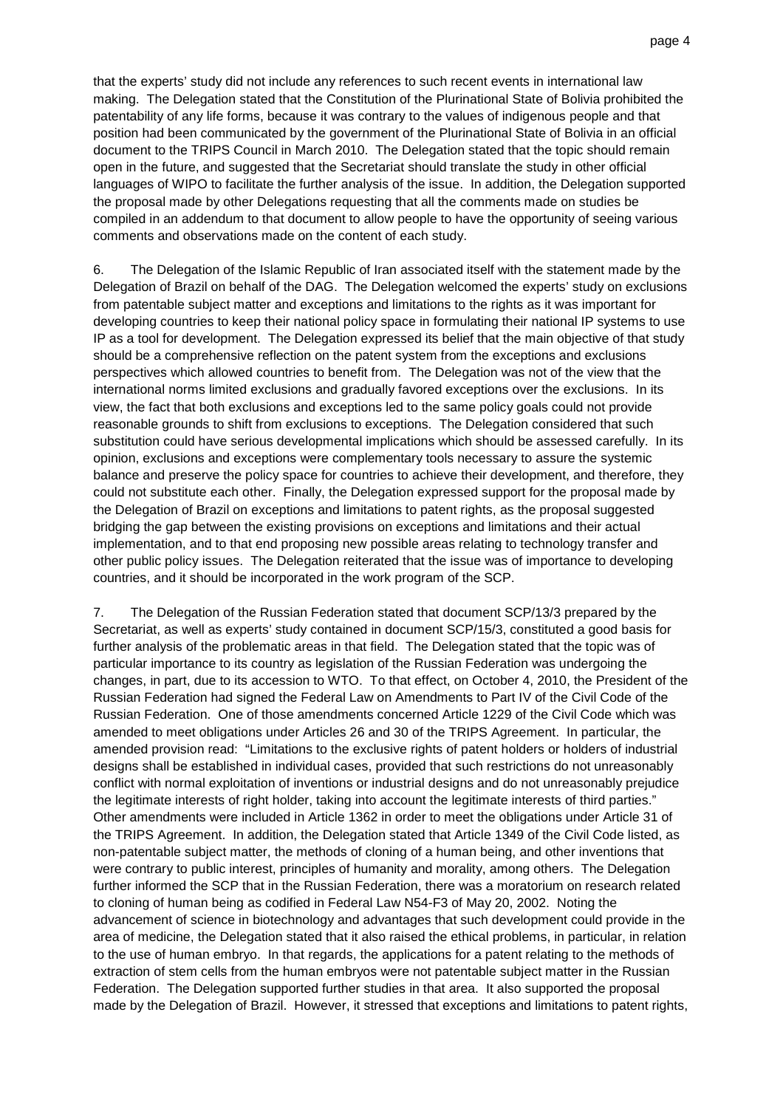that the experts' study did not include any references to such recent events in international law making. The Delegation stated that the Constitution of the Plurinational State of Bolivia prohibited the patentability of any life forms, because it was contrary to the values of indigenous people and that position had been communicated by the government of the Plurinational State of Bolivia in an official document to the TRIPS Council in March 2010. The Delegation stated that the topic should remain open in the future, and suggested that the Secretariat should translate the study in other official languages of WIPO to facilitate the further analysis of the issue. In addition, the Delegation supported the proposal made by other Delegations requesting that all the comments made on studies be compiled in an addendum to that document to allow people to have the opportunity of seeing various comments and observations made on the content of each study.

6. The Delegation of the Islamic Republic of Iran associated itself with the statement made by the Delegation of Brazil on behalf of the DAG. The Delegation welcomed the experts' study on exclusions from patentable subject matter and exceptions and limitations to the rights as it was important for developing countries to keep their national policy space in formulating their national IP systems to use IP as a tool for development. The Delegation expressed its belief that the main objective of that study should be a comprehensive reflection on the patent system from the exceptions and exclusions perspectives which allowed countries to benefit from. The Delegation was not of the view that the international norms limited exclusions and gradually favored exceptions over the exclusions. In its view, the fact that both exclusions and exceptions led to the same policy goals could not provide reasonable grounds to shift from exclusions to exceptions. The Delegation considered that such substitution could have serious developmental implications which should be assessed carefully. In its opinion, exclusions and exceptions were complementary tools necessary to assure the systemic balance and preserve the policy space for countries to achieve their development, and therefore, they could not substitute each other. Finally, the Delegation expressed support for the proposal made by the Delegation of Brazil on exceptions and limitations to patent rights, as the proposal suggested bridging the gap between the existing provisions on exceptions and limitations and their actual implementation, and to that end proposing new possible areas relating to technology transfer and other public policy issues. The Delegation reiterated that the issue was of importance to developing countries, and it should be incorporated in the work program of the SCP.

7. The Delegation of the Russian Federation stated that document SCP/13/3 prepared by the Secretariat, as well as experts' study contained in document SCP/15/3, constituted a good basis for further analysis of the problematic areas in that field. The Delegation stated that the topic was of particular importance to its country as legislation of the Russian Federation was undergoing the changes, in part, due to its accession to WTO. To that effect, on October 4, 2010, the President of the Russian Federation had signed the Federal Law on Amendments to Part IV of the Civil Code of the Russian Federation. One of those amendments concerned Article 1229 of the Civil Code which was amended to meet obligations under Articles 26 and 30 of the TRIPS Agreement. In particular, the amended provision read: "Limitations to the exclusive rights of patent holders or holders of industrial designs shall be established in individual cases, provided that such restrictions do not unreasonably conflict with normal exploitation of inventions or industrial designs and do not unreasonably prejudice the legitimate interests of right holder, taking into account the legitimate interests of third parties." Other amendments were included in Article 1362 in order to meet the obligations under Article 31 of the TRIPS Agreement. In addition, the Delegation stated that Article 1349 of the Civil Code listed, as non-patentable subject matter, the methods of cloning of a human being, and other inventions that were contrary to public interest, principles of humanity and morality, among others. The Delegation further informed the SCP that in the Russian Federation, there was a moratorium on research related to cloning of human being as codified in Federal Law N54-F3 of May 20, 2002. Noting the advancement of science in biotechnology and advantages that such development could provide in the area of medicine, the Delegation stated that it also raised the ethical problems, in particular, in relation to the use of human embryo. In that regards, the applications for a patent relating to the methods of extraction of stem cells from the human embryos were not patentable subject matter in the Russian Federation. The Delegation supported further studies in that area. It also supported the proposal made by the Delegation of Brazil. However, it stressed that exceptions and limitations to patent rights,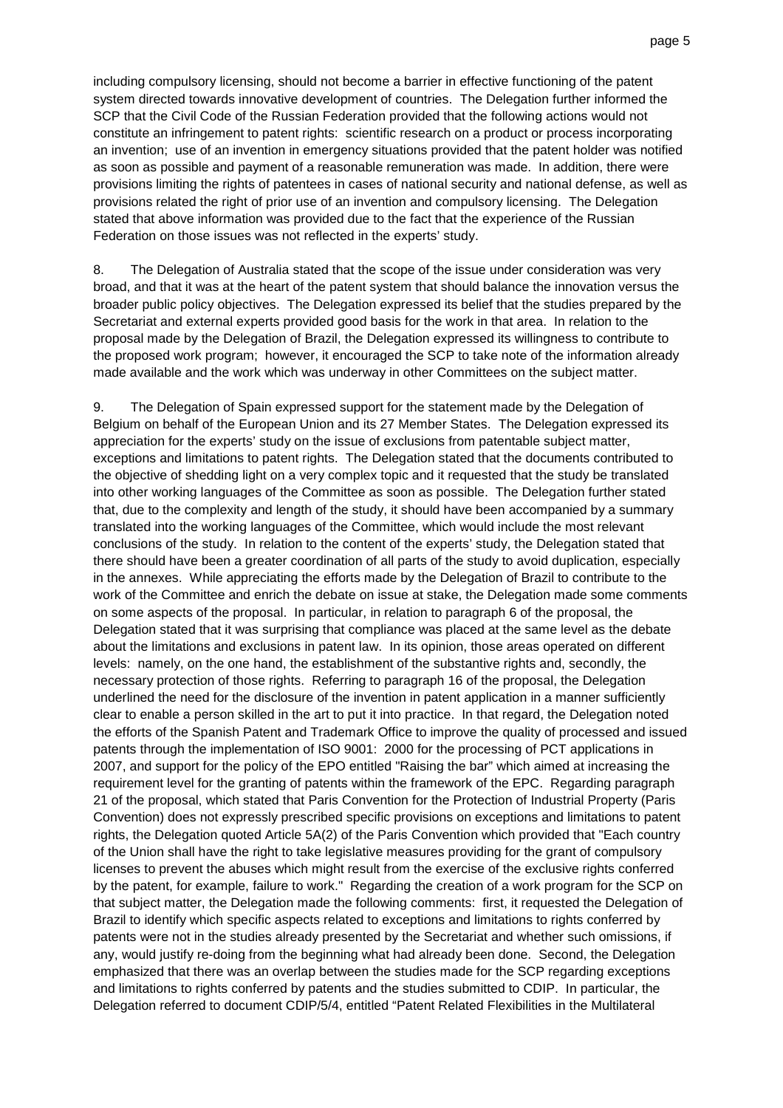including compulsory licensing, should not become a barrier in effective functioning of the patent system directed towards innovative development of countries. The Delegation further informed the SCP that the Civil Code of the Russian Federation provided that the following actions would not constitute an infringement to patent rights: scientific research on a product or process incorporating an invention; use of an invention in emergency situations provided that the patent holder was notified as soon as possible and payment of a reasonable remuneration was made. In addition, there were provisions limiting the rights of patentees in cases of national security and national defense, as well as provisions related the right of prior use of an invention and compulsory licensing. The Delegation stated that above information was provided due to the fact that the experience of the Russian Federation on those issues was not reflected in the experts' study.

8. The Delegation of Australia stated that the scope of the issue under consideration was very broad, and that it was at the heart of the patent system that should balance the innovation versus the broader public policy objectives. The Delegation expressed its belief that the studies prepared by the Secretariat and external experts provided good basis for the work in that area. In relation to the proposal made by the Delegation of Brazil, the Delegation expressed its willingness to contribute to the proposed work program; however, it encouraged the SCP to take note of the information already made available and the work which was underway in other Committees on the subject matter.

9. The Delegation of Spain expressed support for the statement made by the Delegation of Belgium on behalf of the European Union and its 27 Member States. The Delegation expressed its appreciation for the experts' study on the issue of exclusions from patentable subject matter, exceptions and limitations to patent rights. The Delegation stated that the documents contributed to the objective of shedding light on a very complex topic and it requested that the study be translated into other working languages of the Committee as soon as possible. The Delegation further stated that, due to the complexity and length of the study, it should have been accompanied by a summary translated into the working languages of the Committee, which would include the most relevant conclusions of the study. In relation to the content of the experts' study, the Delegation stated that there should have been a greater coordination of all parts of the study to avoid duplication, especially in the annexes. While appreciating the efforts made by the Delegation of Brazil to contribute to the work of the Committee and enrich the debate on issue at stake, the Delegation made some comments on some aspects of the proposal. In particular, in relation to paragraph 6 of the proposal, the Delegation stated that it was surprising that compliance was placed at the same level as the debate about the limitations and exclusions in patent law. In its opinion, those areas operated on different levels: namely, on the one hand, the establishment of the substantive rights and, secondly, the necessary protection of those rights. Referring to paragraph 16 of the proposal, the Delegation underlined the need for the disclosure of the invention in patent application in a manner sufficiently clear to enable a person skilled in the art to put it into practice. In that regard, the Delegation noted the efforts of the Spanish Patent and Trademark Office to improve the quality of processed and issued patents through the implementation of ISO 9001: 2000 for the processing of PCT applications in 2007, and support for the policy of the EPO entitled "Raising the bar" which aimed at increasing the requirement level for the granting of patents within the framework of the EPC. Regarding paragraph 21 of the proposal, which stated that Paris Convention for the Protection of Industrial Property (Paris Convention) does not expressly prescribed specific provisions on exceptions and limitations to patent rights, the Delegation quoted Article 5A(2) of the Paris Convention which provided that "Each country of the Union shall have the right to take legislative measures providing for the grant of compulsory licenses to prevent the abuses which might result from the exercise of the exclusive rights conferred by the patent, for example, failure to work." Regarding the creation of a work program for the SCP on that subject matter, the Delegation made the following comments: first, it requested the Delegation of Brazil to identify which specific aspects related to exceptions and limitations to rights conferred by patents were not in the studies already presented by the Secretariat and whether such omissions, if any, would justify re-doing from the beginning what had already been done. Second, the Delegation emphasized that there was an overlap between the studies made for the SCP regarding exceptions and limitations to rights conferred by patents and the studies submitted to CDIP. In particular, the Delegation referred to document CDIP/5/4, entitled "Patent Related Flexibilities in the Multilateral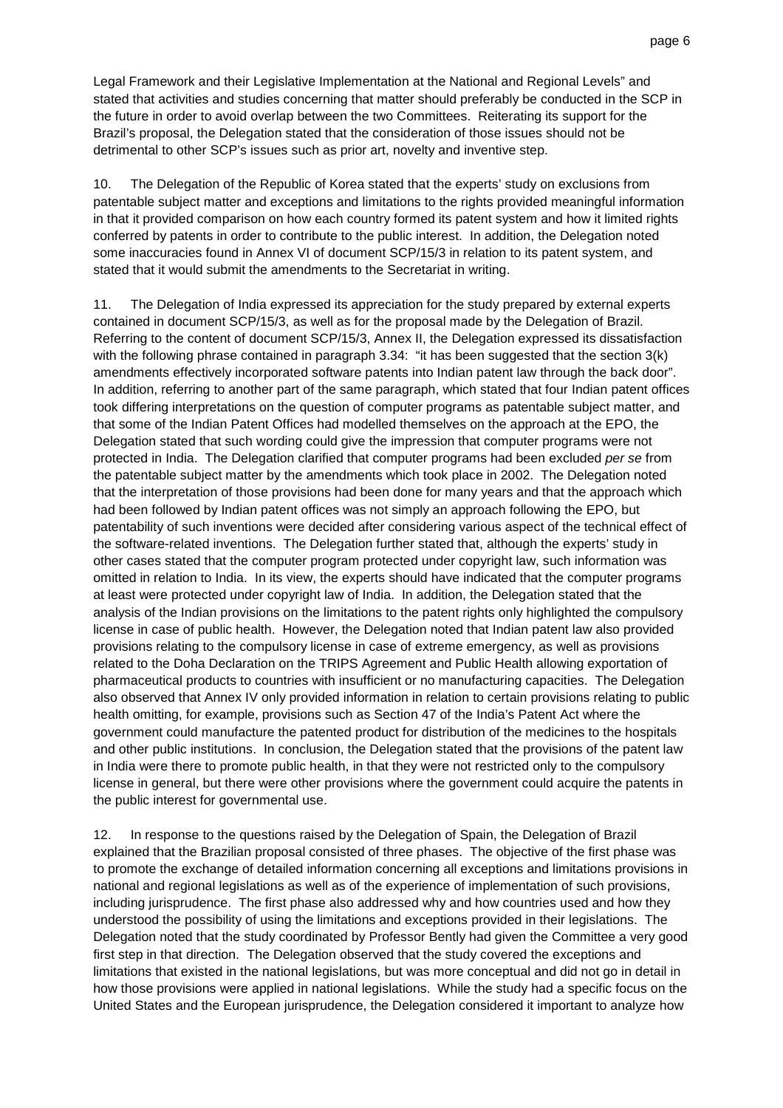Legal Framework and their Legislative Implementation at the National and Regional Levels" and stated that activities and studies concerning that matter should preferably be conducted in the SCP in the future in order to avoid overlap between the two Committees. Reiterating its support for the Brazil's proposal, the Delegation stated that the consideration of those issues should not be detrimental to other SCP's issues such as prior art, novelty and inventive step.

10. The Delegation of the Republic of Korea stated that the experts' study on exclusions from patentable subject matter and exceptions and limitations to the rights provided meaningful information in that it provided comparison on how each country formed its patent system and how it limited rights conferred by patents in order to contribute to the public interest. In addition, the Delegation noted some inaccuracies found in Annex VI of document SCP/15/3 in relation to its patent system, and stated that it would submit the amendments to the Secretariat in writing.

11. The Delegation of India expressed its appreciation for the study prepared by external experts contained in document SCP/15/3, as well as for the proposal made by the Delegation of Brazil. Referring to the content of document SCP/15/3, Annex II, the Delegation expressed its dissatisfaction with the following phrase contained in paragraph 3.34: "it has been suggested that the section 3(k) amendments effectively incorporated software patents into Indian patent law through the back door". In addition, referring to another part of the same paragraph, which stated that four Indian patent offices took differing interpretations on the question of computer programs as patentable subject matter, and that some of the Indian Patent Offices had modelled themselves on the approach at the EPO, the Delegation stated that such wording could give the impression that computer programs were not protected in India. The Delegation clarified that computer programs had been excluded per se from the patentable subject matter by the amendments which took place in 2002. The Delegation noted that the interpretation of those provisions had been done for many years and that the approach which had been followed by Indian patent offices was not simply an approach following the EPO, but patentability of such inventions were decided after considering various aspect of the technical effect of the software-related inventions. The Delegation further stated that, although the experts' study in other cases stated that the computer program protected under copyright law, such information was omitted in relation to India. In its view, the experts should have indicated that the computer programs at least were protected under copyright law of India. In addition, the Delegation stated that the analysis of the Indian provisions on the limitations to the patent rights only highlighted the compulsory license in case of public health. However, the Delegation noted that Indian patent law also provided provisions relating to the compulsory license in case of extreme emergency, as well as provisions related to the Doha Declaration on the TRIPS Agreement and Public Health allowing exportation of pharmaceutical products to countries with insufficient or no manufacturing capacities. The Delegation also observed that Annex IV only provided information in relation to certain provisions relating to public health omitting, for example, provisions such as Section 47 of the India's Patent Act where the government could manufacture the patented product for distribution of the medicines to the hospitals and other public institutions. In conclusion, the Delegation stated that the provisions of the patent law in India were there to promote public health, in that they were not restricted only to the compulsory license in general, but there were other provisions where the government could acquire the patents in the public interest for governmental use.

12. In response to the questions raised by the Delegation of Spain, the Delegation of Brazil explained that the Brazilian proposal consisted of three phases. The objective of the first phase was to promote the exchange of detailed information concerning all exceptions and limitations provisions in national and regional legislations as well as of the experience of implementation of such provisions, including jurisprudence. The first phase also addressed why and how countries used and how they understood the possibility of using the limitations and exceptions provided in their legislations. The Delegation noted that the study coordinated by Professor Bently had given the Committee a very good first step in that direction. The Delegation observed that the study covered the exceptions and limitations that existed in the national legislations, but was more conceptual and did not go in detail in how those provisions were applied in national legislations. While the study had a specific focus on the United States and the European jurisprudence, the Delegation considered it important to analyze how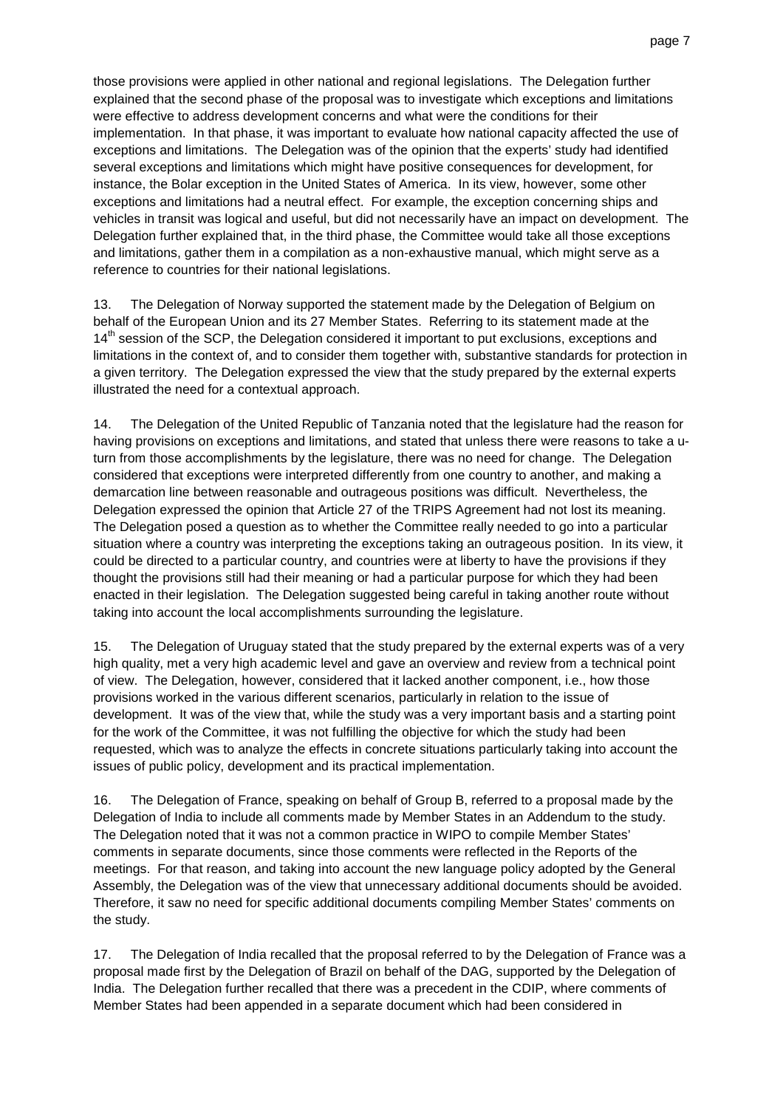those provisions were applied in other national and regional legislations. The Delegation further explained that the second phase of the proposal was to investigate which exceptions and limitations were effective to address development concerns and what were the conditions for their implementation. In that phase, it was important to evaluate how national capacity affected the use of exceptions and limitations. The Delegation was of the opinion that the experts' study had identified several exceptions and limitations which might have positive consequences for development, for instance, the Bolar exception in the United States of America. In its view, however, some other exceptions and limitations had a neutral effect. For example, the exception concerning ships and vehicles in transit was logical and useful, but did not necessarily have an impact on development. The Delegation further explained that, in the third phase, the Committee would take all those exceptions and limitations, gather them in a compilation as a non-exhaustive manual, which might serve as a reference to countries for their national legislations.

13. The Delegation of Norway supported the statement made by the Delegation of Belgium on behalf of the European Union and its 27 Member States. Referring to its statement made at the 14<sup>th</sup> session of the SCP, the Delegation considered it important to put exclusions, exceptions and limitations in the context of, and to consider them together with, substantive standards for protection in a given territory. The Delegation expressed the view that the study prepared by the external experts illustrated the need for a contextual approach.

14. The Delegation of the United Republic of Tanzania noted that the legislature had the reason for having provisions on exceptions and limitations, and stated that unless there were reasons to take a uturn from those accomplishments by the legislature, there was no need for change. The Delegation considered that exceptions were interpreted differently from one country to another, and making a demarcation line between reasonable and outrageous positions was difficult. Nevertheless, the Delegation expressed the opinion that Article 27 of the TRIPS Agreement had not lost its meaning. The Delegation posed a question as to whether the Committee really needed to go into a particular situation where a country was interpreting the exceptions taking an outrageous position. In its view, it could be directed to a particular country, and countries were at liberty to have the provisions if they thought the provisions still had their meaning or had a particular purpose for which they had been enacted in their legislation. The Delegation suggested being careful in taking another route without taking into account the local accomplishments surrounding the legislature.

15. The Delegation of Uruguay stated that the study prepared by the external experts was of a very high quality, met a very high academic level and gave an overview and review from a technical point of view. The Delegation, however, considered that it lacked another component, i.e., how those provisions worked in the various different scenarios, particularly in relation to the issue of development. It was of the view that, while the study was a very important basis and a starting point for the work of the Committee, it was not fulfilling the objective for which the study had been requested, which was to analyze the effects in concrete situations particularly taking into account the issues of public policy, development and its practical implementation.

16. The Delegation of France, speaking on behalf of Group B, referred to a proposal made by the Delegation of India to include all comments made by Member States in an Addendum to the study. The Delegation noted that it was not a common practice in WIPO to compile Member States' comments in separate documents, since those comments were reflected in the Reports of the meetings. For that reason, and taking into account the new language policy adopted by the General Assembly, the Delegation was of the view that unnecessary additional documents should be avoided. Therefore, it saw no need for specific additional documents compiling Member States' comments on the study.

17. The Delegation of India recalled that the proposal referred to by the Delegation of France was a proposal made first by the Delegation of Brazil on behalf of the DAG, supported by the Delegation of India. The Delegation further recalled that there was a precedent in the CDIP, where comments of Member States had been appended in a separate document which had been considered in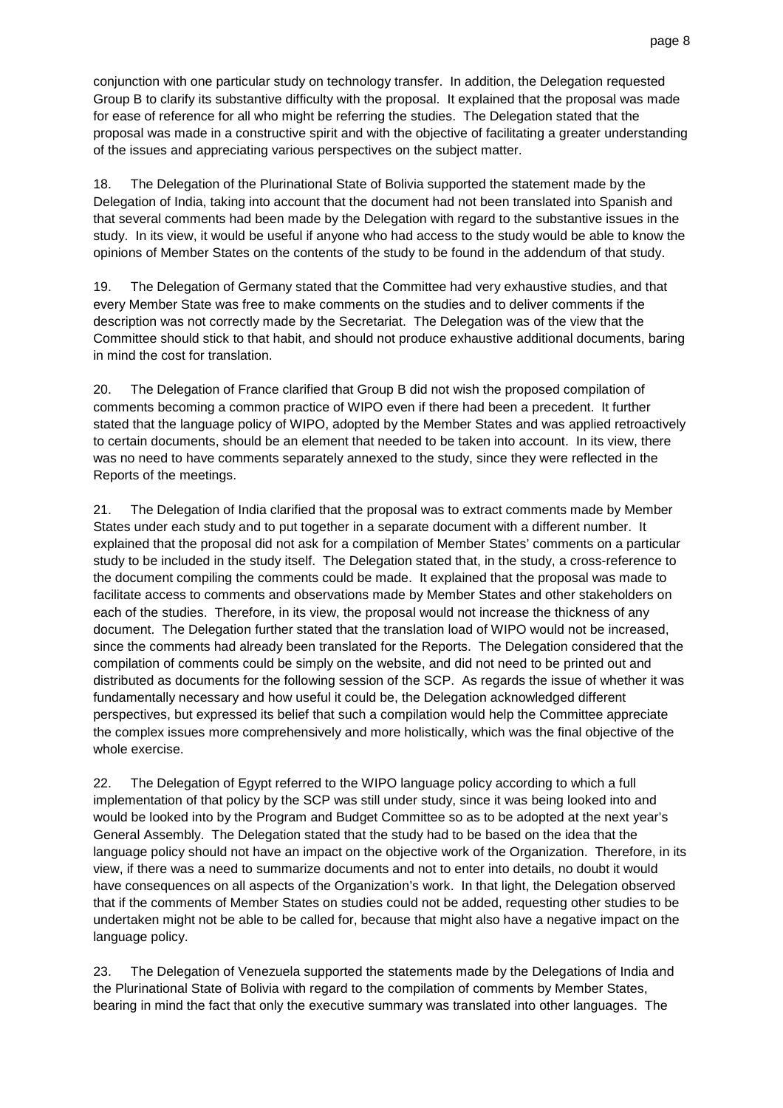conjunction with one particular study on technology transfer. In addition, the Delegation requested Group B to clarify its substantive difficulty with the proposal. It explained that the proposal was made for ease of reference for all who might be referring the studies. The Delegation stated that the proposal was made in a constructive spirit and with the objective of facilitating a greater understanding of the issues and appreciating various perspectives on the subject matter.

18. The Delegation of the Plurinational State of Bolivia supported the statement made by the Delegation of India, taking into account that the document had not been translated into Spanish and that several comments had been made by the Delegation with regard to the substantive issues in the study. In its view, it would be useful if anyone who had access to the study would be able to know the opinions of Member States on the contents of the study to be found in the addendum of that study.

19. The Delegation of Germany stated that the Committee had very exhaustive studies, and that every Member State was free to make comments on the studies and to deliver comments if the description was not correctly made by the Secretariat. The Delegation was of the view that the Committee should stick to that habit, and should not produce exhaustive additional documents, baring in mind the cost for translation.

20. The Delegation of France clarified that Group B did not wish the proposed compilation of comments becoming a common practice of WIPO even if there had been a precedent. It further stated that the language policy of WIPO, adopted by the Member States and was applied retroactively to certain documents, should be an element that needed to be taken into account. In its view, there was no need to have comments separately annexed to the study, since they were reflected in the Reports of the meetings.

21. The Delegation of India clarified that the proposal was to extract comments made by Member States under each study and to put together in a separate document with a different number. It explained that the proposal did not ask for a compilation of Member States' comments on a particular study to be included in the study itself. The Delegation stated that, in the study, a cross-reference to the document compiling the comments could be made. It explained that the proposal was made to facilitate access to comments and observations made by Member States and other stakeholders on each of the studies. Therefore, in its view, the proposal would not increase the thickness of any document. The Delegation further stated that the translation load of WIPO would not be increased, since the comments had already been translated for the Reports. The Delegation considered that the compilation of comments could be simply on the website, and did not need to be printed out and distributed as documents for the following session of the SCP. As regards the issue of whether it was fundamentally necessary and how useful it could be, the Delegation acknowledged different perspectives, but expressed its belief that such a compilation would help the Committee appreciate the complex issues more comprehensively and more holistically, which was the final objective of the whole exercise.

22. The Delegation of Egypt referred to the WIPO language policy according to which a full implementation of that policy by the SCP was still under study, since it was being looked into and would be looked into by the Program and Budget Committee so as to be adopted at the next year's General Assembly. The Delegation stated that the study had to be based on the idea that the language policy should not have an impact on the objective work of the Organization. Therefore, in its view, if there was a need to summarize documents and not to enter into details, no doubt it would have consequences on all aspects of the Organization's work. In that light, the Delegation observed that if the comments of Member States on studies could not be added, requesting other studies to be undertaken might not be able to be called for, because that might also have a negative impact on the language policy.

23. The Delegation of Venezuela supported the statements made by the Delegations of India and the Plurinational State of Bolivia with regard to the compilation of comments by Member States, bearing in mind the fact that only the executive summary was translated into other languages. The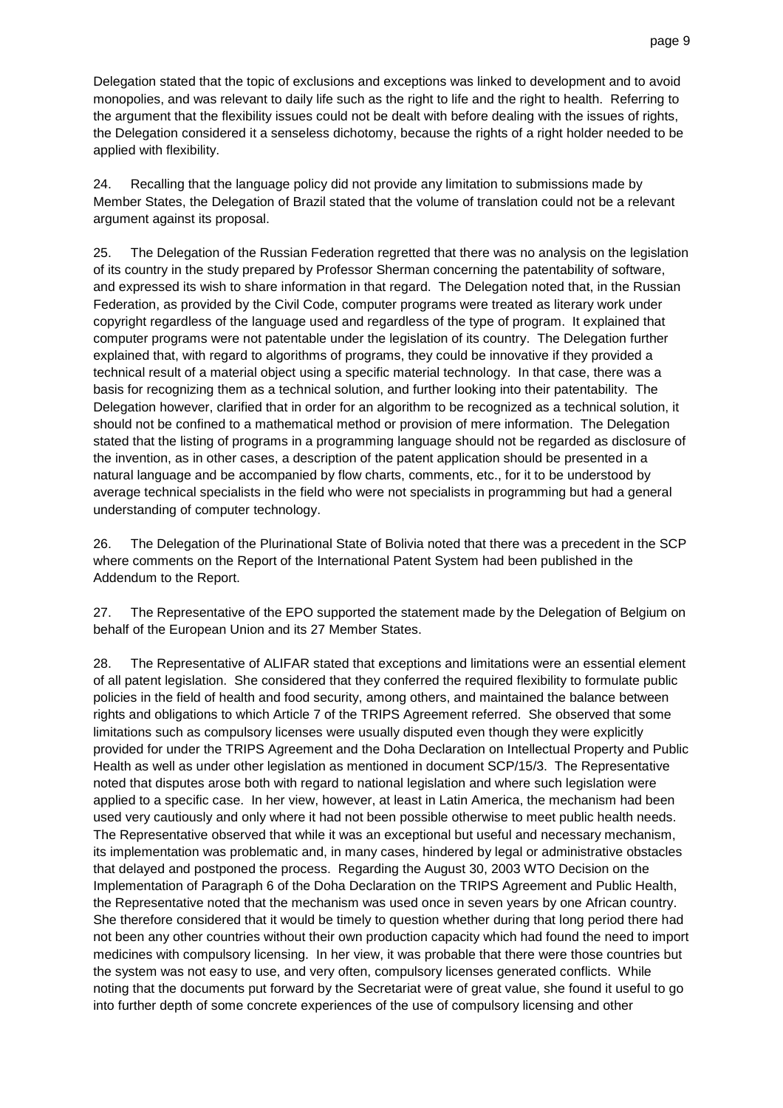Delegation stated that the topic of exclusions and exceptions was linked to development and to avoid monopolies, and was relevant to daily life such as the right to life and the right to health. Referring to the argument that the flexibility issues could not be dealt with before dealing with the issues of rights, the Delegation considered it a senseless dichotomy, because the rights of a right holder needed to be applied with flexibility.

24. Recalling that the language policy did not provide any limitation to submissions made by Member States, the Delegation of Brazil stated that the volume of translation could not be a relevant argument against its proposal.

25. The Delegation of the Russian Federation regretted that there was no analysis on the legislation of its country in the study prepared by Professor Sherman concerning the patentability of software, and expressed its wish to share information in that regard. The Delegation noted that, in the Russian Federation, as provided by the Civil Code, computer programs were treated as literary work under copyright regardless of the language used and regardless of the type of program. It explained that computer programs were not patentable under the legislation of its country. The Delegation further explained that, with regard to algorithms of programs, they could be innovative if they provided a technical result of a material object using a specific material technology. In that case, there was a basis for recognizing them as a technical solution, and further looking into their patentability. The Delegation however, clarified that in order for an algorithm to be recognized as a technical solution, it should not be confined to a mathematical method or provision of mere information. The Delegation stated that the listing of programs in a programming language should not be regarded as disclosure of the invention, as in other cases, a description of the patent application should be presented in a natural language and be accompanied by flow charts, comments, etc., for it to be understood by average technical specialists in the field who were not specialists in programming but had a general understanding of computer technology.

26. The Delegation of the Plurinational State of Bolivia noted that there was a precedent in the SCP where comments on the Report of the International Patent System had been published in the Addendum to the Report.

27. The Representative of the EPO supported the statement made by the Delegation of Belgium on behalf of the European Union and its 27 Member States.

28. The Representative of ALIFAR stated that exceptions and limitations were an essential element of all patent legislation. She considered that they conferred the required flexibility to formulate public policies in the field of health and food security, among others, and maintained the balance between rights and obligations to which Article 7 of the TRIPS Agreement referred. She observed that some limitations such as compulsory licenses were usually disputed even though they were explicitly provided for under the TRIPS Agreement and the Doha Declaration on Intellectual Property and Public Health as well as under other legislation as mentioned in document SCP/15/3. The Representative noted that disputes arose both with regard to national legislation and where such legislation were applied to a specific case. In her view, however, at least in Latin America, the mechanism had been used very cautiously and only where it had not been possible otherwise to meet public health needs. The Representative observed that while it was an exceptional but useful and necessary mechanism, its implementation was problematic and, in many cases, hindered by legal or administrative obstacles that delayed and postponed the process. Regarding the August 30, 2003 WTO Decision on the Implementation of Paragraph 6 of the Doha Declaration on the TRIPS Agreement and Public Health, the Representative noted that the mechanism was used once in seven years by one African country. She therefore considered that it would be timely to question whether during that long period there had not been any other countries without their own production capacity which had found the need to import medicines with compulsory licensing. In her view, it was probable that there were those countries but the system was not easy to use, and very often, compulsory licenses generated conflicts. While noting that the documents put forward by the Secretariat were of great value, she found it useful to go into further depth of some concrete experiences of the use of compulsory licensing and other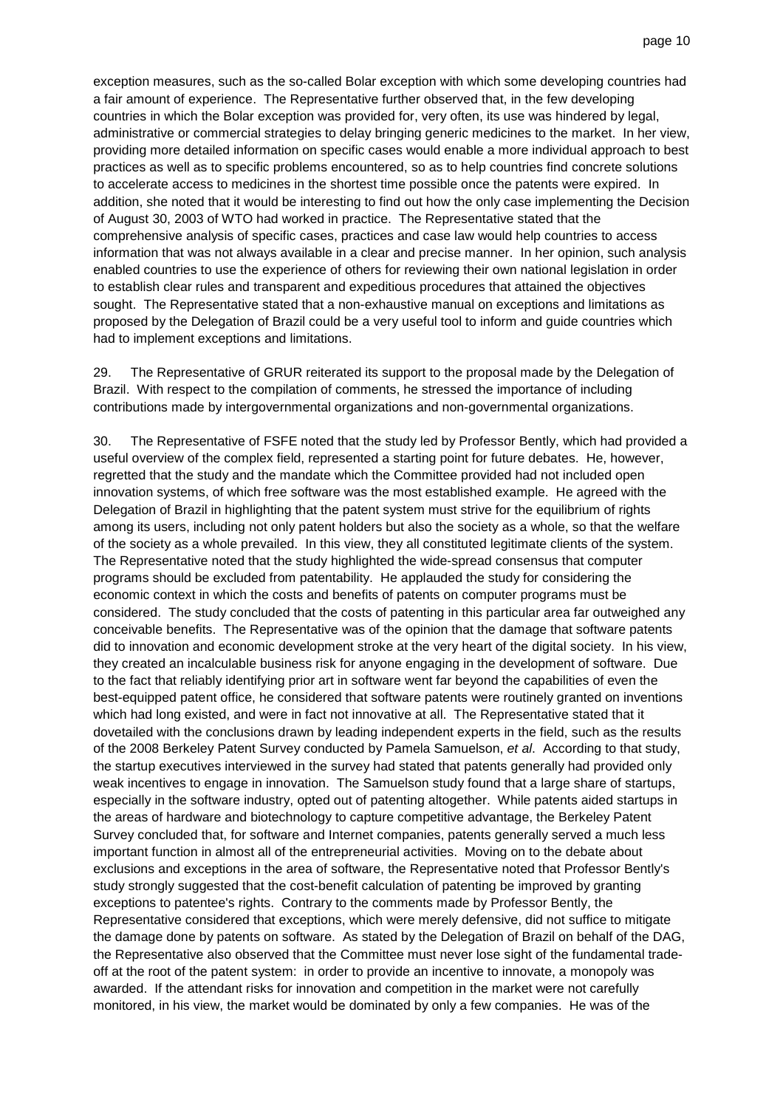exception measures, such as the so-called Bolar exception with which some developing countries had a fair amount of experience. The Representative further observed that, in the few developing countries in which the Bolar exception was provided for, very often, its use was hindered by legal, administrative or commercial strategies to delay bringing generic medicines to the market. In her view, providing more detailed information on specific cases would enable a more individual approach to best practices as well as to specific problems encountered, so as to help countries find concrete solutions to accelerate access to medicines in the shortest time possible once the patents were expired. In addition, she noted that it would be interesting to find out how the only case implementing the Decision of August 30, 2003 of WTO had worked in practice. The Representative stated that the comprehensive analysis of specific cases, practices and case law would help countries to access information that was not always available in a clear and precise manner. In her opinion, such analysis enabled countries to use the experience of others for reviewing their own national legislation in order to establish clear rules and transparent and expeditious procedures that attained the objectives sought. The Representative stated that a non-exhaustive manual on exceptions and limitations as proposed by the Delegation of Brazil could be a very useful tool to inform and guide countries which had to implement exceptions and limitations.

29. The Representative of GRUR reiterated its support to the proposal made by the Delegation of Brazil. With respect to the compilation of comments, he stressed the importance of including contributions made by intergovernmental organizations and non-governmental organizations.

30. The Representative of FSFE noted that the study led by Professor Bently, which had provided a useful overview of the complex field, represented a starting point for future debates. He, however, regretted that the study and the mandate which the Committee provided had not included open innovation systems, of which free software was the most established example. He agreed with the Delegation of Brazil in highlighting that the patent system must strive for the equilibrium of rights among its users, including not only patent holders but also the society as a whole, so that the welfare of the society as a whole prevailed. In this view, they all constituted legitimate clients of the system. The Representative noted that the study highlighted the wide-spread consensus that computer programs should be excluded from patentability. He applauded the study for considering the economic context in which the costs and benefits of patents on computer programs must be considered. The study concluded that the costs of patenting in this particular area far outweighed any conceivable benefits. The Representative was of the opinion that the damage that software patents did to innovation and economic development stroke at the very heart of the digital society. In his view, they created an incalculable business risk for anyone engaging in the development of software. Due to the fact that reliably identifying prior art in software went far beyond the capabilities of even the best-equipped patent office, he considered that software patents were routinely granted on inventions which had long existed, and were in fact not innovative at all. The Representative stated that it dovetailed with the conclusions drawn by leading independent experts in the field, such as the results of the 2008 Berkeley Patent Survey conducted by Pamela Samuelson, et al. According to that study, the startup executives interviewed in the survey had stated that patents generally had provided only weak incentives to engage in innovation. The Samuelson study found that a large share of startups, especially in the software industry, opted out of patenting altogether. While patents aided startups in the areas of hardware and biotechnology to capture competitive advantage, the Berkeley Patent Survey concluded that, for software and Internet companies, patents generally served a much less important function in almost all of the entrepreneurial activities. Moving on to the debate about exclusions and exceptions in the area of software, the Representative noted that Professor Bently's study strongly suggested that the cost-benefit calculation of patenting be improved by granting exceptions to patentee's rights. Contrary to the comments made by Professor Bently, the Representative considered that exceptions, which were merely defensive, did not suffice to mitigate the damage done by patents on software. As stated by the Delegation of Brazil on behalf of the DAG, the Representative also observed that the Committee must never lose sight of the fundamental tradeoff at the root of the patent system: in order to provide an incentive to innovate, a monopoly was awarded. If the attendant risks for innovation and competition in the market were not carefully monitored, in his view, the market would be dominated by only a few companies. He was of the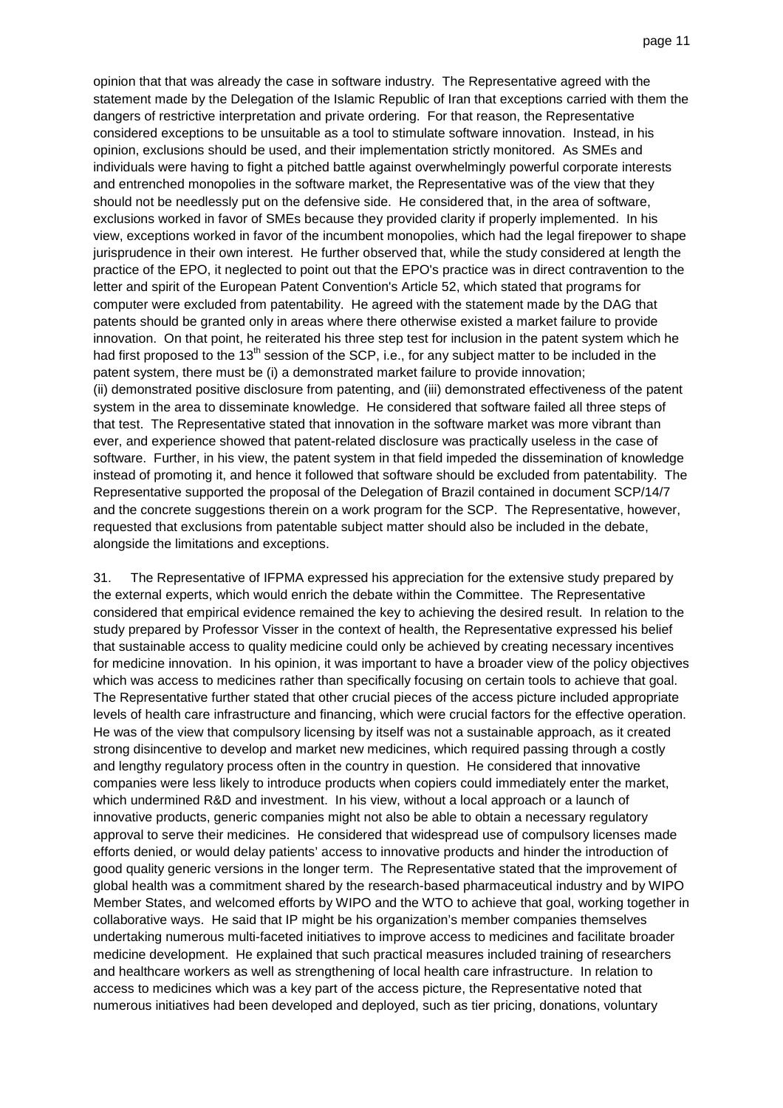opinion that that was already the case in software industry. The Representative agreed with the statement made by the Delegation of the Islamic Republic of Iran that exceptions carried with them the dangers of restrictive interpretation and private ordering. For that reason, the Representative considered exceptions to be unsuitable as a tool to stimulate software innovation. Instead, in his opinion, exclusions should be used, and their implementation strictly monitored. As SMEs and individuals were having to fight a pitched battle against overwhelmingly powerful corporate interests and entrenched monopolies in the software market, the Representative was of the view that they should not be needlessly put on the defensive side. He considered that, in the area of software, exclusions worked in favor of SMEs because they provided clarity if properly implemented. In his view, exceptions worked in favor of the incumbent monopolies, which had the legal firepower to shape jurisprudence in their own interest. He further observed that, while the study considered at length the practice of the EPO, it neglected to point out that the EPO's practice was in direct contravention to the letter and spirit of the European Patent Convention's Article 52, which stated that programs for computer were excluded from patentability. He agreed with the statement made by the DAG that patents should be granted only in areas where there otherwise existed a market failure to provide innovation. On that point, he reiterated his three step test for inclusion in the patent system which he had first proposed to the 13<sup>th</sup> session of the SCP, i.e., for any subject matter to be included in the patent system, there must be (i) a demonstrated market failure to provide innovation; (ii) demonstrated positive disclosure from patenting, and (iii) demonstrated effectiveness of the patent system in the area to disseminate knowledge. He considered that software failed all three steps of that test. The Representative stated that innovation in the software market was more vibrant than ever, and experience showed that patent-related disclosure was practically useless in the case of software. Further, in his view, the patent system in that field impeded the dissemination of knowledge instead of promoting it, and hence it followed that software should be excluded from patentability. The Representative supported the proposal of the Delegation of Brazil contained in document SCP/14/7 and the concrete suggestions therein on a work program for the SCP. The Representative, however, requested that exclusions from patentable subject matter should also be included in the debate, alongside the limitations and exceptions.

31. The Representative of IFPMA expressed his appreciation for the extensive study prepared by the external experts, which would enrich the debate within the Committee. The Representative considered that empirical evidence remained the key to achieving the desired result. In relation to the study prepared by Professor Visser in the context of health, the Representative expressed his belief that sustainable access to quality medicine could only be achieved by creating necessary incentives for medicine innovation. In his opinion, it was important to have a broader view of the policy objectives which was access to medicines rather than specifically focusing on certain tools to achieve that goal. The Representative further stated that other crucial pieces of the access picture included appropriate levels of health care infrastructure and financing, which were crucial factors for the effective operation. He was of the view that compulsory licensing by itself was not a sustainable approach, as it created strong disincentive to develop and market new medicines, which required passing through a costly and lengthy regulatory process often in the country in question. He considered that innovative companies were less likely to introduce products when copiers could immediately enter the market, which undermined R&D and investment. In his view, without a local approach or a launch of innovative products, generic companies might not also be able to obtain a necessary regulatory approval to serve their medicines. He considered that widespread use of compulsory licenses made efforts denied, or would delay patients' access to innovative products and hinder the introduction of good quality generic versions in the longer term. The Representative stated that the improvement of global health was a commitment shared by the research-based pharmaceutical industry and by WIPO Member States, and welcomed efforts by WIPO and the WTO to achieve that goal, working together in collaborative ways. He said that IP might be his organization's member companies themselves undertaking numerous multi-faceted initiatives to improve access to medicines and facilitate broader medicine development. He explained that such practical measures included training of researchers and healthcare workers as well as strengthening of local health care infrastructure. In relation to access to medicines which was a key part of the access picture, the Representative noted that numerous initiatives had been developed and deployed, such as tier pricing, donations, voluntary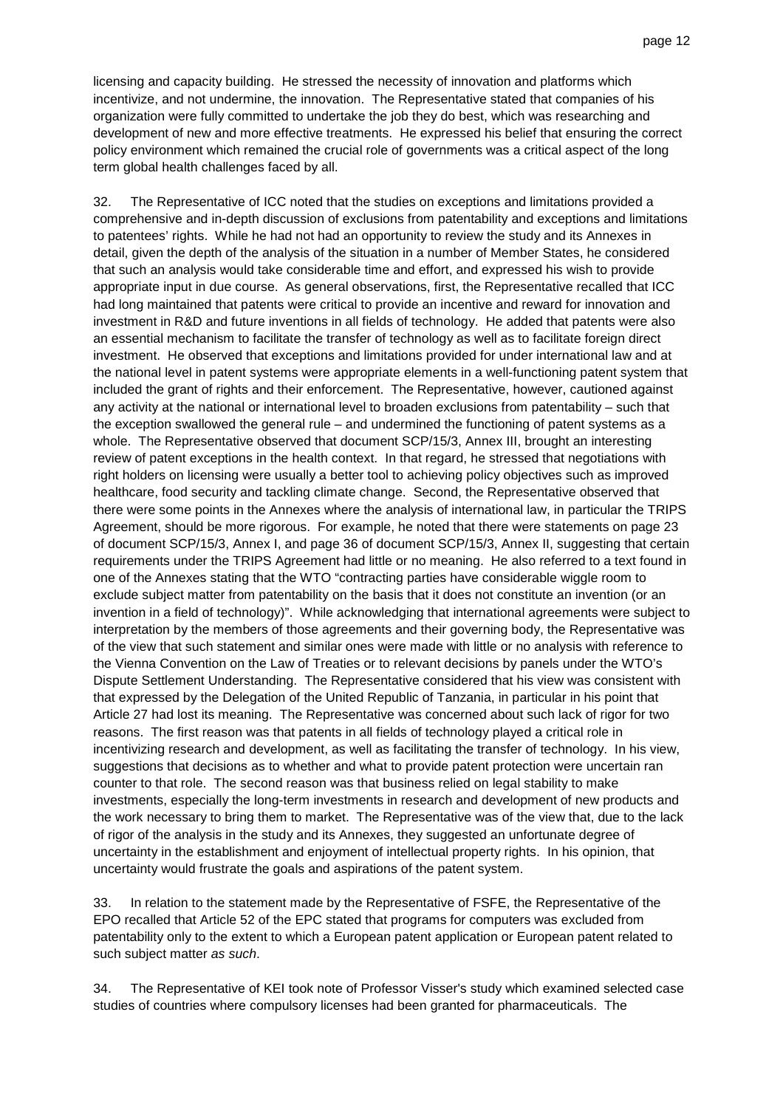licensing and capacity building. He stressed the necessity of innovation and platforms which incentivize, and not undermine, the innovation. The Representative stated that companies of his organization were fully committed to undertake the job they do best, which was researching and development of new and more effective treatments. He expressed his belief that ensuring the correct policy environment which remained the crucial role of governments was a critical aspect of the long term global health challenges faced by all.

32. The Representative of ICC noted that the studies on exceptions and limitations provided a comprehensive and in-depth discussion of exclusions from patentability and exceptions and limitations to patentees' rights. While he had not had an opportunity to review the study and its Annexes in detail, given the depth of the analysis of the situation in a number of Member States, he considered that such an analysis would take considerable time and effort, and expressed his wish to provide appropriate input in due course. As general observations, first, the Representative recalled that ICC had long maintained that patents were critical to provide an incentive and reward for innovation and investment in R&D and future inventions in all fields of technology. He added that patents were also an essential mechanism to facilitate the transfer of technology as well as to facilitate foreign direct investment. He observed that exceptions and limitations provided for under international law and at the national level in patent systems were appropriate elements in a well-functioning patent system that included the grant of rights and their enforcement. The Representative, however, cautioned against any activity at the national or international level to broaden exclusions from patentability – such that the exception swallowed the general rule – and undermined the functioning of patent systems as a whole. The Representative observed that document SCP/15/3, Annex III, brought an interesting review of patent exceptions in the health context. In that regard, he stressed that negotiations with right holders on licensing were usually a better tool to achieving policy objectives such as improved healthcare, food security and tackling climate change. Second, the Representative observed that there were some points in the Annexes where the analysis of international law, in particular the TRIPS Agreement, should be more rigorous. For example, he noted that there were statements on page 23 of document SCP/15/3, Annex I, and page 36 of document SCP/15/3, Annex II, suggesting that certain requirements under the TRIPS Agreement had little or no meaning. He also referred to a text found in one of the Annexes stating that the WTO "contracting parties have considerable wiggle room to exclude subject matter from patentability on the basis that it does not constitute an invention (or an invention in a field of technology)". While acknowledging that international agreements were subject to interpretation by the members of those agreements and their governing body, the Representative was of the view that such statement and similar ones were made with little or no analysis with reference to the Vienna Convention on the Law of Treaties or to relevant decisions by panels under the WTO's Dispute Settlement Understanding. The Representative considered that his view was consistent with that expressed by the Delegation of the United Republic of Tanzania, in particular in his point that Article 27 had lost its meaning. The Representative was concerned about such lack of rigor for two reasons. The first reason was that patents in all fields of technology played a critical role in incentivizing research and development, as well as facilitating the transfer of technology. In his view, suggestions that decisions as to whether and what to provide patent protection were uncertain ran counter to that role. The second reason was that business relied on legal stability to make investments, especially the long-term investments in research and development of new products and the work necessary to bring them to market. The Representative was of the view that, due to the lack of rigor of the analysis in the study and its Annexes, they suggested an unfortunate degree of uncertainty in the establishment and enjoyment of intellectual property rights. In his opinion, that uncertainty would frustrate the goals and aspirations of the patent system.

33. In relation to the statement made by the Representative of FSFE, the Representative of the EPO recalled that Article 52 of the EPC stated that programs for computers was excluded from patentability only to the extent to which a European patent application or European patent related to such subject matter as such.

34. The Representative of KEI took note of Professor Visser's study which examined selected case studies of countries where compulsory licenses had been granted for pharmaceuticals. The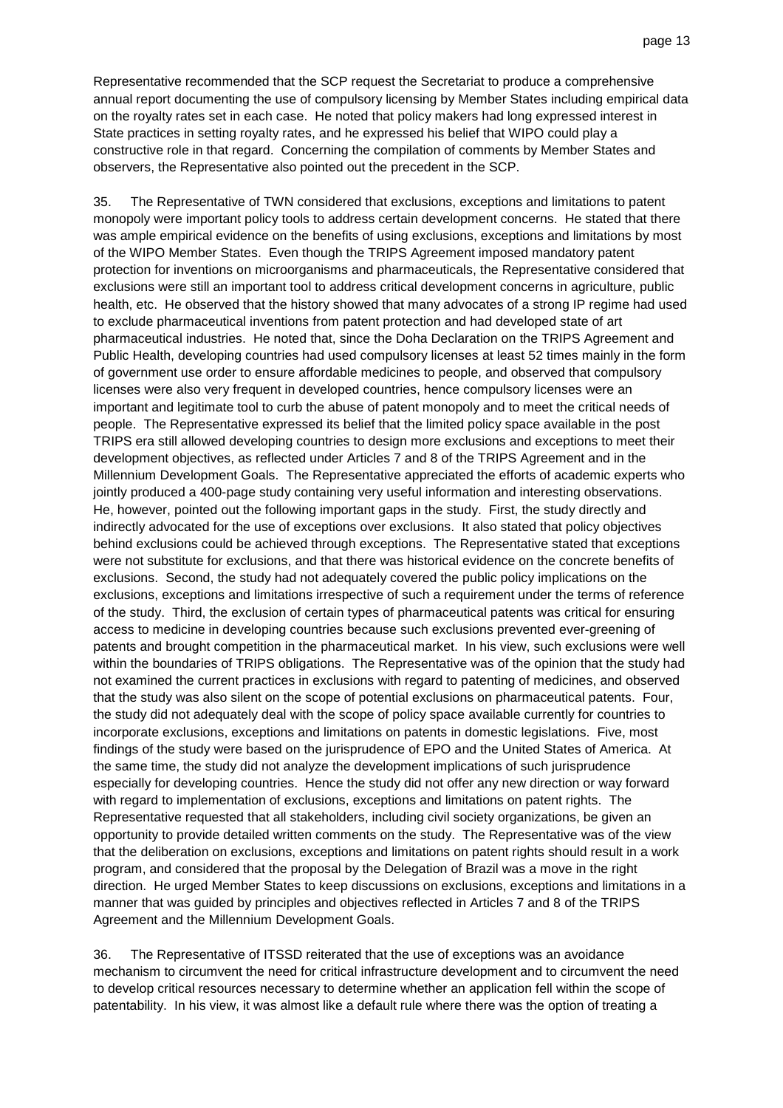Representative recommended that the SCP request the Secretariat to produce a comprehensive annual report documenting the use of compulsory licensing by Member States including empirical data on the royalty rates set in each case. He noted that policy makers had long expressed interest in State practices in setting royalty rates, and he expressed his belief that WIPO could play a constructive role in that regard. Concerning the compilation of comments by Member States and observers, the Representative also pointed out the precedent in the SCP.

35. The Representative of TWN considered that exclusions, exceptions and limitations to patent monopoly were important policy tools to address certain development concerns. He stated that there was ample empirical evidence on the benefits of using exclusions, exceptions and limitations by most of the WIPO Member States. Even though the TRIPS Agreement imposed mandatory patent protection for inventions on microorganisms and pharmaceuticals, the Representative considered that exclusions were still an important tool to address critical development concerns in agriculture, public health, etc. He observed that the history showed that many advocates of a strong IP regime had used to exclude pharmaceutical inventions from patent protection and had developed state of art pharmaceutical industries. He noted that, since the Doha Declaration on the TRIPS Agreement and Public Health, developing countries had used compulsory licenses at least 52 times mainly in the form of government use order to ensure affordable medicines to people, and observed that compulsory licenses were also very frequent in developed countries, hence compulsory licenses were an important and legitimate tool to curb the abuse of patent monopoly and to meet the critical needs of people. The Representative expressed its belief that the limited policy space available in the post TRIPS era still allowed developing countries to design more exclusions and exceptions to meet their development objectives, as reflected under Articles 7 and 8 of the TRIPS Agreement and in the Millennium Development Goals. The Representative appreciated the efforts of academic experts who jointly produced a 400-page study containing very useful information and interesting observations. He, however, pointed out the following important gaps in the study. First, the study directly and indirectly advocated for the use of exceptions over exclusions. It also stated that policy objectives behind exclusions could be achieved through exceptions. The Representative stated that exceptions were not substitute for exclusions, and that there was historical evidence on the concrete benefits of exclusions. Second, the study had not adequately covered the public policy implications on the exclusions, exceptions and limitations irrespective of such a requirement under the terms of reference of the study. Third, the exclusion of certain types of pharmaceutical patents was critical for ensuring access to medicine in developing countries because such exclusions prevented ever-greening of patents and brought competition in the pharmaceutical market. In his view, such exclusions were well within the boundaries of TRIPS obligations. The Representative was of the opinion that the study had not examined the current practices in exclusions with regard to patenting of medicines, and observed that the study was also silent on the scope of potential exclusions on pharmaceutical patents. Four, the study did not adequately deal with the scope of policy space available currently for countries to incorporate exclusions, exceptions and limitations on patents in domestic legislations. Five, most findings of the study were based on the jurisprudence of EPO and the United States of America. At the same time, the study did not analyze the development implications of such jurisprudence especially for developing countries. Hence the study did not offer any new direction or way forward with regard to implementation of exclusions, exceptions and limitations on patent rights. The Representative requested that all stakeholders, including civil society organizations, be given an opportunity to provide detailed written comments on the study. The Representative was of the view that the deliberation on exclusions, exceptions and limitations on patent rights should result in a work program, and considered that the proposal by the Delegation of Brazil was a move in the right direction. He urged Member States to keep discussions on exclusions, exceptions and limitations in a manner that was guided by principles and objectives reflected in Articles 7 and 8 of the TRIPS Agreement and the Millennium Development Goals.

36. The Representative of ITSSD reiterated that the use of exceptions was an avoidance mechanism to circumvent the need for critical infrastructure development and to circumvent the need to develop critical resources necessary to determine whether an application fell within the scope of patentability. In his view, it was almost like a default rule where there was the option of treating a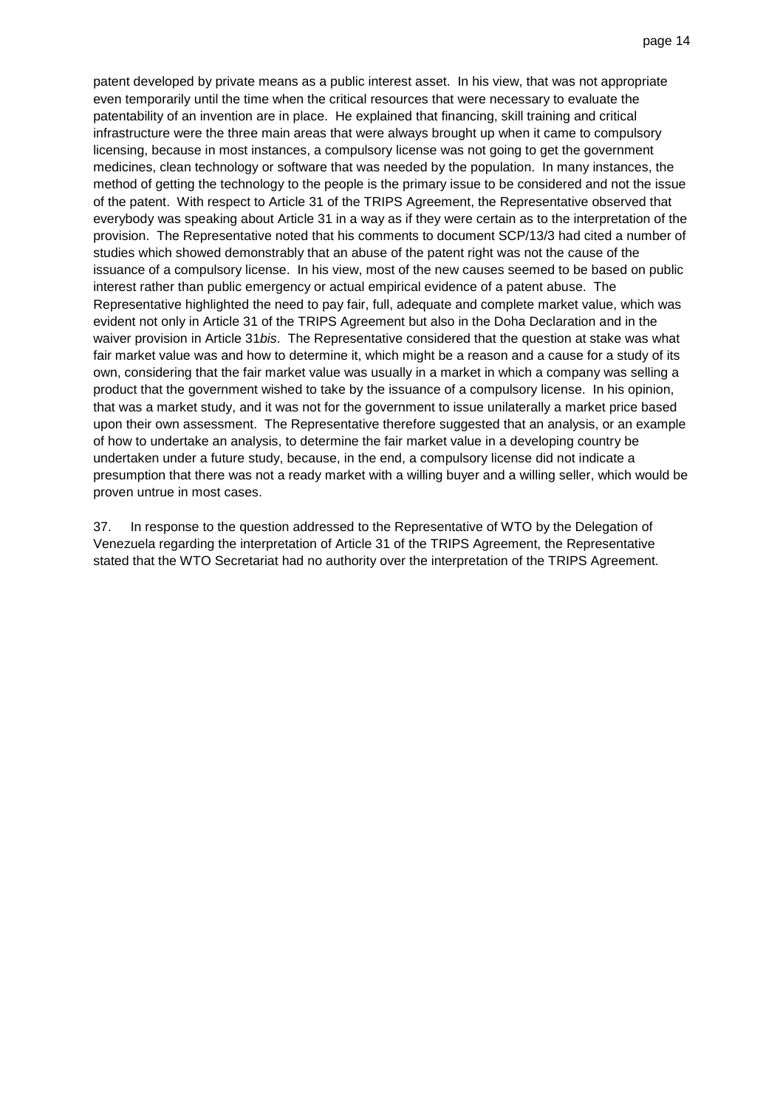patent developed by private means as a public interest asset. In his view, that was not appropriate even temporarily until the time when the critical resources that were necessary to evaluate the patentability of an invention are in place. He explained that financing, skill training and critical infrastructure were the three main areas that were always brought up when it came to compulsory licensing, because in most instances, a compulsory license was not going to get the government medicines, clean technology or software that was needed by the population. In many instances, the method of getting the technology to the people is the primary issue to be considered and not the issue of the patent. With respect to Article 31 of the TRIPS Agreement, the Representative observed that everybody was speaking about Article 31 in a way as if they were certain as to the interpretation of the provision. The Representative noted that his comments to document SCP/13/3 had cited a number of studies which showed demonstrably that an abuse of the patent right was not the cause of the issuance of a compulsory license. In his view, most of the new causes seemed to be based on public interest rather than public emergency or actual empirical evidence of a patent abuse. The Representative highlighted the need to pay fair, full, adequate and complete market value, which was evident not only in Article 31 of the TRIPS Agreement but also in the Doha Declaration and in the waiver provision in Article 31 bis. The Representative considered that the question at stake was what fair market value was and how to determine it, which might be a reason and a cause for a study of its own, considering that the fair market value was usually in a market in which a company was selling a product that the government wished to take by the issuance of a compulsory license. In his opinion, that was a market study, and it was not for the government to issue unilaterally a market price based upon their own assessment. The Representative therefore suggested that an analysis, or an example of how to undertake an analysis, to determine the fair market value in a developing country be undertaken under a future study, because, in the end, a compulsory license did not indicate a presumption that there was not a ready market with a willing buyer and a willing seller, which would be proven untrue in most cases.

37. In response to the question addressed to the Representative of WTO by the Delegation of Venezuela regarding the interpretation of Article 31 of the TRIPS Agreement, the Representative stated that the WTO Secretariat had no authority over the interpretation of the TRIPS Agreement.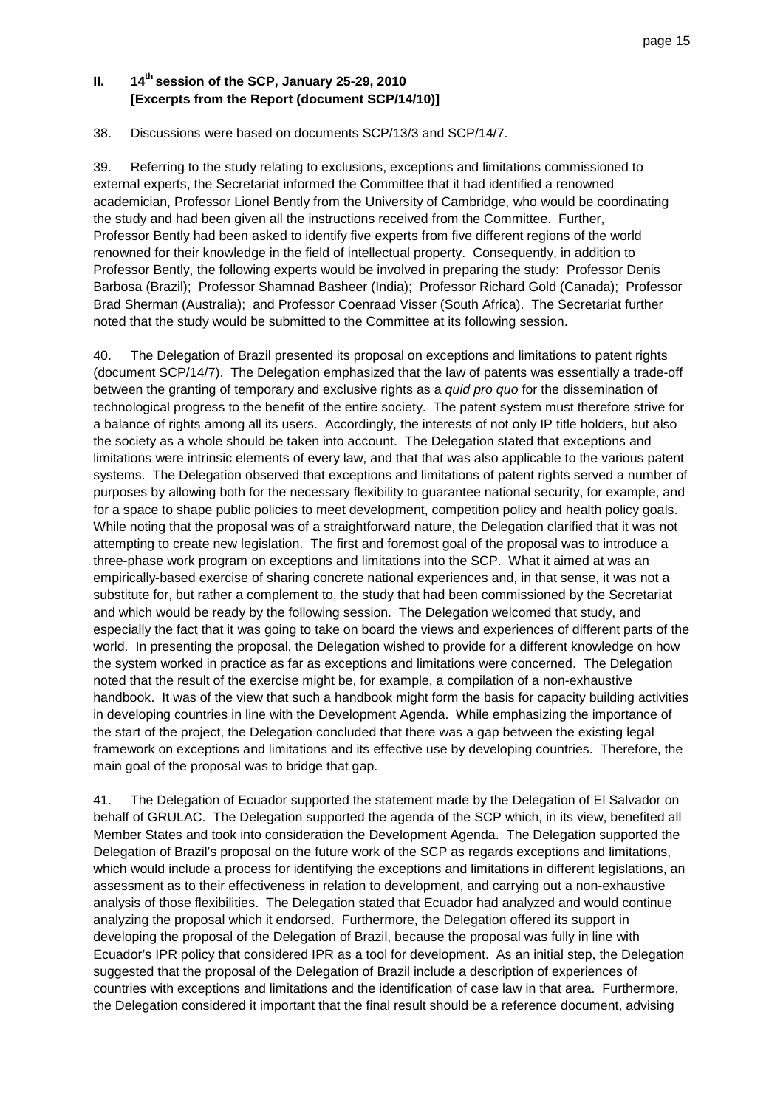# **II. 14th session of the SCP, January 25-29, 2010 [Excerpts from the Report (document SCP/14/10)]**

#### 38. Discussions were based on documents SCP/13/3 and SCP/14/7.

39. Referring to the study relating to exclusions, exceptions and limitations commissioned to external experts, the Secretariat informed the Committee that it had identified a renowned academician, Professor Lionel Bently from the University of Cambridge, who would be coordinating the study and had been given all the instructions received from the Committee. Further, Professor Bently had been asked to identify five experts from five different regions of the world renowned for their knowledge in the field of intellectual property. Consequently, in addition to Professor Bently, the following experts would be involved in preparing the study: Professor Denis Barbosa (Brazil); Professor Shamnad Basheer (India); Professor Richard Gold (Canada); Professor Brad Sherman (Australia); and Professor Coenraad Visser (South Africa). The Secretariat further noted that the study would be submitted to the Committee at its following session.

40. The Delegation of Brazil presented its proposal on exceptions and limitations to patent rights (document SCP/14/7). The Delegation emphasized that the law of patents was essentially a trade-off between the granting of temporary and exclusive rights as a quid pro quo for the dissemination of technological progress to the benefit of the entire society. The patent system must therefore strive for a balance of rights among all its users. Accordingly, the interests of not only IP title holders, but also the society as a whole should be taken into account. The Delegation stated that exceptions and limitations were intrinsic elements of every law, and that that was also applicable to the various patent systems. The Delegation observed that exceptions and limitations of patent rights served a number of purposes by allowing both for the necessary flexibility to guarantee national security, for example, and for a space to shape public policies to meet development, competition policy and health policy goals. While noting that the proposal was of a straightforward nature, the Delegation clarified that it was not attempting to create new legislation. The first and foremost goal of the proposal was to introduce a three-phase work program on exceptions and limitations into the SCP. What it aimed at was an empirically-based exercise of sharing concrete national experiences and, in that sense, it was not a substitute for, but rather a complement to, the study that had been commissioned by the Secretariat and which would be ready by the following session. The Delegation welcomed that study, and especially the fact that it was going to take on board the views and experiences of different parts of the world. In presenting the proposal, the Delegation wished to provide for a different knowledge on how the system worked in practice as far as exceptions and limitations were concerned. The Delegation noted that the result of the exercise might be, for example, a compilation of a non-exhaustive handbook. It was of the view that such a handbook might form the basis for capacity building activities in developing countries in line with the Development Agenda. While emphasizing the importance of the start of the project, the Delegation concluded that there was a gap between the existing legal framework on exceptions and limitations and its effective use by developing countries. Therefore, the main goal of the proposal was to bridge that gap.

41. The Delegation of Ecuador supported the statement made by the Delegation of El Salvador on behalf of GRULAC. The Delegation supported the agenda of the SCP which, in its view, benefited all Member States and took into consideration the Development Agenda. The Delegation supported the Delegation of Brazil's proposal on the future work of the SCP as regards exceptions and limitations, which would include a process for identifying the exceptions and limitations in different legislations, an assessment as to their effectiveness in relation to development, and carrying out a non-exhaustive analysis of those flexibilities. The Delegation stated that Ecuador had analyzed and would continue analyzing the proposal which it endorsed. Furthermore, the Delegation offered its support in developing the proposal of the Delegation of Brazil, because the proposal was fully in line with Ecuador's IPR policy that considered IPR as a tool for development. As an initial step, the Delegation suggested that the proposal of the Delegation of Brazil include a description of experiences of countries with exceptions and limitations and the identification of case law in that area. Furthermore, the Delegation considered it important that the final result should be a reference document, advising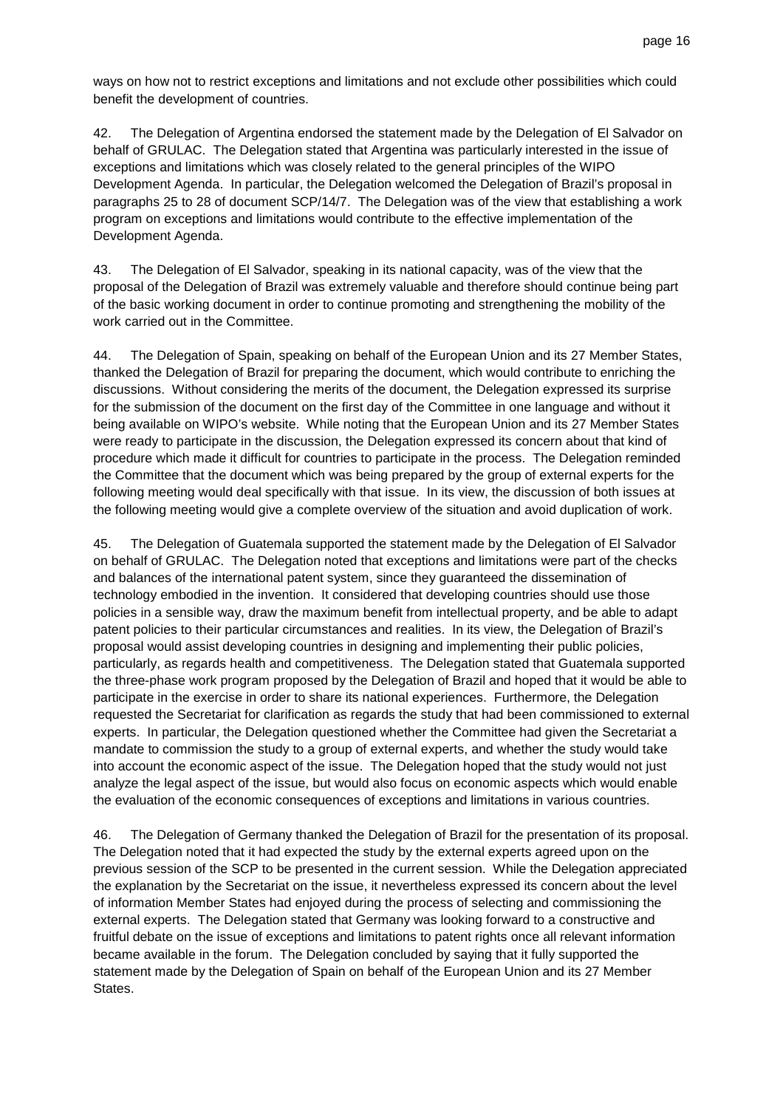ways on how not to restrict exceptions and limitations and not exclude other possibilities which could benefit the development of countries.

42. The Delegation of Argentina endorsed the statement made by the Delegation of El Salvador on behalf of GRULAC. The Delegation stated that Argentina was particularly interested in the issue of exceptions and limitations which was closely related to the general principles of the WIPO Development Agenda. In particular, the Delegation welcomed the Delegation of Brazil's proposal in paragraphs 25 to 28 of document SCP/14/7. The Delegation was of the view that establishing a work program on exceptions and limitations would contribute to the effective implementation of the Development Agenda.

43. The Delegation of El Salvador, speaking in its national capacity, was of the view that the proposal of the Delegation of Brazil was extremely valuable and therefore should continue being part of the basic working document in order to continue promoting and strengthening the mobility of the work carried out in the Committee.

44. The Delegation of Spain, speaking on behalf of the European Union and its 27 Member States, thanked the Delegation of Brazil for preparing the document, which would contribute to enriching the discussions. Without considering the merits of the document, the Delegation expressed its surprise for the submission of the document on the first day of the Committee in one language and without it being available on WIPO's website. While noting that the European Union and its 27 Member States were ready to participate in the discussion, the Delegation expressed its concern about that kind of procedure which made it difficult for countries to participate in the process. The Delegation reminded the Committee that the document which was being prepared by the group of external experts for the following meeting would deal specifically with that issue. In its view, the discussion of both issues at the following meeting would give a complete overview of the situation and avoid duplication of work.

45. The Delegation of Guatemala supported the statement made by the Delegation of El Salvador on behalf of GRULAC. The Delegation noted that exceptions and limitations were part of the checks and balances of the international patent system, since they guaranteed the dissemination of technology embodied in the invention. It considered that developing countries should use those policies in a sensible way, draw the maximum benefit from intellectual property, and be able to adapt patent policies to their particular circumstances and realities. In its view, the Delegation of Brazil's proposal would assist developing countries in designing and implementing their public policies, particularly, as regards health and competitiveness. The Delegation stated that Guatemala supported the three-phase work program proposed by the Delegation of Brazil and hoped that it would be able to participate in the exercise in order to share its national experiences. Furthermore, the Delegation requested the Secretariat for clarification as regards the study that had been commissioned to external experts. In particular, the Delegation questioned whether the Committee had given the Secretariat a mandate to commission the study to a group of external experts, and whether the study would take into account the economic aspect of the issue. The Delegation hoped that the study would not just analyze the legal aspect of the issue, but would also focus on economic aspects which would enable the evaluation of the economic consequences of exceptions and limitations in various countries.

46. The Delegation of Germany thanked the Delegation of Brazil for the presentation of its proposal. The Delegation noted that it had expected the study by the external experts agreed upon on the previous session of the SCP to be presented in the current session. While the Delegation appreciated the explanation by the Secretariat on the issue, it nevertheless expressed its concern about the level of information Member States had enjoyed during the process of selecting and commissioning the external experts. The Delegation stated that Germany was looking forward to a constructive and fruitful debate on the issue of exceptions and limitations to patent rights once all relevant information became available in the forum. The Delegation concluded by saying that it fully supported the statement made by the Delegation of Spain on behalf of the European Union and its 27 Member States.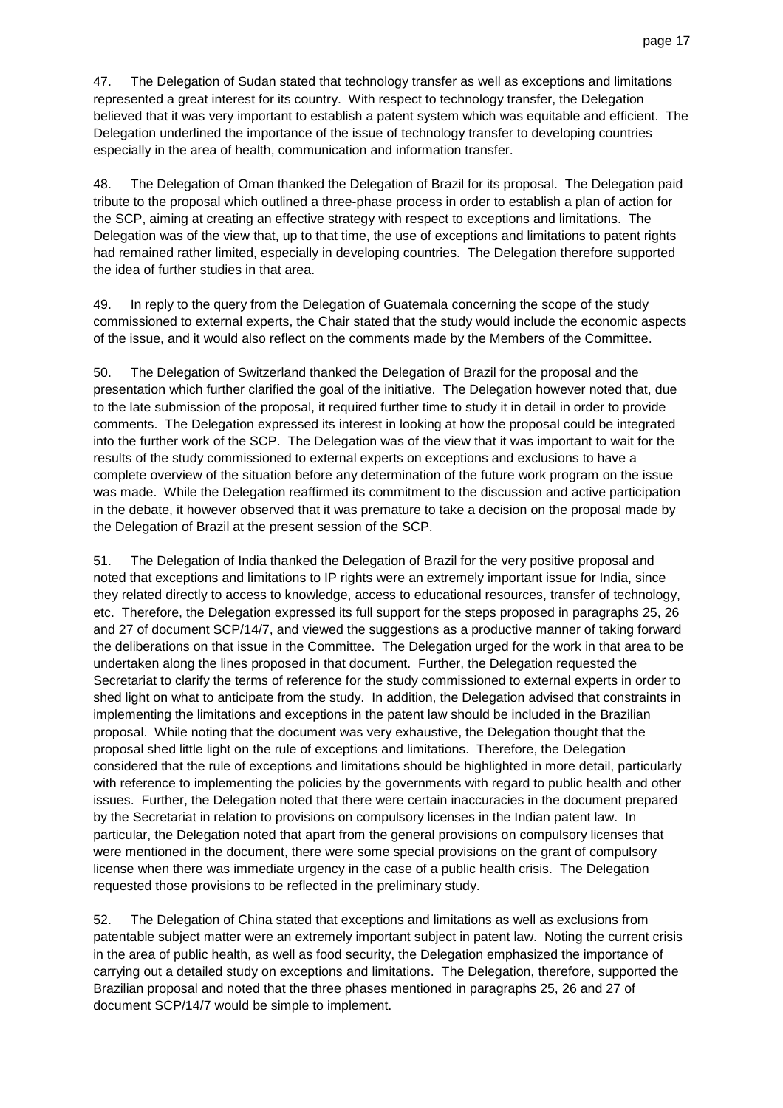47. The Delegation of Sudan stated that technology transfer as well as exceptions and limitations represented a great interest for its country. With respect to technology transfer, the Delegation believed that it was very important to establish a patent system which was equitable and efficient. The Delegation underlined the importance of the issue of technology transfer to developing countries especially in the area of health, communication and information transfer.

48. The Delegation of Oman thanked the Delegation of Brazil for its proposal. The Delegation paid tribute to the proposal which outlined a three-phase process in order to establish a plan of action for the SCP, aiming at creating an effective strategy with respect to exceptions and limitations. The Delegation was of the view that, up to that time, the use of exceptions and limitations to patent rights had remained rather limited, especially in developing countries. The Delegation therefore supported the idea of further studies in that area.

49. In reply to the query from the Delegation of Guatemala concerning the scope of the study commissioned to external experts, the Chair stated that the study would include the economic aspects of the issue, and it would also reflect on the comments made by the Members of the Committee.

50. The Delegation of Switzerland thanked the Delegation of Brazil for the proposal and the presentation which further clarified the goal of the initiative. The Delegation however noted that, due to the late submission of the proposal, it required further time to study it in detail in order to provide comments. The Delegation expressed its interest in looking at how the proposal could be integrated into the further work of the SCP. The Delegation was of the view that it was important to wait for the results of the study commissioned to external experts on exceptions and exclusions to have a complete overview of the situation before any determination of the future work program on the issue was made. While the Delegation reaffirmed its commitment to the discussion and active participation in the debate, it however observed that it was premature to take a decision on the proposal made by the Delegation of Brazil at the present session of the SCP.

51. The Delegation of India thanked the Delegation of Brazil for the very positive proposal and noted that exceptions and limitations to IP rights were an extremely important issue for India, since they related directly to access to knowledge, access to educational resources, transfer of technology, etc. Therefore, the Delegation expressed its full support for the steps proposed in paragraphs 25, 26 and 27 of document SCP/14/7, and viewed the suggestions as a productive manner of taking forward the deliberations on that issue in the Committee. The Delegation urged for the work in that area to be undertaken along the lines proposed in that document. Further, the Delegation requested the Secretariat to clarify the terms of reference for the study commissioned to external experts in order to shed light on what to anticipate from the study. In addition, the Delegation advised that constraints in implementing the limitations and exceptions in the patent law should be included in the Brazilian proposal. While noting that the document was very exhaustive, the Delegation thought that the proposal shed little light on the rule of exceptions and limitations. Therefore, the Delegation considered that the rule of exceptions and limitations should be highlighted in more detail, particularly with reference to implementing the policies by the governments with regard to public health and other issues. Further, the Delegation noted that there were certain inaccuracies in the document prepared by the Secretariat in relation to provisions on compulsory licenses in the Indian patent law. In particular, the Delegation noted that apart from the general provisions on compulsory licenses that were mentioned in the document, there were some special provisions on the grant of compulsory license when there was immediate urgency in the case of a public health crisis. The Delegation requested those provisions to be reflected in the preliminary study.

52. The Delegation of China stated that exceptions and limitations as well as exclusions from patentable subject matter were an extremely important subject in patent law. Noting the current crisis in the area of public health, as well as food security, the Delegation emphasized the importance of carrying out a detailed study on exceptions and limitations. The Delegation, therefore, supported the Brazilian proposal and noted that the three phases mentioned in paragraphs 25, 26 and 27 of document SCP/14/7 would be simple to implement.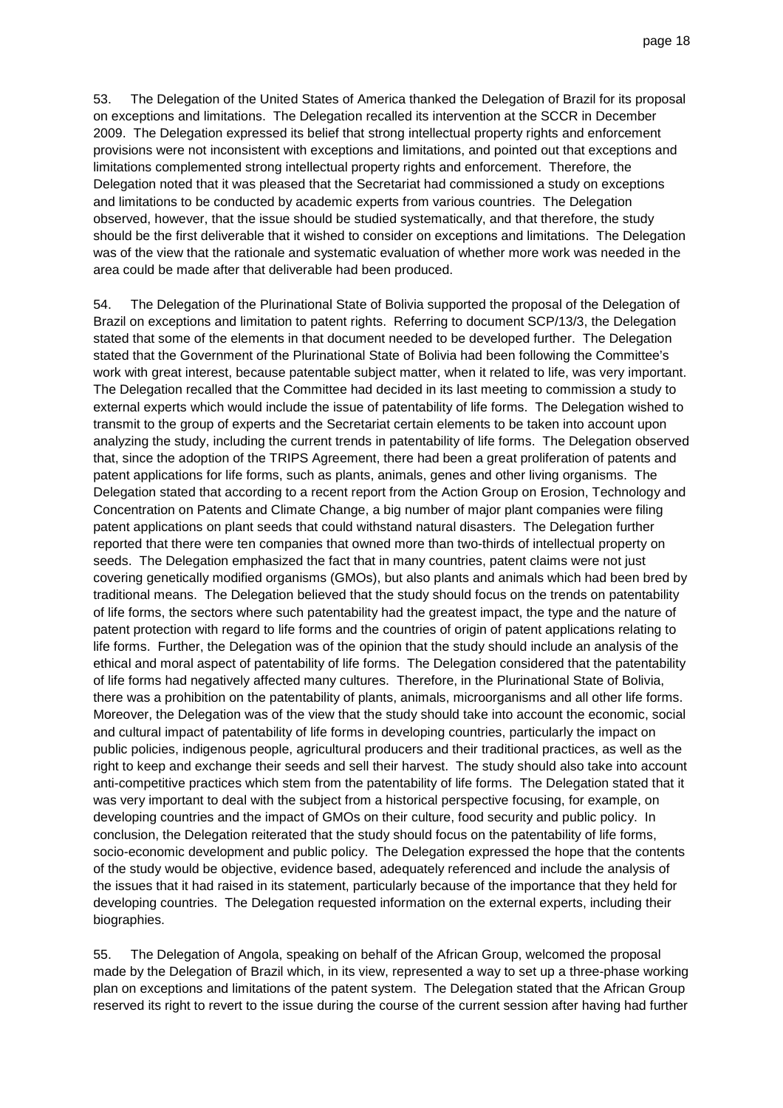53. The Delegation of the United States of America thanked the Delegation of Brazil for its proposal on exceptions and limitations. The Delegation recalled its intervention at the SCCR in December 2009. The Delegation expressed its belief that strong intellectual property rights and enforcement provisions were not inconsistent with exceptions and limitations, and pointed out that exceptions and limitations complemented strong intellectual property rights and enforcement. Therefore, the Delegation noted that it was pleased that the Secretariat had commissioned a study on exceptions and limitations to be conducted by academic experts from various countries. The Delegation observed, however, that the issue should be studied systematically, and that therefore, the study should be the first deliverable that it wished to consider on exceptions and limitations. The Delegation was of the view that the rationale and systematic evaluation of whether more work was needed in the area could be made after that deliverable had been produced.

54. The Delegation of the Plurinational State of Bolivia supported the proposal of the Delegation of Brazil on exceptions and limitation to patent rights. Referring to document SCP/13/3, the Delegation stated that some of the elements in that document needed to be developed further. The Delegation stated that the Government of the Plurinational State of Bolivia had been following the Committee's work with great interest, because patentable subject matter, when it related to life, was very important. The Delegation recalled that the Committee had decided in its last meeting to commission a study to external experts which would include the issue of patentability of life forms. The Delegation wished to transmit to the group of experts and the Secretariat certain elements to be taken into account upon analyzing the study, including the current trends in patentability of life forms. The Delegation observed that, since the adoption of the TRIPS Agreement, there had been a great proliferation of patents and patent applications for life forms, such as plants, animals, genes and other living organisms. The Delegation stated that according to a recent report from the Action Group on Erosion, Technology and Concentration on Patents and Climate Change, a big number of major plant companies were filing patent applications on plant seeds that could withstand natural disasters. The Delegation further reported that there were ten companies that owned more than two-thirds of intellectual property on seeds. The Delegation emphasized the fact that in many countries, patent claims were not just covering genetically modified organisms (GMOs), but also plants and animals which had been bred by traditional means. The Delegation believed that the study should focus on the trends on patentability of life forms, the sectors where such patentability had the greatest impact, the type and the nature of patent protection with regard to life forms and the countries of origin of patent applications relating to life forms. Further, the Delegation was of the opinion that the study should include an analysis of the ethical and moral aspect of patentability of life forms. The Delegation considered that the patentability of life forms had negatively affected many cultures. Therefore, in the Plurinational State of Bolivia, there was a prohibition on the patentability of plants, animals, microorganisms and all other life forms. Moreover, the Delegation was of the view that the study should take into account the economic, social and cultural impact of patentability of life forms in developing countries, particularly the impact on public policies, indigenous people, agricultural producers and their traditional practices, as well as the right to keep and exchange their seeds and sell their harvest. The study should also take into account anti-competitive practices which stem from the patentability of life forms. The Delegation stated that it was very important to deal with the subject from a historical perspective focusing, for example, on developing countries and the impact of GMOs on their culture, food security and public policy. In conclusion, the Delegation reiterated that the study should focus on the patentability of life forms, socio-economic development and public policy. The Delegation expressed the hope that the contents of the study would be objective, evidence based, adequately referenced and include the analysis of the issues that it had raised in its statement, particularly because of the importance that they held for developing countries. The Delegation requested information on the external experts, including their biographies.

55. The Delegation of Angola, speaking on behalf of the African Group, welcomed the proposal made by the Delegation of Brazil which, in its view, represented a way to set up a three-phase working plan on exceptions and limitations of the patent system. The Delegation stated that the African Group reserved its right to revert to the issue during the course of the current session after having had further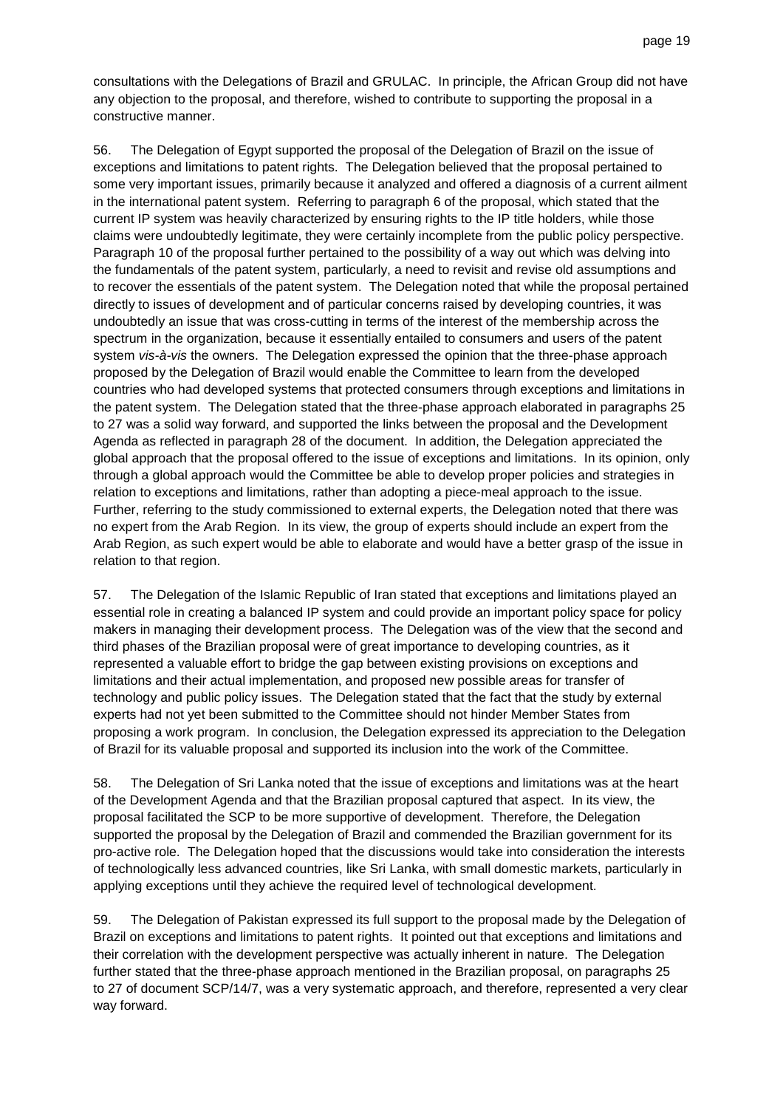consultations with the Delegations of Brazil and GRULAC. In principle, the African Group did not have any objection to the proposal, and therefore, wished to contribute to supporting the proposal in a constructive manner.

56. The Delegation of Egypt supported the proposal of the Delegation of Brazil on the issue of exceptions and limitations to patent rights. The Delegation believed that the proposal pertained to some very important issues, primarily because it analyzed and offered a diagnosis of a current ailment in the international patent system. Referring to paragraph 6 of the proposal, which stated that the current IP system was heavily characterized by ensuring rights to the IP title holders, while those claims were undoubtedly legitimate, they were certainly incomplete from the public policy perspective. Paragraph 10 of the proposal further pertained to the possibility of a way out which was delving into the fundamentals of the patent system, particularly, a need to revisit and revise old assumptions and to recover the essentials of the patent system. The Delegation noted that while the proposal pertained directly to issues of development and of particular concerns raised by developing countries, it was undoubtedly an issue that was cross-cutting in terms of the interest of the membership across the spectrum in the organization, because it essentially entailed to consumers and users of the patent system *vis-à-vis* the owners. The Delegation expressed the opinion that the three-phase approach proposed by the Delegation of Brazil would enable the Committee to learn from the developed countries who had developed systems that protected consumers through exceptions and limitations in the patent system. The Delegation stated that the three-phase approach elaborated in paragraphs 25 to 27 was a solid way forward, and supported the links between the proposal and the Development Agenda as reflected in paragraph 28 of the document. In addition, the Delegation appreciated the global approach that the proposal offered to the issue of exceptions and limitations. In its opinion, only through a global approach would the Committee be able to develop proper policies and strategies in relation to exceptions and limitations, rather than adopting a piece-meal approach to the issue. Further, referring to the study commissioned to external experts, the Delegation noted that there was no expert from the Arab Region. In its view, the group of experts should include an expert from the Arab Region, as such expert would be able to elaborate and would have a better grasp of the issue in relation to that region.

57. The Delegation of the Islamic Republic of Iran stated that exceptions and limitations played an essential role in creating a balanced IP system and could provide an important policy space for policy makers in managing their development process. The Delegation was of the view that the second and third phases of the Brazilian proposal were of great importance to developing countries, as it represented a valuable effort to bridge the gap between existing provisions on exceptions and limitations and their actual implementation, and proposed new possible areas for transfer of technology and public policy issues. The Delegation stated that the fact that the study by external experts had not yet been submitted to the Committee should not hinder Member States from proposing a work program. In conclusion, the Delegation expressed its appreciation to the Delegation of Brazil for its valuable proposal and supported its inclusion into the work of the Committee.

58. The Delegation of Sri Lanka noted that the issue of exceptions and limitations was at the heart of the Development Agenda and that the Brazilian proposal captured that aspect. In its view, the proposal facilitated the SCP to be more supportive of development. Therefore, the Delegation supported the proposal by the Delegation of Brazil and commended the Brazilian government for its pro-active role. The Delegation hoped that the discussions would take into consideration the interests of technologically less advanced countries, like Sri Lanka, with small domestic markets, particularly in applying exceptions until they achieve the required level of technological development.

59. The Delegation of Pakistan expressed its full support to the proposal made by the Delegation of Brazil on exceptions and limitations to patent rights. It pointed out that exceptions and limitations and their correlation with the development perspective was actually inherent in nature. The Delegation further stated that the three-phase approach mentioned in the Brazilian proposal, on paragraphs 25 to 27 of document SCP/14/7, was a very systematic approach, and therefore, represented a very clear way forward.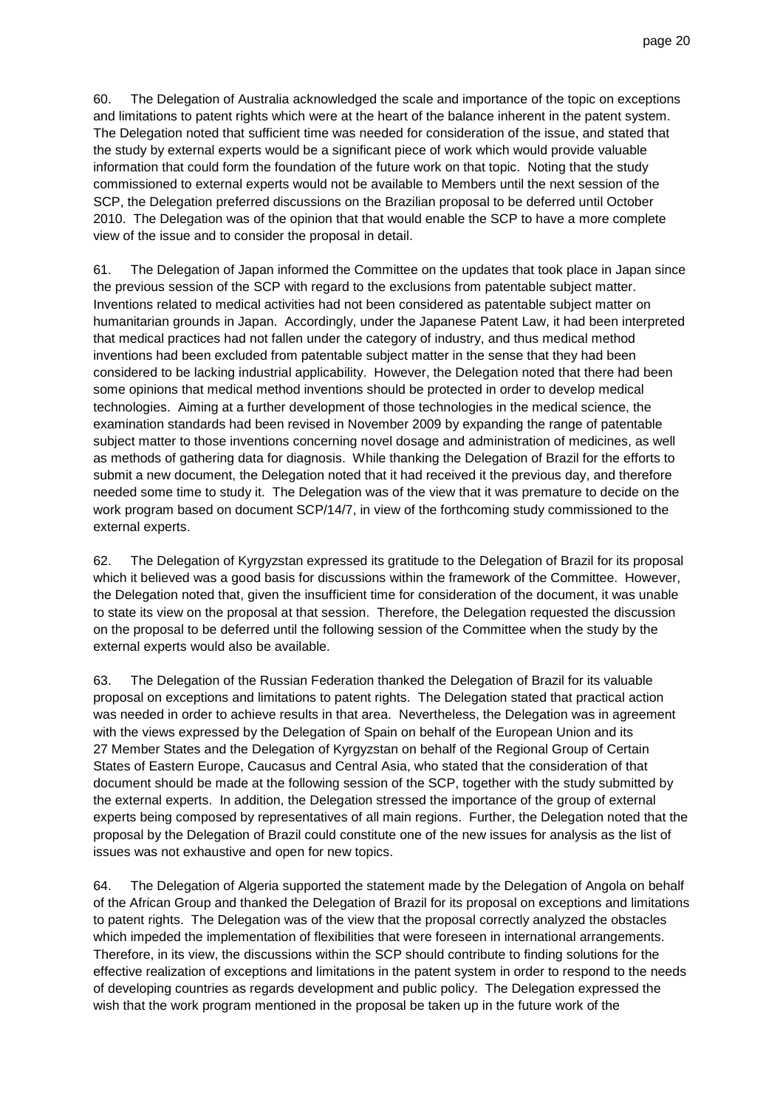60. The Delegation of Australia acknowledged the scale and importance of the topic on exceptions and limitations to patent rights which were at the heart of the balance inherent in the patent system. The Delegation noted that sufficient time was needed for consideration of the issue, and stated that the study by external experts would be a significant piece of work which would provide valuable information that could form the foundation of the future work on that topic. Noting that the study commissioned to external experts would not be available to Members until the next session of the SCP, the Delegation preferred discussions on the Brazilian proposal to be deferred until October 2010. The Delegation was of the opinion that that would enable the SCP to have a more complete view of the issue and to consider the proposal in detail.

61. The Delegation of Japan informed the Committee on the updates that took place in Japan since the previous session of the SCP with regard to the exclusions from patentable subject matter. Inventions related to medical activities had not been considered as patentable subject matter on humanitarian grounds in Japan. Accordingly, under the Japanese Patent Law, it had been interpreted that medical practices had not fallen under the category of industry, and thus medical method inventions had been excluded from patentable subject matter in the sense that they had been considered to be lacking industrial applicability. However, the Delegation noted that there had been some opinions that medical method inventions should be protected in order to develop medical technologies. Aiming at a further development of those technologies in the medical science, the examination standards had been revised in November 2009 by expanding the range of patentable subject matter to those inventions concerning novel dosage and administration of medicines, as well as methods of gathering data for diagnosis. While thanking the Delegation of Brazil for the efforts to submit a new document, the Delegation noted that it had received it the previous day, and therefore needed some time to study it. The Delegation was of the view that it was premature to decide on the work program based on document SCP/14/7, in view of the forthcoming study commissioned to the external experts.

62. The Delegation of Kyrgyzstan expressed its gratitude to the Delegation of Brazil for its proposal which it believed was a good basis for discussions within the framework of the Committee. However, the Delegation noted that, given the insufficient time for consideration of the document, it was unable to state its view on the proposal at that session. Therefore, the Delegation requested the discussion on the proposal to be deferred until the following session of the Committee when the study by the external experts would also be available.

63. The Delegation of the Russian Federation thanked the Delegation of Brazil for its valuable proposal on exceptions and limitations to patent rights. The Delegation stated that practical action was needed in order to achieve results in that area. Nevertheless, the Delegation was in agreement with the views expressed by the Delegation of Spain on behalf of the European Union and its 27 Member States and the Delegation of Kyrgyzstan on behalf of the Regional Group of Certain States of Eastern Europe, Caucasus and Central Asia, who stated that the consideration of that document should be made at the following session of the SCP, together with the study submitted by the external experts. In addition, the Delegation stressed the importance of the group of external experts being composed by representatives of all main regions. Further, the Delegation noted that the proposal by the Delegation of Brazil could constitute one of the new issues for analysis as the list of issues was not exhaustive and open for new topics.

64. The Delegation of Algeria supported the statement made by the Delegation of Angola on behalf of the African Group and thanked the Delegation of Brazil for its proposal on exceptions and limitations to patent rights. The Delegation was of the view that the proposal correctly analyzed the obstacles which impeded the implementation of flexibilities that were foreseen in international arrangements. Therefore, in its view, the discussions within the SCP should contribute to finding solutions for the effective realization of exceptions and limitations in the patent system in order to respond to the needs of developing countries as regards development and public policy. The Delegation expressed the wish that the work program mentioned in the proposal be taken up in the future work of the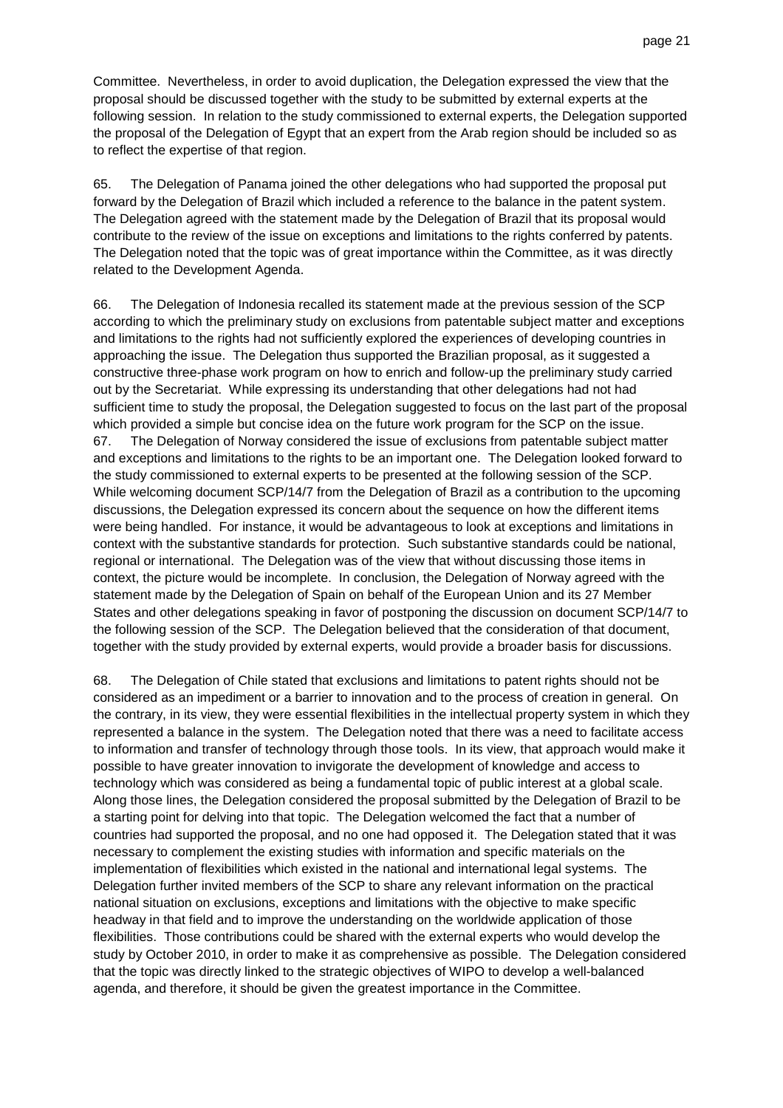Committee. Nevertheless, in order to avoid duplication, the Delegation expressed the view that the proposal should be discussed together with the study to be submitted by external experts at the following session. In relation to the study commissioned to external experts, the Delegation supported the proposal of the Delegation of Egypt that an expert from the Arab region should be included so as to reflect the expertise of that region.

65. The Delegation of Panama joined the other delegations who had supported the proposal put forward by the Delegation of Brazil which included a reference to the balance in the patent system. The Delegation agreed with the statement made by the Delegation of Brazil that its proposal would contribute to the review of the issue on exceptions and limitations to the rights conferred by patents. The Delegation noted that the topic was of great importance within the Committee, as it was directly related to the Development Agenda.

66. The Delegation of Indonesia recalled its statement made at the previous session of the SCP according to which the preliminary study on exclusions from patentable subject matter and exceptions and limitations to the rights had not sufficiently explored the experiences of developing countries in approaching the issue. The Delegation thus supported the Brazilian proposal, as it suggested a constructive three-phase work program on how to enrich and follow-up the preliminary study carried out by the Secretariat. While expressing its understanding that other delegations had not had sufficient time to study the proposal, the Delegation suggested to focus on the last part of the proposal which provided a simple but concise idea on the future work program for the SCP on the issue. 67. The Delegation of Norway considered the issue of exclusions from patentable subject matter and exceptions and limitations to the rights to be an important one. The Delegation looked forward to the study commissioned to external experts to be presented at the following session of the SCP. While welcoming document SCP/14/7 from the Delegation of Brazil as a contribution to the upcoming discussions, the Delegation expressed its concern about the sequence on how the different items were being handled. For instance, it would be advantageous to look at exceptions and limitations in context with the substantive standards for protection. Such substantive standards could be national, regional or international. The Delegation was of the view that without discussing those items in context, the picture would be incomplete. In conclusion, the Delegation of Norway agreed with the statement made by the Delegation of Spain on behalf of the European Union and its 27 Member States and other delegations speaking in favor of postponing the discussion on document SCP/14/7 to the following session of the SCP. The Delegation believed that the consideration of that document, together with the study provided by external experts, would provide a broader basis for discussions.

68. The Delegation of Chile stated that exclusions and limitations to patent rights should not be considered as an impediment or a barrier to innovation and to the process of creation in general. On the contrary, in its view, they were essential flexibilities in the intellectual property system in which they represented a balance in the system. The Delegation noted that there was a need to facilitate access to information and transfer of technology through those tools. In its view, that approach would make it possible to have greater innovation to invigorate the development of knowledge and access to technology which was considered as being a fundamental topic of public interest at a global scale. Along those lines, the Delegation considered the proposal submitted by the Delegation of Brazil to be a starting point for delving into that topic. The Delegation welcomed the fact that a number of countries had supported the proposal, and no one had opposed it. The Delegation stated that it was necessary to complement the existing studies with information and specific materials on the implementation of flexibilities which existed in the national and international legal systems. The Delegation further invited members of the SCP to share any relevant information on the practical national situation on exclusions, exceptions and limitations with the objective to make specific headway in that field and to improve the understanding on the worldwide application of those flexibilities. Those contributions could be shared with the external experts who would develop the study by October 2010, in order to make it as comprehensive as possible. The Delegation considered that the topic was directly linked to the strategic objectives of WIPO to develop a well-balanced agenda, and therefore, it should be given the greatest importance in the Committee.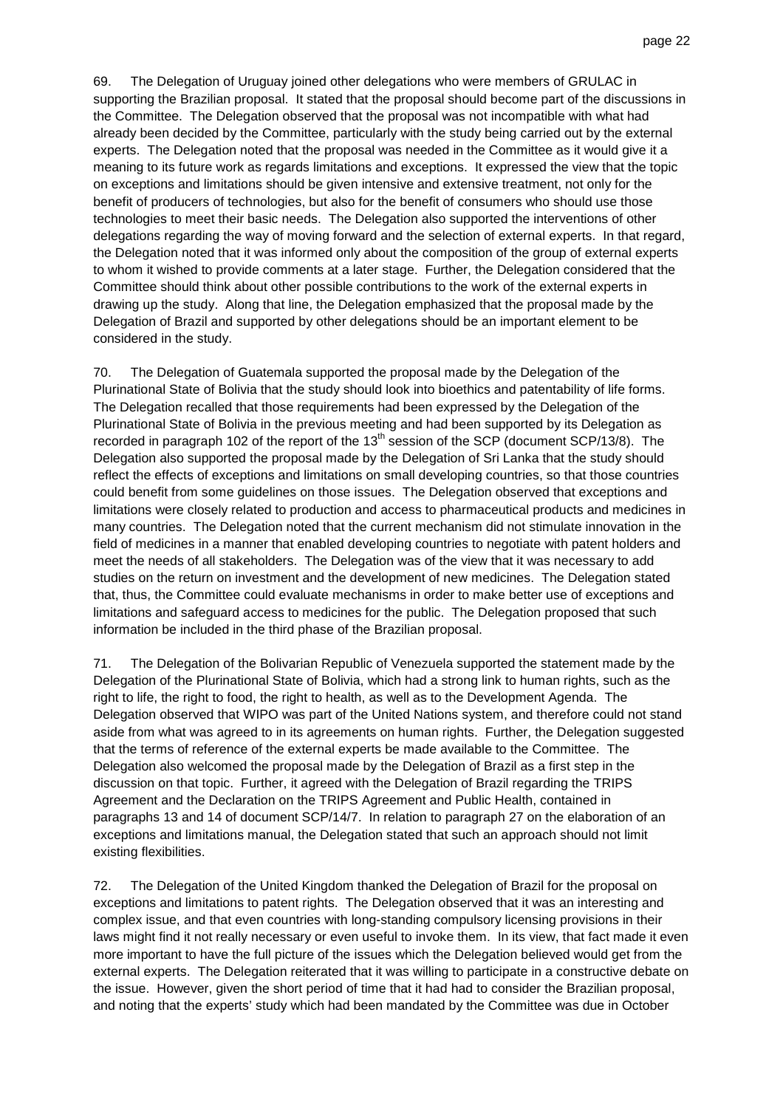69. The Delegation of Uruguay joined other delegations who were members of GRULAC in supporting the Brazilian proposal. It stated that the proposal should become part of the discussions in the Committee. The Delegation observed that the proposal was not incompatible with what had already been decided by the Committee, particularly with the study being carried out by the external experts. The Delegation noted that the proposal was needed in the Committee as it would give it a meaning to its future work as regards limitations and exceptions. It expressed the view that the topic on exceptions and limitations should be given intensive and extensive treatment, not only for the benefit of producers of technologies, but also for the benefit of consumers who should use those technologies to meet their basic needs. The Delegation also supported the interventions of other delegations regarding the way of moving forward and the selection of external experts. In that regard, the Delegation noted that it was informed only about the composition of the group of external experts to whom it wished to provide comments at a later stage. Further, the Delegation considered that the Committee should think about other possible contributions to the work of the external experts in drawing up the study. Along that line, the Delegation emphasized that the proposal made by the Delegation of Brazil and supported by other delegations should be an important element to be considered in the study.

70. The Delegation of Guatemala supported the proposal made by the Delegation of the Plurinational State of Bolivia that the study should look into bioethics and patentability of life forms. The Delegation recalled that those requirements had been expressed by the Delegation of the Plurinational State of Bolivia in the previous meeting and had been supported by its Delegation as recorded in paragraph 102 of the report of the  $13<sup>th</sup>$  session of the SCP (document SCP/13/8). The Delegation also supported the proposal made by the Delegation of Sri Lanka that the study should reflect the effects of exceptions and limitations on small developing countries, so that those countries could benefit from some guidelines on those issues. The Delegation observed that exceptions and limitations were closely related to production and access to pharmaceutical products and medicines in many countries. The Delegation noted that the current mechanism did not stimulate innovation in the field of medicines in a manner that enabled developing countries to negotiate with patent holders and meet the needs of all stakeholders. The Delegation was of the view that it was necessary to add studies on the return on investment and the development of new medicines. The Delegation stated that, thus, the Committee could evaluate mechanisms in order to make better use of exceptions and limitations and safeguard access to medicines for the public. The Delegation proposed that such information be included in the third phase of the Brazilian proposal.

71. The Delegation of the Bolivarian Republic of Venezuela supported the statement made by the Delegation of the Plurinational State of Bolivia, which had a strong link to human rights, such as the right to life, the right to food, the right to health, as well as to the Development Agenda. The Delegation observed that WIPO was part of the United Nations system, and therefore could not stand aside from what was agreed to in its agreements on human rights. Further, the Delegation suggested that the terms of reference of the external experts be made available to the Committee. The Delegation also welcomed the proposal made by the Delegation of Brazil as a first step in the discussion on that topic. Further, it agreed with the Delegation of Brazil regarding the TRIPS Agreement and the Declaration on the TRIPS Agreement and Public Health, contained in paragraphs 13 and 14 of document SCP/14/7. In relation to paragraph 27 on the elaboration of an exceptions and limitations manual, the Delegation stated that such an approach should not limit existing flexibilities.

72. The Delegation of the United Kingdom thanked the Delegation of Brazil for the proposal on exceptions and limitations to patent rights. The Delegation observed that it was an interesting and complex issue, and that even countries with long-standing compulsory licensing provisions in their laws might find it not really necessary or even useful to invoke them. In its view, that fact made it even more important to have the full picture of the issues which the Delegation believed would get from the external experts. The Delegation reiterated that it was willing to participate in a constructive debate on the issue. However, given the short period of time that it had had to consider the Brazilian proposal, and noting that the experts' study which had been mandated by the Committee was due in October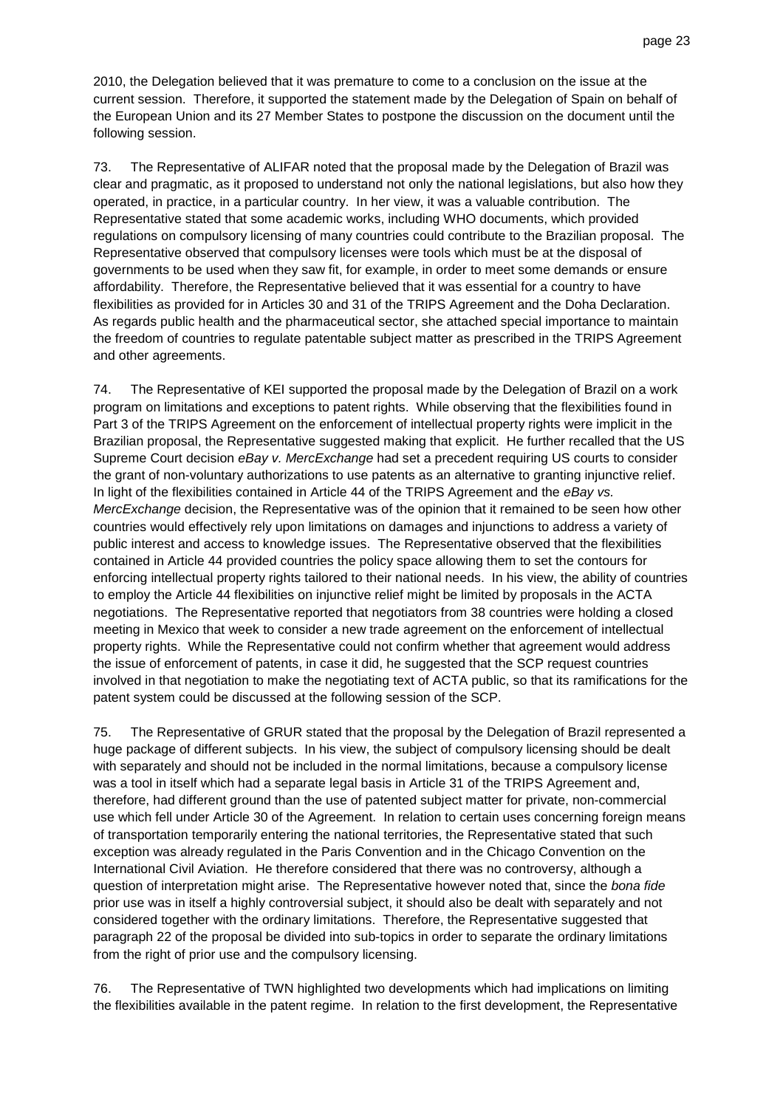2010, the Delegation believed that it was premature to come to a conclusion on the issue at the current session. Therefore, it supported the statement made by the Delegation of Spain on behalf of the European Union and its 27 Member States to postpone the discussion on the document until the following session.

73. The Representative of ALIFAR noted that the proposal made by the Delegation of Brazil was clear and pragmatic, as it proposed to understand not only the national legislations, but also how they operated, in practice, in a particular country. In her view, it was a valuable contribution. The Representative stated that some academic works, including WHO documents, which provided regulations on compulsory licensing of many countries could contribute to the Brazilian proposal. The Representative observed that compulsory licenses were tools which must be at the disposal of governments to be used when they saw fit, for example, in order to meet some demands or ensure affordability. Therefore, the Representative believed that it was essential for a country to have flexibilities as provided for in Articles 30 and 31 of the TRIPS Agreement and the Doha Declaration. As regards public health and the pharmaceutical sector, she attached special importance to maintain the freedom of countries to regulate patentable subject matter as prescribed in the TRIPS Agreement and other agreements.

74. The Representative of KEI supported the proposal made by the Delegation of Brazil on a work program on limitations and exceptions to patent rights. While observing that the flexibilities found in Part 3 of the TRIPS Agreement on the enforcement of intellectual property rights were implicit in the Brazilian proposal, the Representative suggested making that explicit. He further recalled that the US Supreme Court decision eBay v. MercExchange had set a precedent requiring US courts to consider the grant of non-voluntary authorizations to use patents as an alternative to granting injunctive relief. In light of the flexibilities contained in Article 44 of the TRIPS Agreement and the eBay vs. MercExchange decision, the Representative was of the opinion that it remained to be seen how other countries would effectively rely upon limitations on damages and injunctions to address a variety of public interest and access to knowledge issues. The Representative observed that the flexibilities contained in Article 44 provided countries the policy space allowing them to set the contours for enforcing intellectual property rights tailored to their national needs. In his view, the ability of countries to employ the Article 44 flexibilities on injunctive relief might be limited by proposals in the ACTA negotiations. The Representative reported that negotiators from 38 countries were holding a closed meeting in Mexico that week to consider a new trade agreement on the enforcement of intellectual property rights. While the Representative could not confirm whether that agreement would address the issue of enforcement of patents, in case it did, he suggested that the SCP request countries involved in that negotiation to make the negotiating text of ACTA public, so that its ramifications for the patent system could be discussed at the following session of the SCP.

75. The Representative of GRUR stated that the proposal by the Delegation of Brazil represented a huge package of different subjects. In his view, the subject of compulsory licensing should be dealt with separately and should not be included in the normal limitations, because a compulsory license was a tool in itself which had a separate legal basis in Article 31 of the TRIPS Agreement and, therefore, had different ground than the use of patented subject matter for private, non-commercial use which fell under Article 30 of the Agreement. In relation to certain uses concerning foreign means of transportation temporarily entering the national territories, the Representative stated that such exception was already regulated in the Paris Convention and in the Chicago Convention on the International Civil Aviation. He therefore considered that there was no controversy, although a question of interpretation might arise. The Representative however noted that, since the bona fide prior use was in itself a highly controversial subject, it should also be dealt with separately and not considered together with the ordinary limitations. Therefore, the Representative suggested that paragraph 22 of the proposal be divided into sub-topics in order to separate the ordinary limitations from the right of prior use and the compulsory licensing.

76. The Representative of TWN highlighted two developments which had implications on limiting the flexibilities available in the patent regime. In relation to the first development, the Representative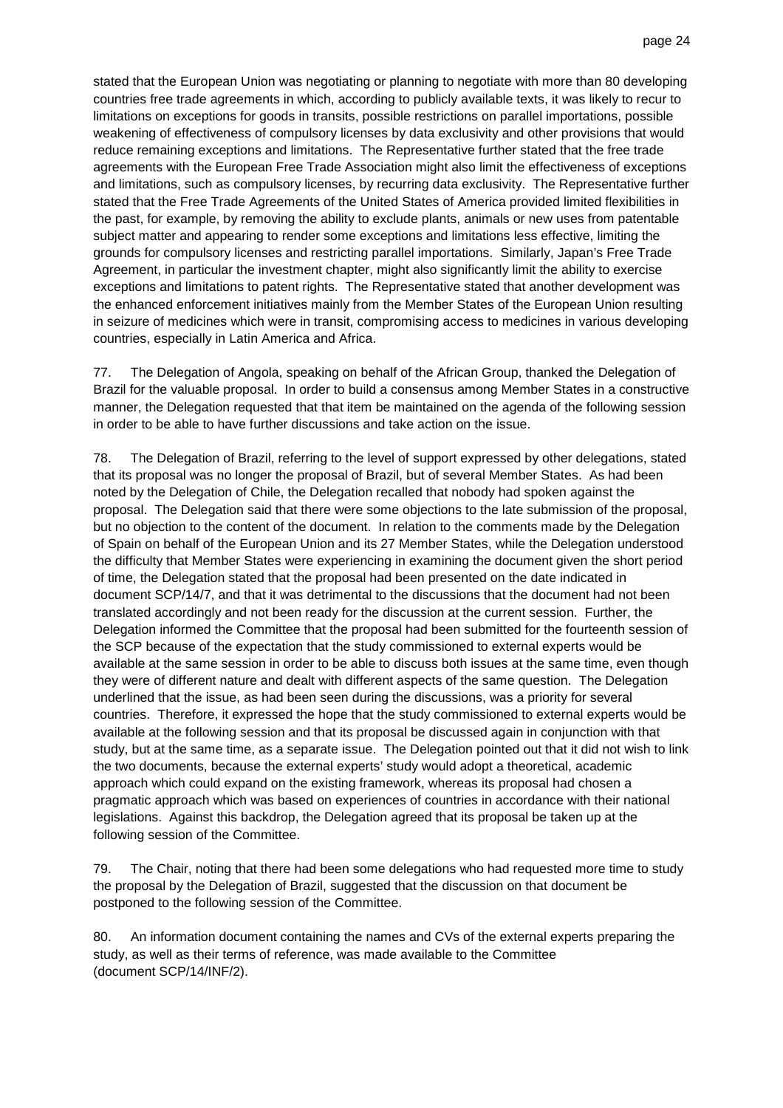stated that the European Union was negotiating or planning to negotiate with more than 80 developing countries free trade agreements in which, according to publicly available texts, it was likely to recur to limitations on exceptions for goods in transits, possible restrictions on parallel importations, possible weakening of effectiveness of compulsory licenses by data exclusivity and other provisions that would reduce remaining exceptions and limitations. The Representative further stated that the free trade agreements with the European Free Trade Association might also limit the effectiveness of exceptions and limitations, such as compulsory licenses, by recurring data exclusivity. The Representative further stated that the Free Trade Agreements of the United States of America provided limited flexibilities in the past, for example, by removing the ability to exclude plants, animals or new uses from patentable subject matter and appearing to render some exceptions and limitations less effective, limiting the grounds for compulsory licenses and restricting parallel importations. Similarly, Japan's Free Trade Agreement, in particular the investment chapter, might also significantly limit the ability to exercise exceptions and limitations to patent rights. The Representative stated that another development was the enhanced enforcement initiatives mainly from the Member States of the European Union resulting in seizure of medicines which were in transit, compromising access to medicines in various developing countries, especially in Latin America and Africa.

77. The Delegation of Angola, speaking on behalf of the African Group, thanked the Delegation of Brazil for the valuable proposal. In order to build a consensus among Member States in a constructive manner, the Delegation requested that that item be maintained on the agenda of the following session in order to be able to have further discussions and take action on the issue.

78. The Delegation of Brazil, referring to the level of support expressed by other delegations, stated that its proposal was no longer the proposal of Brazil, but of several Member States. As had been noted by the Delegation of Chile, the Delegation recalled that nobody had spoken against the proposal. The Delegation said that there were some objections to the late submission of the proposal, but no objection to the content of the document. In relation to the comments made by the Delegation of Spain on behalf of the European Union and its 27 Member States, while the Delegation understood the difficulty that Member States were experiencing in examining the document given the short period of time, the Delegation stated that the proposal had been presented on the date indicated in document SCP/14/7, and that it was detrimental to the discussions that the document had not been translated accordingly and not been ready for the discussion at the current session. Further, the Delegation informed the Committee that the proposal had been submitted for the fourteenth session of the SCP because of the expectation that the study commissioned to external experts would be available at the same session in order to be able to discuss both issues at the same time, even though they were of different nature and dealt with different aspects of the same question. The Delegation underlined that the issue, as had been seen during the discussions, was a priority for several countries. Therefore, it expressed the hope that the study commissioned to external experts would be available at the following session and that its proposal be discussed again in conjunction with that study, but at the same time, as a separate issue. The Delegation pointed out that it did not wish to link the two documents, because the external experts' study would adopt a theoretical, academic approach which could expand on the existing framework, whereas its proposal had chosen a pragmatic approach which was based on experiences of countries in accordance with their national legislations. Against this backdrop, the Delegation agreed that its proposal be taken up at the following session of the Committee.

79. The Chair, noting that there had been some delegations who had requested more time to study the proposal by the Delegation of Brazil, suggested that the discussion on that document be postponed to the following session of the Committee.

80. An information document containing the names and CVs of the external experts preparing the study, as well as their terms of reference, was made available to the Committee (document SCP/14/INF/2).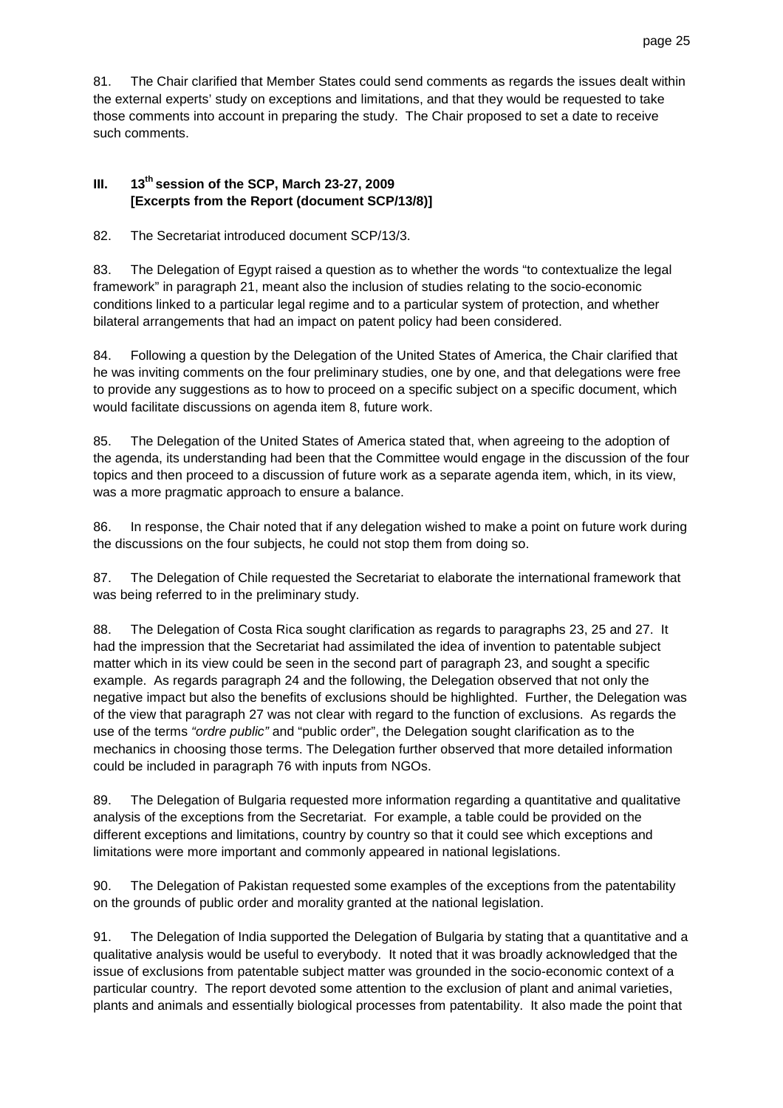81. The Chair clarified that Member States could send comments as regards the issues dealt within the external experts' study on exceptions and limitations, and that they would be requested to take those comments into account in preparing the study. The Chair proposed to set a date to receive such comments.

## **III. 13th session of the SCP, March 23-27, 2009 [Excerpts from the Report (document SCP/13/8)]**

82. The Secretariat introduced document SCP/13/3.

83. The Delegation of Egypt raised a question as to whether the words "to contextualize the legal framework" in paragraph 21, meant also the inclusion of studies relating to the socio-economic conditions linked to a particular legal regime and to a particular system of protection, and whether bilateral arrangements that had an impact on patent policy had been considered.

84. Following a question by the Delegation of the United States of America, the Chair clarified that he was inviting comments on the four preliminary studies, one by one, and that delegations were free to provide any suggestions as to how to proceed on a specific subject on a specific document, which would facilitate discussions on agenda item 8, future work.

85. The Delegation of the United States of America stated that, when agreeing to the adoption of the agenda, its understanding had been that the Committee would engage in the discussion of the four topics and then proceed to a discussion of future work as a separate agenda item, which, in its view, was a more pragmatic approach to ensure a balance.

86. In response, the Chair noted that if any delegation wished to make a point on future work during the discussions on the four subjects, he could not stop them from doing so.

87. The Delegation of Chile requested the Secretariat to elaborate the international framework that was being referred to in the preliminary study.

88. The Delegation of Costa Rica sought clarification as regards to paragraphs 23, 25 and 27. It had the impression that the Secretariat had assimilated the idea of invention to patentable subject matter which in its view could be seen in the second part of paragraph 23, and sought a specific example. As regards paragraph 24 and the following, the Delegation observed that not only the negative impact but also the benefits of exclusions should be highlighted. Further, the Delegation was of the view that paragraph 27 was not clear with regard to the function of exclusions. As regards the use of the terms "ordre public" and "public order", the Delegation sought clarification as to the mechanics in choosing those terms. The Delegation further observed that more detailed information could be included in paragraph 76 with inputs from NGOs.

89. The Delegation of Bulgaria requested more information regarding a quantitative and qualitative analysis of the exceptions from the Secretariat. For example, a table could be provided on the different exceptions and limitations, country by country so that it could see which exceptions and limitations were more important and commonly appeared in national legislations.

90. The Delegation of Pakistan requested some examples of the exceptions from the patentability on the grounds of public order and morality granted at the national legislation.

91. The Delegation of India supported the Delegation of Bulgaria by stating that a quantitative and a qualitative analysis would be useful to everybody. It noted that it was broadly acknowledged that the issue of exclusions from patentable subject matter was grounded in the socio-economic context of a particular country. The report devoted some attention to the exclusion of plant and animal varieties, plants and animals and essentially biological processes from patentability. It also made the point that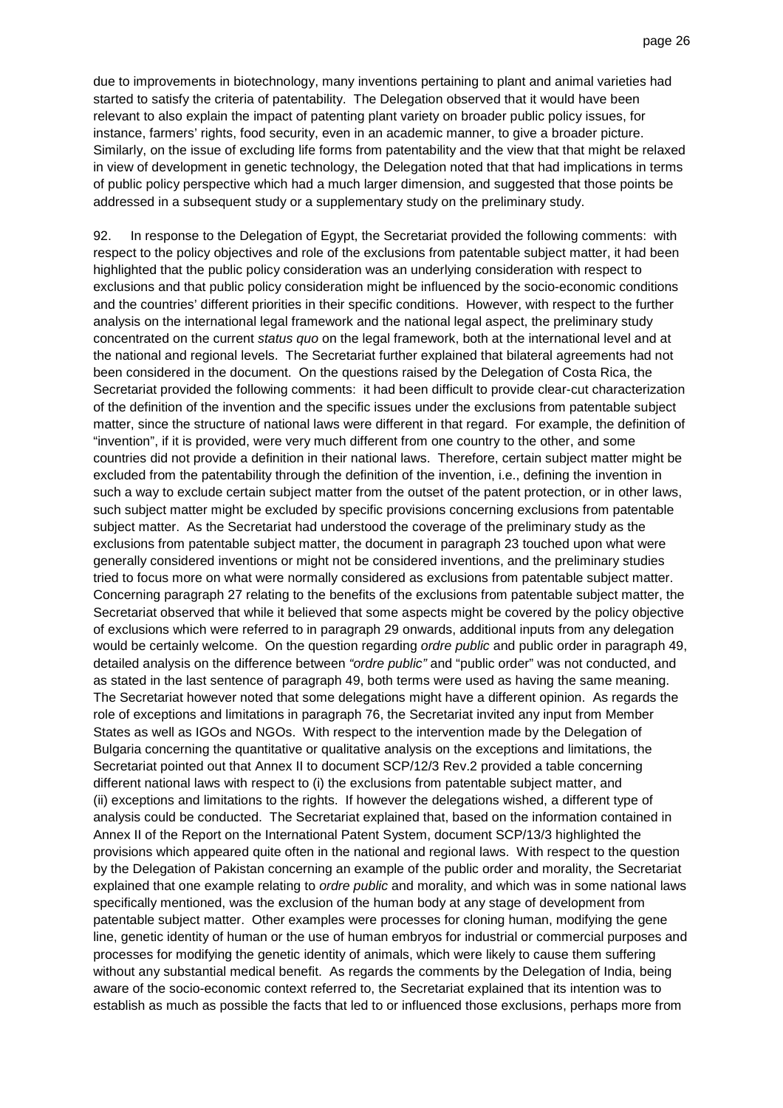due to improvements in biotechnology, many inventions pertaining to plant and animal varieties had started to satisfy the criteria of patentability. The Delegation observed that it would have been relevant to also explain the impact of patenting plant variety on broader public policy issues, for instance, farmers' rights, food security, even in an academic manner, to give a broader picture. Similarly, on the issue of excluding life forms from patentability and the view that that might be relaxed in view of development in genetic technology, the Delegation noted that that had implications in terms of public policy perspective which had a much larger dimension, and suggested that those points be addressed in a subsequent study or a supplementary study on the preliminary study.

92. In response to the Delegation of Egypt, the Secretariat provided the following comments: with respect to the policy objectives and role of the exclusions from patentable subject matter, it had been highlighted that the public policy consideration was an underlying consideration with respect to exclusions and that public policy consideration might be influenced by the socio-economic conditions and the countries' different priorities in their specific conditions. However, with respect to the further analysis on the international legal framework and the national legal aspect, the preliminary study concentrated on the current status quo on the legal framework, both at the international level and at the national and regional levels. The Secretariat further explained that bilateral agreements had not been considered in the document. On the questions raised by the Delegation of Costa Rica, the Secretariat provided the following comments: it had been difficult to provide clear-cut characterization of the definition of the invention and the specific issues under the exclusions from patentable subject matter, since the structure of national laws were different in that regard. For example, the definition of "invention", if it is provided, were very much different from one country to the other, and some countries did not provide a definition in their national laws. Therefore, certain subject matter might be excluded from the patentability through the definition of the invention, i.e., defining the invention in such a way to exclude certain subject matter from the outset of the patent protection, or in other laws, such subject matter might be excluded by specific provisions concerning exclusions from patentable subject matter. As the Secretariat had understood the coverage of the preliminary study as the exclusions from patentable subject matter, the document in paragraph 23 touched upon what were generally considered inventions or might not be considered inventions, and the preliminary studies tried to focus more on what were normally considered as exclusions from patentable subject matter. Concerning paragraph 27 relating to the benefits of the exclusions from patentable subject matter, the Secretariat observed that while it believed that some aspects might be covered by the policy objective of exclusions which were referred to in paragraph 29 onwards, additional inputs from any delegation would be certainly welcome. On the question regarding ordre public and public order in paragraph 49, detailed analysis on the difference between "ordre public" and "public order" was not conducted, and as stated in the last sentence of paragraph 49, both terms were used as having the same meaning. The Secretariat however noted that some delegations might have a different opinion. As regards the role of exceptions and limitations in paragraph 76, the Secretariat invited any input from Member States as well as IGOs and NGOs. With respect to the intervention made by the Delegation of Bulgaria concerning the quantitative or qualitative analysis on the exceptions and limitations, the Secretariat pointed out that Annex II to document SCP/12/3 Rev.2 provided a table concerning different national laws with respect to (i) the exclusions from patentable subject matter, and (ii) exceptions and limitations to the rights. If however the delegations wished, a different type of analysis could be conducted. The Secretariat explained that, based on the information contained in Annex II of the Report on the International Patent System, document SCP/13/3 highlighted the provisions which appeared quite often in the national and regional laws. With respect to the question by the Delegation of Pakistan concerning an example of the public order and morality, the Secretariat explained that one example relating to *ordre public* and morality, and which was in some national laws specifically mentioned, was the exclusion of the human body at any stage of development from patentable subject matter. Other examples were processes for cloning human, modifying the gene line, genetic identity of human or the use of human embryos for industrial or commercial purposes and processes for modifying the genetic identity of animals, which were likely to cause them suffering without any substantial medical benefit. As regards the comments by the Delegation of India, being aware of the socio-economic context referred to, the Secretariat explained that its intention was to establish as much as possible the facts that led to or influenced those exclusions, perhaps more from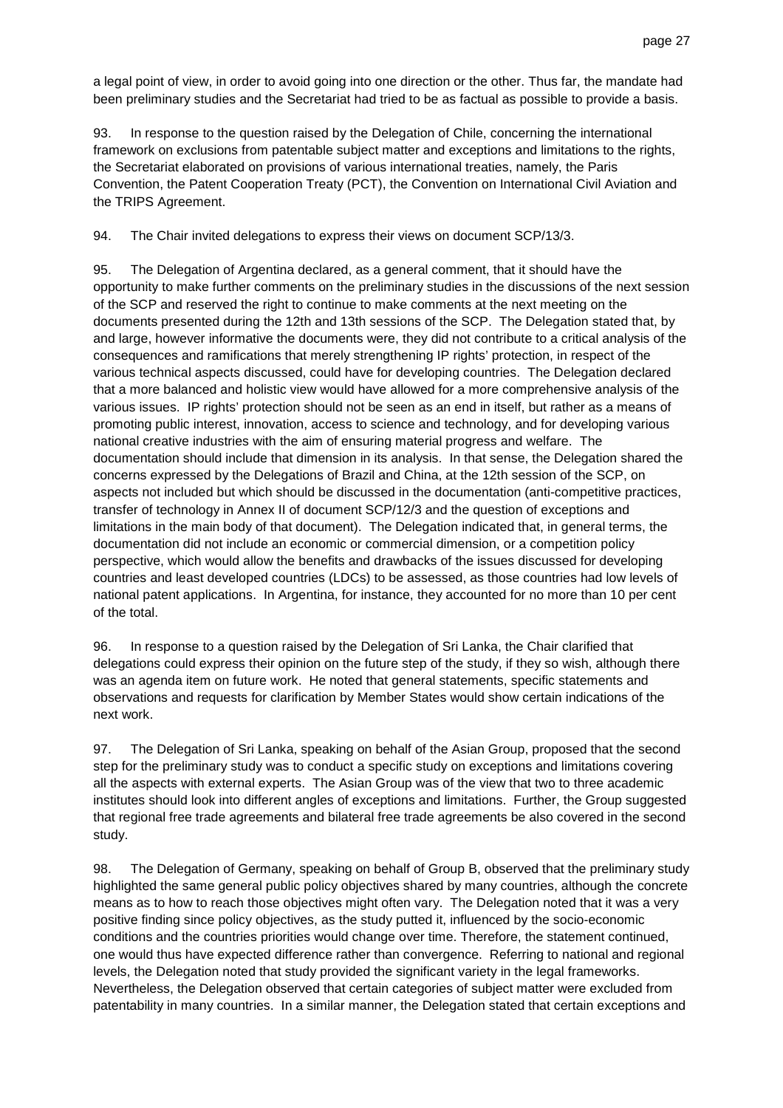a legal point of view, in order to avoid going into one direction or the other. Thus far, the mandate had been preliminary studies and the Secretariat had tried to be as factual as possible to provide a basis.

93. In response to the question raised by the Delegation of Chile, concerning the international framework on exclusions from patentable subject matter and exceptions and limitations to the rights, the Secretariat elaborated on provisions of various international treaties, namely, the Paris Convention, the Patent Cooperation Treaty (PCT), the Convention on International Civil Aviation and the TRIPS Agreement.

94. The Chair invited delegations to express their views on document SCP/13/3.

95. The Delegation of Argentina declared, as a general comment, that it should have the opportunity to make further comments on the preliminary studies in the discussions of the next session of the SCP and reserved the right to continue to make comments at the next meeting on the documents presented during the 12th and 13th sessions of the SCP. The Delegation stated that, by and large, however informative the documents were, they did not contribute to a critical analysis of the consequences and ramifications that merely strengthening IP rights' protection, in respect of the various technical aspects discussed, could have for developing countries. The Delegation declared that a more balanced and holistic view would have allowed for a more comprehensive analysis of the various issues. IP rights' protection should not be seen as an end in itself, but rather as a means of promoting public interest, innovation, access to science and technology, and for developing various national creative industries with the aim of ensuring material progress and welfare. The documentation should include that dimension in its analysis. In that sense, the Delegation shared the concerns expressed by the Delegations of Brazil and China, at the 12th session of the SCP, on aspects not included but which should be discussed in the documentation (anti-competitive practices, transfer of technology in Annex II of document SCP/12/3 and the question of exceptions and limitations in the main body of that document). The Delegation indicated that, in general terms, the documentation did not include an economic or commercial dimension, or a competition policy perspective, which would allow the benefits and drawbacks of the issues discussed for developing countries and least developed countries (LDCs) to be assessed, as those countries had low levels of national patent applications. In Argentina, for instance, they accounted for no more than 10 per cent of the total.

96. In response to a question raised by the Delegation of Sri Lanka, the Chair clarified that delegations could express their opinion on the future step of the study, if they so wish, although there was an agenda item on future work. He noted that general statements, specific statements and observations and requests for clarification by Member States would show certain indications of the next work.

97. The Delegation of Sri Lanka, speaking on behalf of the Asian Group, proposed that the second step for the preliminary study was to conduct a specific study on exceptions and limitations covering all the aspects with external experts. The Asian Group was of the view that two to three academic institutes should look into different angles of exceptions and limitations. Further, the Group suggested that regional free trade agreements and bilateral free trade agreements be also covered in the second study.

98. The Delegation of Germany, speaking on behalf of Group B, observed that the preliminary study highlighted the same general public policy objectives shared by many countries, although the concrete means as to how to reach those objectives might often vary. The Delegation noted that it was a very positive finding since policy objectives, as the study putted it, influenced by the socio-economic conditions and the countries priorities would change over time. Therefore, the statement continued, one would thus have expected difference rather than convergence. Referring to national and regional levels, the Delegation noted that study provided the significant variety in the legal frameworks. Nevertheless, the Delegation observed that certain categories of subject matter were excluded from patentability in many countries. In a similar manner, the Delegation stated that certain exceptions and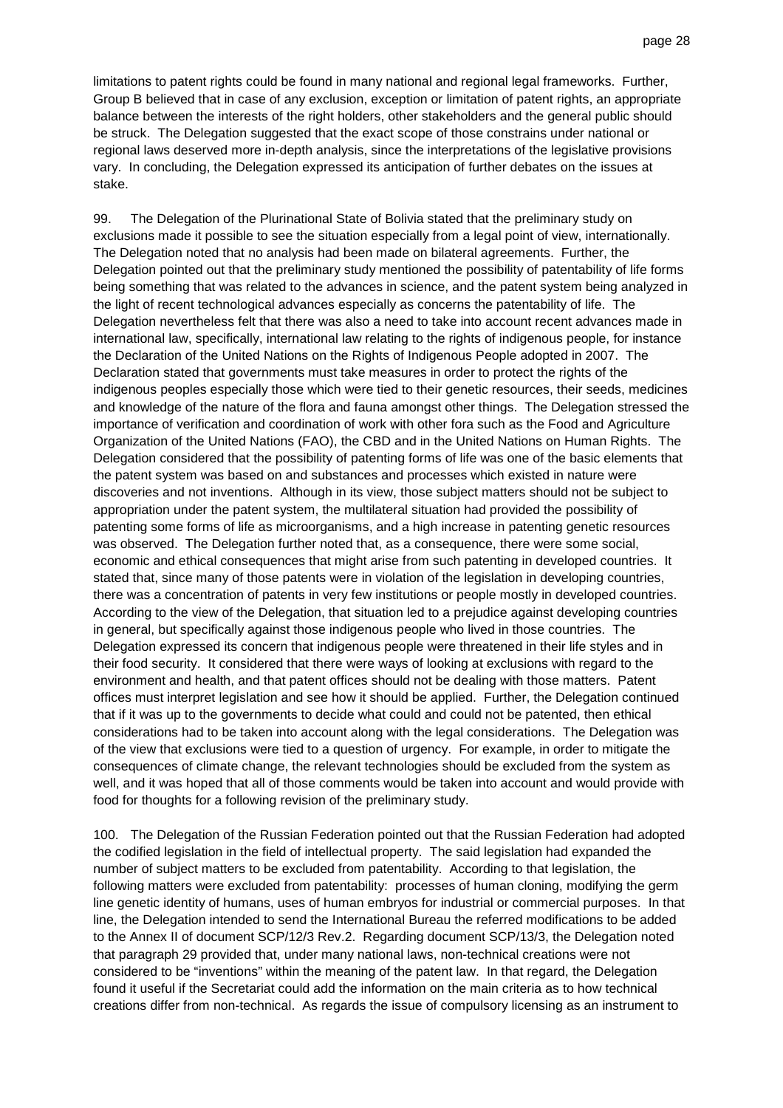limitations to patent rights could be found in many national and regional legal frameworks. Further, Group B believed that in case of any exclusion, exception or limitation of patent rights, an appropriate balance between the interests of the right holders, other stakeholders and the general public should be struck. The Delegation suggested that the exact scope of those constrains under national or regional laws deserved more in-depth analysis, since the interpretations of the legislative provisions vary. In concluding, the Delegation expressed its anticipation of further debates on the issues at stake.

99. The Delegation of the Plurinational State of Bolivia stated that the preliminary study on exclusions made it possible to see the situation especially from a legal point of view, internationally. The Delegation noted that no analysis had been made on bilateral agreements. Further, the Delegation pointed out that the preliminary study mentioned the possibility of patentability of life forms being something that was related to the advances in science, and the patent system being analyzed in the light of recent technological advances especially as concerns the patentability of life. The Delegation nevertheless felt that there was also a need to take into account recent advances made in international law, specifically, international law relating to the rights of indigenous people, for instance the Declaration of the United Nations on the Rights of Indigenous People adopted in 2007. The Declaration stated that governments must take measures in order to protect the rights of the indigenous peoples especially those which were tied to their genetic resources, their seeds, medicines and knowledge of the nature of the flora and fauna amongst other things. The Delegation stressed the importance of verification and coordination of work with other fora such as the Food and Agriculture Organization of the United Nations (FAO), the CBD and in the United Nations on Human Rights. The Delegation considered that the possibility of patenting forms of life was one of the basic elements that the patent system was based on and substances and processes which existed in nature were discoveries and not inventions. Although in its view, those subject matters should not be subject to appropriation under the patent system, the multilateral situation had provided the possibility of patenting some forms of life as microorganisms, and a high increase in patenting genetic resources was observed. The Delegation further noted that, as a consequence, there were some social, economic and ethical consequences that might arise from such patenting in developed countries. It stated that, since many of those patents were in violation of the legislation in developing countries, there was a concentration of patents in very few institutions or people mostly in developed countries. According to the view of the Delegation, that situation led to a prejudice against developing countries in general, but specifically against those indigenous people who lived in those countries. The Delegation expressed its concern that indigenous people were threatened in their life styles and in their food security. It considered that there were ways of looking at exclusions with regard to the environment and health, and that patent offices should not be dealing with those matters. Patent offices must interpret legislation and see how it should be applied. Further, the Delegation continued that if it was up to the governments to decide what could and could not be patented, then ethical considerations had to be taken into account along with the legal considerations. The Delegation was of the view that exclusions were tied to a question of urgency. For example, in order to mitigate the consequences of climate change, the relevant technologies should be excluded from the system as well, and it was hoped that all of those comments would be taken into account and would provide with food for thoughts for a following revision of the preliminary study.

100. The Delegation of the Russian Federation pointed out that the Russian Federation had adopted the codified legislation in the field of intellectual property. The said legislation had expanded the number of subject matters to be excluded from patentability. According to that legislation, the following matters were excluded from patentability: processes of human cloning, modifying the germ line genetic identity of humans, uses of human embryos for industrial or commercial purposes. In that line, the Delegation intended to send the International Bureau the referred modifications to be added to the Annex II of document SCP/12/3 Rev.2. Regarding document SCP/13/3, the Delegation noted that paragraph 29 provided that, under many national laws, non-technical creations were not considered to be "inventions" within the meaning of the patent law. In that regard, the Delegation found it useful if the Secretariat could add the information on the main criteria as to how technical creations differ from non-technical. As regards the issue of compulsory licensing as an instrument to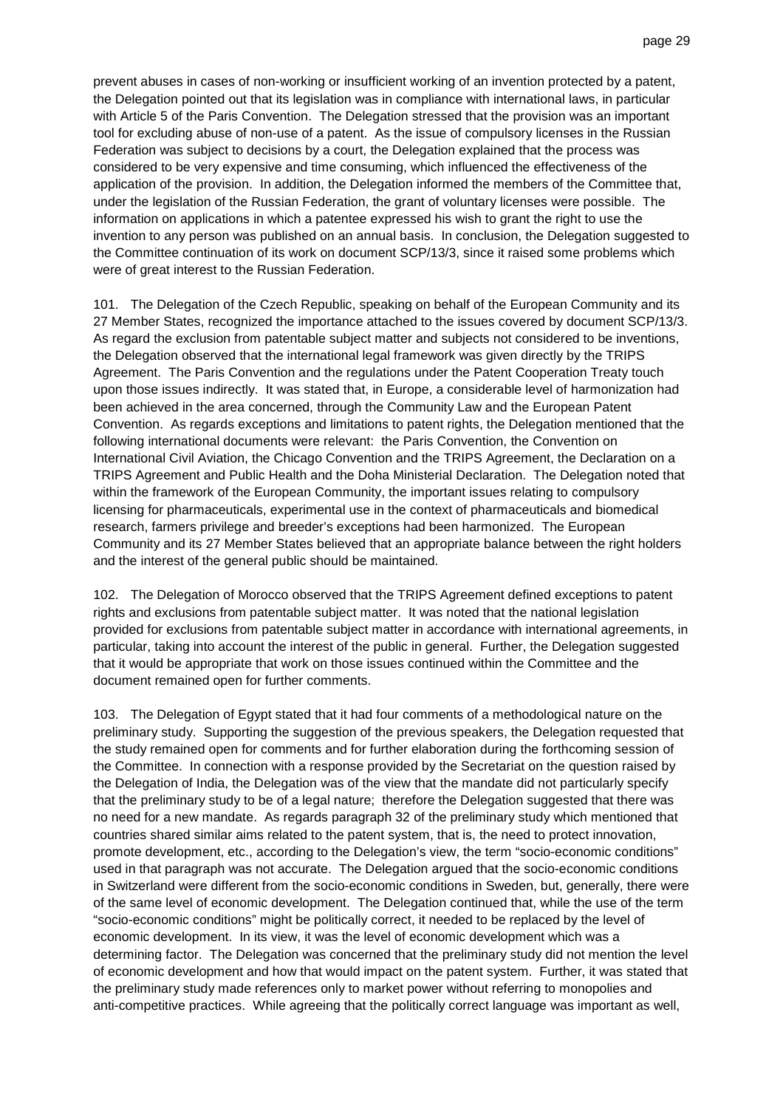prevent abuses in cases of non-working or insufficient working of an invention protected by a patent, the Delegation pointed out that its legislation was in compliance with international laws, in particular with Article 5 of the Paris Convention. The Delegation stressed that the provision was an important tool for excluding abuse of non-use of a patent. As the issue of compulsory licenses in the Russian Federation was subject to decisions by a court, the Delegation explained that the process was considered to be very expensive and time consuming, which influenced the effectiveness of the application of the provision. In addition, the Delegation informed the members of the Committee that, under the legislation of the Russian Federation, the grant of voluntary licenses were possible. The information on applications in which a patentee expressed his wish to grant the right to use the invention to any person was published on an annual basis. In conclusion, the Delegation suggested to the Committee continuation of its work on document SCP/13/3, since it raised some problems which were of great interest to the Russian Federation.

101. The Delegation of the Czech Republic, speaking on behalf of the European Community and its 27 Member States, recognized the importance attached to the issues covered by document SCP/13/3. As regard the exclusion from patentable subject matter and subjects not considered to be inventions, the Delegation observed that the international legal framework was given directly by the TRIPS Agreement. The Paris Convention and the regulations under the Patent Cooperation Treaty touch upon those issues indirectly. It was stated that, in Europe, a considerable level of harmonization had been achieved in the area concerned, through the Community Law and the European Patent Convention. As regards exceptions and limitations to patent rights, the Delegation mentioned that the following international documents were relevant: the Paris Convention, the Convention on International Civil Aviation, the Chicago Convention and the TRIPS Agreement, the Declaration on a TRIPS Agreement and Public Health and the Doha Ministerial Declaration. The Delegation noted that within the framework of the European Community, the important issues relating to compulsory licensing for pharmaceuticals, experimental use in the context of pharmaceuticals and biomedical research, farmers privilege and breeder's exceptions had been harmonized. The European Community and its 27 Member States believed that an appropriate balance between the right holders and the interest of the general public should be maintained.

102. The Delegation of Morocco observed that the TRIPS Agreement defined exceptions to patent rights and exclusions from patentable subject matter. It was noted that the national legislation provided for exclusions from patentable subject matter in accordance with international agreements, in particular, taking into account the interest of the public in general. Further, the Delegation suggested that it would be appropriate that work on those issues continued within the Committee and the document remained open for further comments.

103. The Delegation of Egypt stated that it had four comments of a methodological nature on the preliminary study. Supporting the suggestion of the previous speakers, the Delegation requested that the study remained open for comments and for further elaboration during the forthcoming session of the Committee. In connection with a response provided by the Secretariat on the question raised by the Delegation of India, the Delegation was of the view that the mandate did not particularly specify that the preliminary study to be of a legal nature; therefore the Delegation suggested that there was no need for a new mandate. As regards paragraph 32 of the preliminary study which mentioned that countries shared similar aims related to the patent system, that is, the need to protect innovation, promote development, etc., according to the Delegation's view, the term "socio-economic conditions" used in that paragraph was not accurate. The Delegation argued that the socio-economic conditions in Switzerland were different from the socio-economic conditions in Sweden, but, generally, there were of the same level of economic development. The Delegation continued that, while the use of the term "socio-economic conditions" might be politically correct, it needed to be replaced by the level of economic development. In its view, it was the level of economic development which was a determining factor. The Delegation was concerned that the preliminary study did not mention the level of economic development and how that would impact on the patent system. Further, it was stated that the preliminary study made references only to market power without referring to monopolies and anti-competitive practices. While agreeing that the politically correct language was important as well,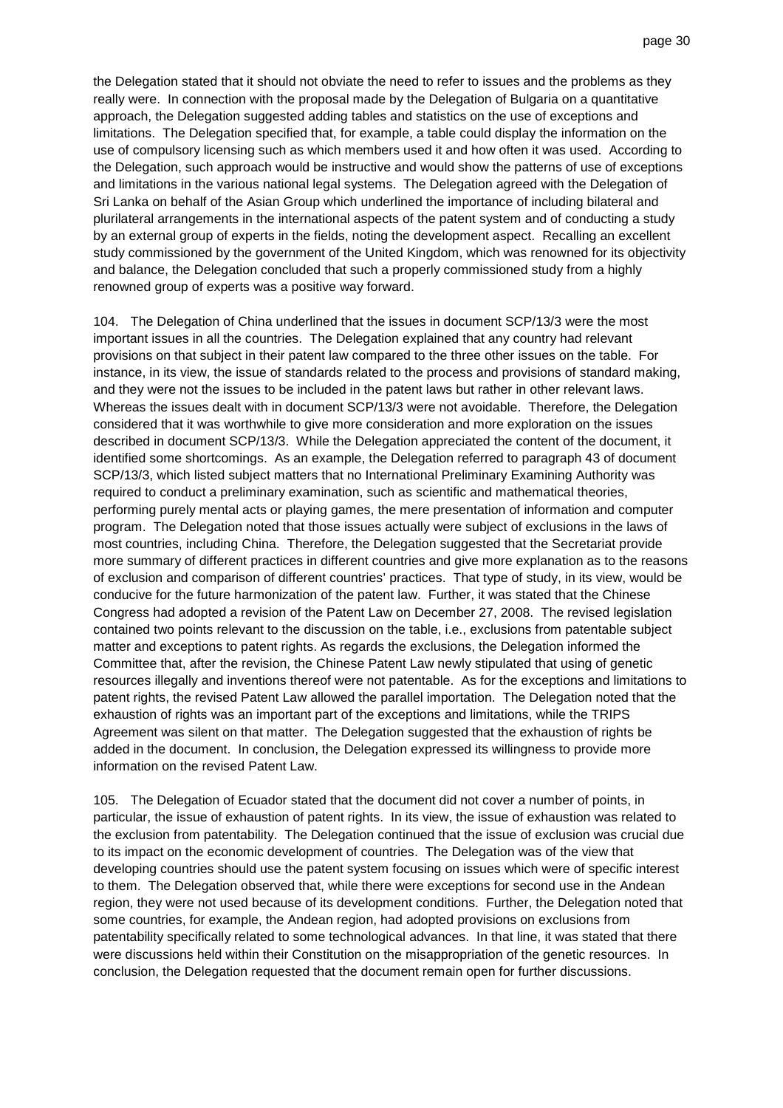the Delegation stated that it should not obviate the need to refer to issues and the problems as they really were. In connection with the proposal made by the Delegation of Bulgaria on a quantitative approach, the Delegation suggested adding tables and statistics on the use of exceptions and limitations. The Delegation specified that, for example, a table could display the information on the use of compulsory licensing such as which members used it and how often it was used. According to the Delegation, such approach would be instructive and would show the patterns of use of exceptions and limitations in the various national legal systems. The Delegation agreed with the Delegation of Sri Lanka on behalf of the Asian Group which underlined the importance of including bilateral and plurilateral arrangements in the international aspects of the patent system and of conducting a study by an external group of experts in the fields, noting the development aspect. Recalling an excellent study commissioned by the government of the United Kingdom, which was renowned for its objectivity and balance, the Delegation concluded that such a properly commissioned study from a highly renowned group of experts was a positive way forward.

104. The Delegation of China underlined that the issues in document SCP/13/3 were the most important issues in all the countries. The Delegation explained that any country had relevant provisions on that subject in their patent law compared to the three other issues on the table. For instance, in its view, the issue of standards related to the process and provisions of standard making, and they were not the issues to be included in the patent laws but rather in other relevant laws. Whereas the issues dealt with in document SCP/13/3 were not avoidable. Therefore, the Delegation considered that it was worthwhile to give more consideration and more exploration on the issues described in document SCP/13/3. While the Delegation appreciated the content of the document, it identified some shortcomings. As an example, the Delegation referred to paragraph 43 of document SCP/13/3, which listed subject matters that no International Preliminary Examining Authority was required to conduct a preliminary examination, such as scientific and mathematical theories, performing purely mental acts or playing games, the mere presentation of information and computer program. The Delegation noted that those issues actually were subject of exclusions in the laws of most countries, including China. Therefore, the Delegation suggested that the Secretariat provide more summary of different practices in different countries and give more explanation as to the reasons of exclusion and comparison of different countries' practices. That type of study, in its view, would be conducive for the future harmonization of the patent law. Further, it was stated that the Chinese Congress had adopted a revision of the Patent Law on December 27, 2008. The revised legislation contained two points relevant to the discussion on the table, i.e., exclusions from patentable subject matter and exceptions to patent rights. As regards the exclusions, the Delegation informed the Committee that, after the revision, the Chinese Patent Law newly stipulated that using of genetic resources illegally and inventions thereof were not patentable. As for the exceptions and limitations to patent rights, the revised Patent Law allowed the parallel importation. The Delegation noted that the exhaustion of rights was an important part of the exceptions and limitations, while the TRIPS Agreement was silent on that matter. The Delegation suggested that the exhaustion of rights be added in the document. In conclusion, the Delegation expressed its willingness to provide more information on the revised Patent Law.

105. The Delegation of Ecuador stated that the document did not cover a number of points, in particular, the issue of exhaustion of patent rights. In its view, the issue of exhaustion was related to the exclusion from patentability. The Delegation continued that the issue of exclusion was crucial due to its impact on the economic development of countries. The Delegation was of the view that developing countries should use the patent system focusing on issues which were of specific interest to them. The Delegation observed that, while there were exceptions for second use in the Andean region, they were not used because of its development conditions. Further, the Delegation noted that some countries, for example, the Andean region, had adopted provisions on exclusions from patentability specifically related to some technological advances. In that line, it was stated that there were discussions held within their Constitution on the misappropriation of the genetic resources. In conclusion, the Delegation requested that the document remain open for further discussions.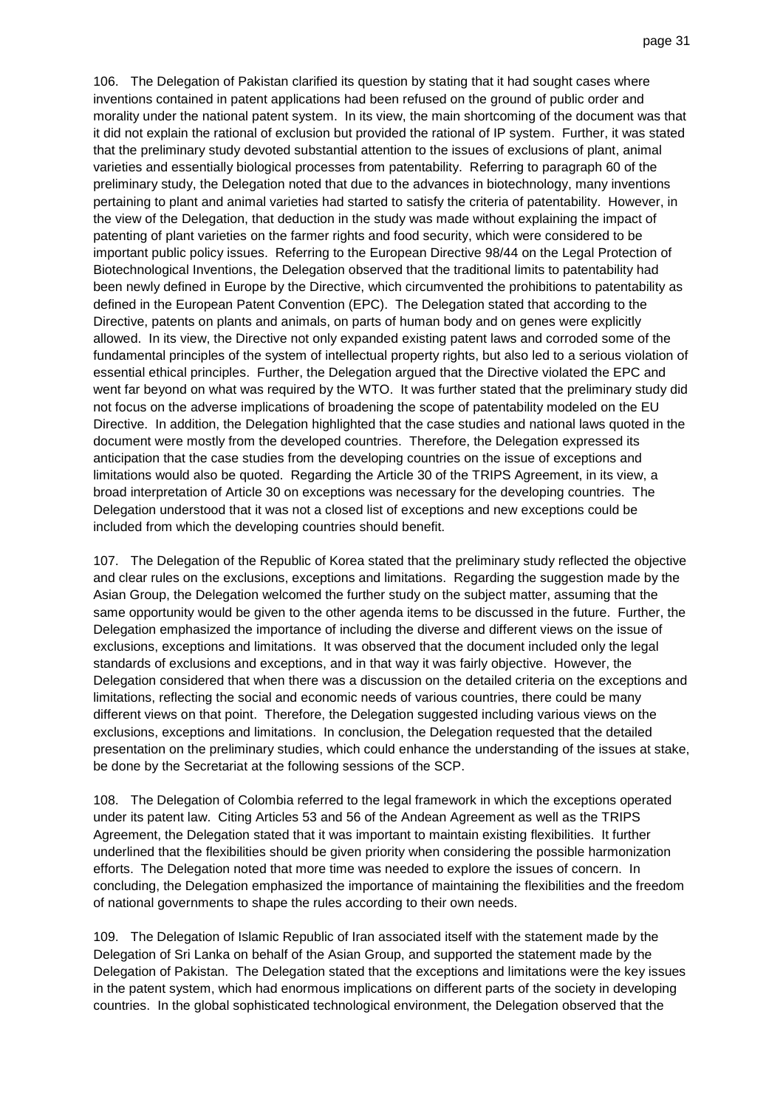106. The Delegation of Pakistan clarified its question by stating that it had sought cases where inventions contained in patent applications had been refused on the ground of public order and morality under the national patent system. In its view, the main shortcoming of the document was that it did not explain the rational of exclusion but provided the rational of IP system. Further, it was stated that the preliminary study devoted substantial attention to the issues of exclusions of plant, animal varieties and essentially biological processes from patentability. Referring to paragraph 60 of the preliminary study, the Delegation noted that due to the advances in biotechnology, many inventions pertaining to plant and animal varieties had started to satisfy the criteria of patentability. However, in the view of the Delegation, that deduction in the study was made without explaining the impact of patenting of plant varieties on the farmer rights and food security, which were considered to be important public policy issues. Referring to the European Directive 98/44 on the Legal Protection of Biotechnological Inventions, the Delegation observed that the traditional limits to patentability had been newly defined in Europe by the Directive, which circumvented the prohibitions to patentability as defined in the European Patent Convention (EPC). The Delegation stated that according to the Directive, patents on plants and animals, on parts of human body and on genes were explicitly allowed. In its view, the Directive not only expanded existing patent laws and corroded some of the fundamental principles of the system of intellectual property rights, but also led to a serious violation of essential ethical principles. Further, the Delegation argued that the Directive violated the EPC and went far beyond on what was required by the WTO. It was further stated that the preliminary study did not focus on the adverse implications of broadening the scope of patentability modeled on the EU Directive. In addition, the Delegation highlighted that the case studies and national laws quoted in the document were mostly from the developed countries. Therefore, the Delegation expressed its anticipation that the case studies from the developing countries on the issue of exceptions and limitations would also be quoted. Regarding the Article 30 of the TRIPS Agreement, in its view, a broad interpretation of Article 30 on exceptions was necessary for the developing countries. The Delegation understood that it was not a closed list of exceptions and new exceptions could be included from which the developing countries should benefit.

107. The Delegation of the Republic of Korea stated that the preliminary study reflected the objective and clear rules on the exclusions, exceptions and limitations. Regarding the suggestion made by the Asian Group, the Delegation welcomed the further study on the subject matter, assuming that the same opportunity would be given to the other agenda items to be discussed in the future. Further, the Delegation emphasized the importance of including the diverse and different views on the issue of exclusions, exceptions and limitations. It was observed that the document included only the legal standards of exclusions and exceptions, and in that way it was fairly objective. However, the Delegation considered that when there was a discussion on the detailed criteria on the exceptions and limitations, reflecting the social and economic needs of various countries, there could be many different views on that point. Therefore, the Delegation suggested including various views on the exclusions, exceptions and limitations. In conclusion, the Delegation requested that the detailed presentation on the preliminary studies, which could enhance the understanding of the issues at stake, be done by the Secretariat at the following sessions of the SCP.

108. The Delegation of Colombia referred to the legal framework in which the exceptions operated under its patent law. Citing Articles 53 and 56 of the Andean Agreement as well as the TRIPS Agreement, the Delegation stated that it was important to maintain existing flexibilities. It further underlined that the flexibilities should be given priority when considering the possible harmonization efforts. The Delegation noted that more time was needed to explore the issues of concern. In concluding, the Delegation emphasized the importance of maintaining the flexibilities and the freedom of national governments to shape the rules according to their own needs.

109. The Delegation of Islamic Republic of Iran associated itself with the statement made by the Delegation of Sri Lanka on behalf of the Asian Group, and supported the statement made by the Delegation of Pakistan. The Delegation stated that the exceptions and limitations were the key issues in the patent system, which had enormous implications on different parts of the society in developing countries. In the global sophisticated technological environment, the Delegation observed that the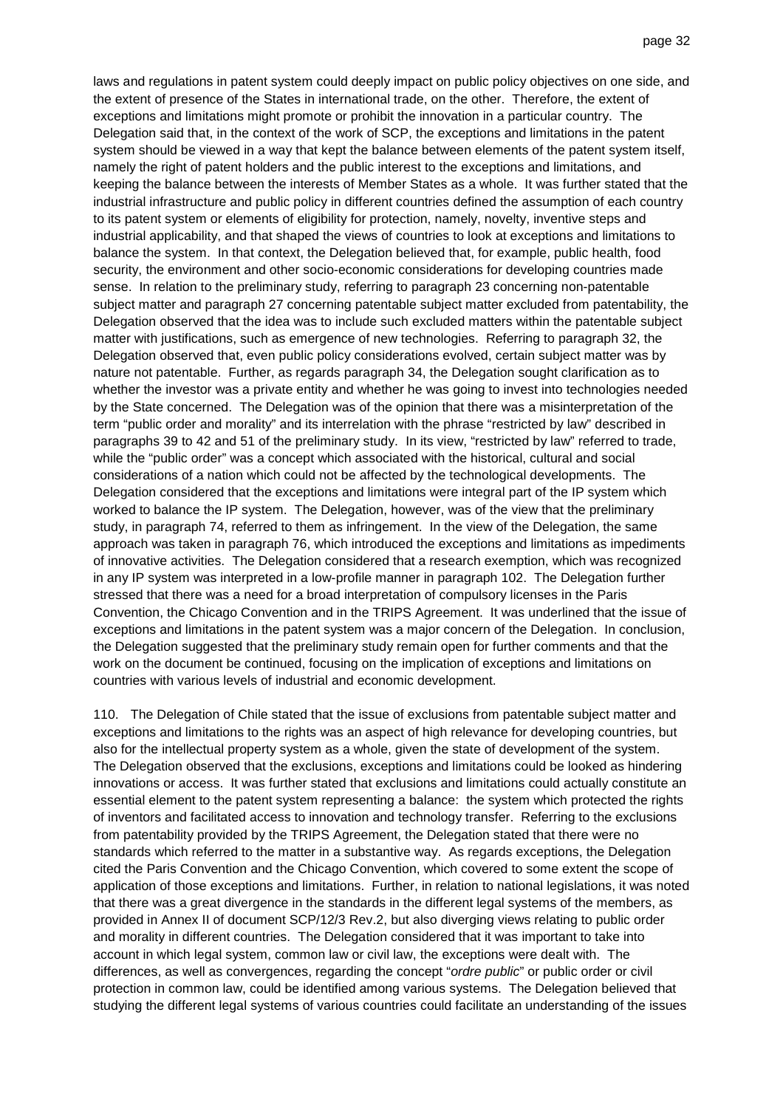laws and regulations in patent system could deeply impact on public policy objectives on one side, and the extent of presence of the States in international trade, on the other. Therefore, the extent of exceptions and limitations might promote or prohibit the innovation in a particular country. The Delegation said that, in the context of the work of SCP, the exceptions and limitations in the patent system should be viewed in a way that kept the balance between elements of the patent system itself, namely the right of patent holders and the public interest to the exceptions and limitations, and keeping the balance between the interests of Member States as a whole. It was further stated that the industrial infrastructure and public policy in different countries defined the assumption of each country to its patent system or elements of eligibility for protection, namely, novelty, inventive steps and industrial applicability, and that shaped the views of countries to look at exceptions and limitations to balance the system. In that context, the Delegation believed that, for example, public health, food security, the environment and other socio-economic considerations for developing countries made sense. In relation to the preliminary study, referring to paragraph 23 concerning non-patentable subject matter and paragraph 27 concerning patentable subject matter excluded from patentability, the Delegation observed that the idea was to include such excluded matters within the patentable subject matter with justifications, such as emergence of new technologies. Referring to paragraph 32, the Delegation observed that, even public policy considerations evolved, certain subject matter was by nature not patentable. Further, as regards paragraph 34, the Delegation sought clarification as to whether the investor was a private entity and whether he was going to invest into technologies needed by the State concerned. The Delegation was of the opinion that there was a misinterpretation of the term "public order and morality" and its interrelation with the phrase "restricted by law" described in paragraphs 39 to 42 and 51 of the preliminary study. In its view, "restricted by law" referred to trade, while the "public order" was a concept which associated with the historical, cultural and social considerations of a nation which could not be affected by the technological developments. The Delegation considered that the exceptions and limitations were integral part of the IP system which worked to balance the IP system. The Delegation, however, was of the view that the preliminary study, in paragraph 74, referred to them as infringement. In the view of the Delegation, the same approach was taken in paragraph 76, which introduced the exceptions and limitations as impediments of innovative activities. The Delegation considered that a research exemption, which was recognized in any IP system was interpreted in a low-profile manner in paragraph 102. The Delegation further stressed that there was a need for a broad interpretation of compulsory licenses in the Paris Convention, the Chicago Convention and in the TRIPS Agreement. It was underlined that the issue of exceptions and limitations in the patent system was a major concern of the Delegation. In conclusion, the Delegation suggested that the preliminary study remain open for further comments and that the work on the document be continued, focusing on the implication of exceptions and limitations on countries with various levels of industrial and economic development.

110. The Delegation of Chile stated that the issue of exclusions from patentable subject matter and exceptions and limitations to the rights was an aspect of high relevance for developing countries, but also for the intellectual property system as a whole, given the state of development of the system. The Delegation observed that the exclusions, exceptions and limitations could be looked as hindering innovations or access. It was further stated that exclusions and limitations could actually constitute an essential element to the patent system representing a balance: the system which protected the rights of inventors and facilitated access to innovation and technology transfer. Referring to the exclusions from patentability provided by the TRIPS Agreement, the Delegation stated that there were no standards which referred to the matter in a substantive way. As regards exceptions, the Delegation cited the Paris Convention and the Chicago Convention, which covered to some extent the scope of application of those exceptions and limitations. Further, in relation to national legislations, it was noted that there was a great divergence in the standards in the different legal systems of the members, as provided in Annex II of document SCP/12/3 Rev.2, but also diverging views relating to public order and morality in different countries. The Delegation considered that it was important to take into account in which legal system, common law or civil law, the exceptions were dealt with. The differences, as well as convergences, regarding the concept "ordre public" or public order or civil protection in common law, could be identified among various systems. The Delegation believed that studying the different legal systems of various countries could facilitate an understanding of the issues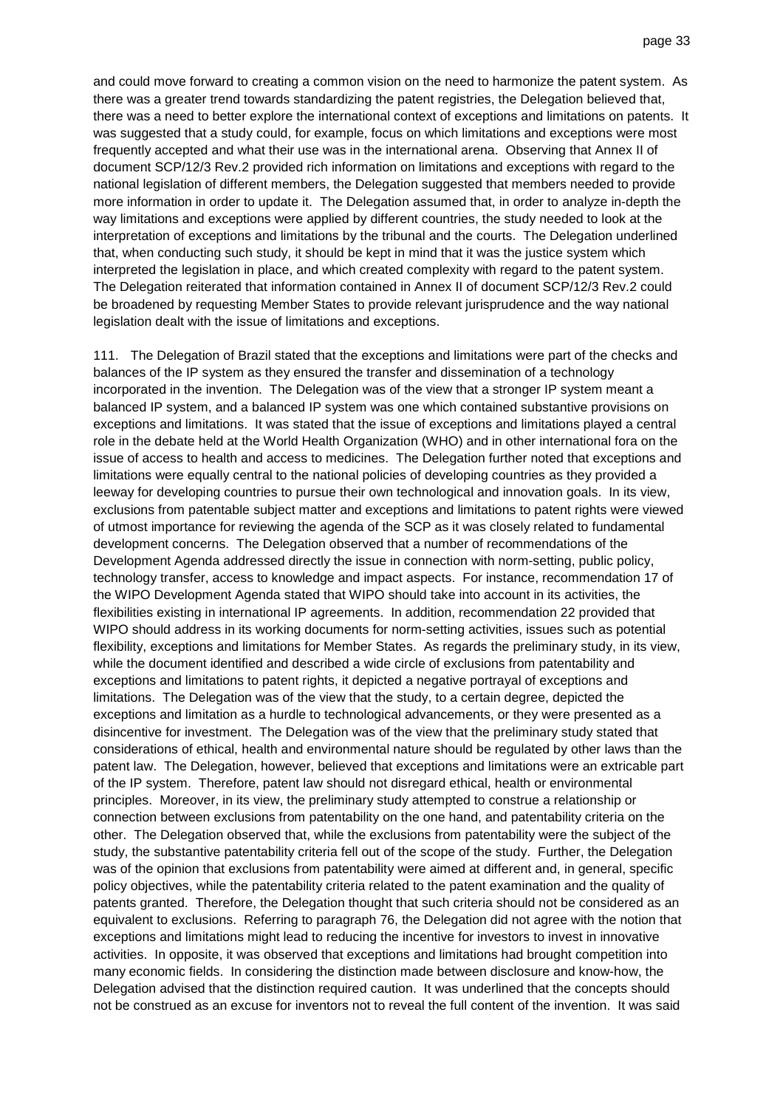and could move forward to creating a common vision on the need to harmonize the patent system. As there was a greater trend towards standardizing the patent registries, the Delegation believed that, there was a need to better explore the international context of exceptions and limitations on patents. It was suggested that a study could, for example, focus on which limitations and exceptions were most frequently accepted and what their use was in the international arena. Observing that Annex II of document SCP/12/3 Rev.2 provided rich information on limitations and exceptions with regard to the national legislation of different members, the Delegation suggested that members needed to provide more information in order to update it. The Delegation assumed that, in order to analyze in-depth the way limitations and exceptions were applied by different countries, the study needed to look at the interpretation of exceptions and limitations by the tribunal and the courts. The Delegation underlined that, when conducting such study, it should be kept in mind that it was the justice system which interpreted the legislation in place, and which created complexity with regard to the patent system. The Delegation reiterated that information contained in Annex II of document SCP/12/3 Rev.2 could be broadened by requesting Member States to provide relevant jurisprudence and the way national legislation dealt with the issue of limitations and exceptions.

111. The Delegation of Brazil stated that the exceptions and limitations were part of the checks and balances of the IP system as they ensured the transfer and dissemination of a technology incorporated in the invention. The Delegation was of the view that a stronger IP system meant a balanced IP system, and a balanced IP system was one which contained substantive provisions on exceptions and limitations. It was stated that the issue of exceptions and limitations played a central role in the debate held at the World Health Organization (WHO) and in other international fora on the issue of access to health and access to medicines. The Delegation further noted that exceptions and limitations were equally central to the national policies of developing countries as they provided a leeway for developing countries to pursue their own technological and innovation goals. In its view, exclusions from patentable subject matter and exceptions and limitations to patent rights were viewed of utmost importance for reviewing the agenda of the SCP as it was closely related to fundamental development concerns. The Delegation observed that a number of recommendations of the Development Agenda addressed directly the issue in connection with norm-setting, public policy, technology transfer, access to knowledge and impact aspects. For instance, recommendation 17 of the WIPO Development Agenda stated that WIPO should take into account in its activities, the flexibilities existing in international IP agreements. In addition, recommendation 22 provided that WIPO should address in its working documents for norm-setting activities, issues such as potential flexibility, exceptions and limitations for Member States. As regards the preliminary study, in its view, while the document identified and described a wide circle of exclusions from patentability and exceptions and limitations to patent rights, it depicted a negative portrayal of exceptions and limitations. The Delegation was of the view that the study, to a certain degree, depicted the exceptions and limitation as a hurdle to technological advancements, or they were presented as a disincentive for investment. The Delegation was of the view that the preliminary study stated that considerations of ethical, health and environmental nature should be regulated by other laws than the patent law. The Delegation, however, believed that exceptions and limitations were an extricable part of the IP system. Therefore, patent law should not disregard ethical, health or environmental principles. Moreover, in its view, the preliminary study attempted to construe a relationship or connection between exclusions from patentability on the one hand, and patentability criteria on the other. The Delegation observed that, while the exclusions from patentability were the subject of the study, the substantive patentability criteria fell out of the scope of the study. Further, the Delegation was of the opinion that exclusions from patentability were aimed at different and, in general, specific policy objectives, while the patentability criteria related to the patent examination and the quality of patents granted. Therefore, the Delegation thought that such criteria should not be considered as an equivalent to exclusions. Referring to paragraph 76, the Delegation did not agree with the notion that exceptions and limitations might lead to reducing the incentive for investors to invest in innovative activities. In opposite, it was observed that exceptions and limitations had brought competition into many economic fields. In considering the distinction made between disclosure and know-how, the Delegation advised that the distinction required caution. It was underlined that the concepts should not be construed as an excuse for inventors not to reveal the full content of the invention. It was said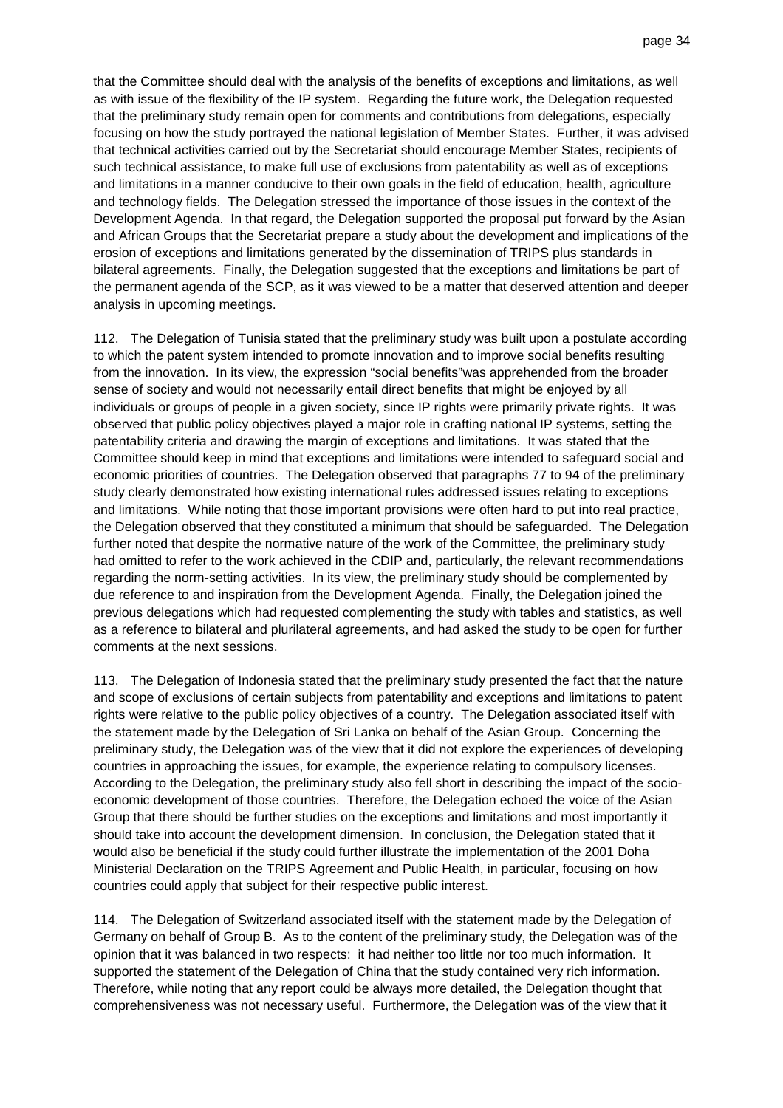that the Committee should deal with the analysis of the benefits of exceptions and limitations, as well as with issue of the flexibility of the IP system. Regarding the future work, the Delegation requested that the preliminary study remain open for comments and contributions from delegations, especially focusing on how the study portrayed the national legislation of Member States. Further, it was advised that technical activities carried out by the Secretariat should encourage Member States, recipients of such technical assistance, to make full use of exclusions from patentability as well as of exceptions and limitations in a manner conducive to their own goals in the field of education, health, agriculture and technology fields. The Delegation stressed the importance of those issues in the context of the Development Agenda. In that regard, the Delegation supported the proposal put forward by the Asian and African Groups that the Secretariat prepare a study about the development and implications of the erosion of exceptions and limitations generated by the dissemination of TRIPS plus standards in bilateral agreements. Finally, the Delegation suggested that the exceptions and limitations be part of the permanent agenda of the SCP, as it was viewed to be a matter that deserved attention and deeper analysis in upcoming meetings.

112. The Delegation of Tunisia stated that the preliminary study was built upon a postulate according to which the patent system intended to promote innovation and to improve social benefits resulting from the innovation. In its view, the expression "social benefits"was apprehended from the broader sense of society and would not necessarily entail direct benefits that might be enjoyed by all individuals or groups of people in a given society, since IP rights were primarily private rights. It was observed that public policy objectives played a major role in crafting national IP systems, setting the patentability criteria and drawing the margin of exceptions and limitations. It was stated that the Committee should keep in mind that exceptions and limitations were intended to safeguard social and economic priorities of countries. The Delegation observed that paragraphs 77 to 94 of the preliminary study clearly demonstrated how existing international rules addressed issues relating to exceptions and limitations. While noting that those important provisions were often hard to put into real practice, the Delegation observed that they constituted a minimum that should be safeguarded. The Delegation further noted that despite the normative nature of the work of the Committee, the preliminary study had omitted to refer to the work achieved in the CDIP and, particularly, the relevant recommendations regarding the norm-setting activities. In its view, the preliminary study should be complemented by due reference to and inspiration from the Development Agenda. Finally, the Delegation joined the previous delegations which had requested complementing the study with tables and statistics, as well as a reference to bilateral and plurilateral agreements, and had asked the study to be open for further comments at the next sessions.

113. The Delegation of Indonesia stated that the preliminary study presented the fact that the nature and scope of exclusions of certain subjects from patentability and exceptions and limitations to patent rights were relative to the public policy objectives of a country. The Delegation associated itself with the statement made by the Delegation of Sri Lanka on behalf of the Asian Group. Concerning the preliminary study, the Delegation was of the view that it did not explore the experiences of developing countries in approaching the issues, for example, the experience relating to compulsory licenses. According to the Delegation, the preliminary study also fell short in describing the impact of the socioeconomic development of those countries. Therefore, the Delegation echoed the voice of the Asian Group that there should be further studies on the exceptions and limitations and most importantly it should take into account the development dimension. In conclusion, the Delegation stated that it would also be beneficial if the study could further illustrate the implementation of the 2001 Doha Ministerial Declaration on the TRIPS Agreement and Public Health, in particular, focusing on how countries could apply that subject for their respective public interest.

114. The Delegation of Switzerland associated itself with the statement made by the Delegation of Germany on behalf of Group B. As to the content of the preliminary study, the Delegation was of the opinion that it was balanced in two respects: it had neither too little nor too much information. It supported the statement of the Delegation of China that the study contained very rich information. Therefore, while noting that any report could be always more detailed, the Delegation thought that comprehensiveness was not necessary useful. Furthermore, the Delegation was of the view that it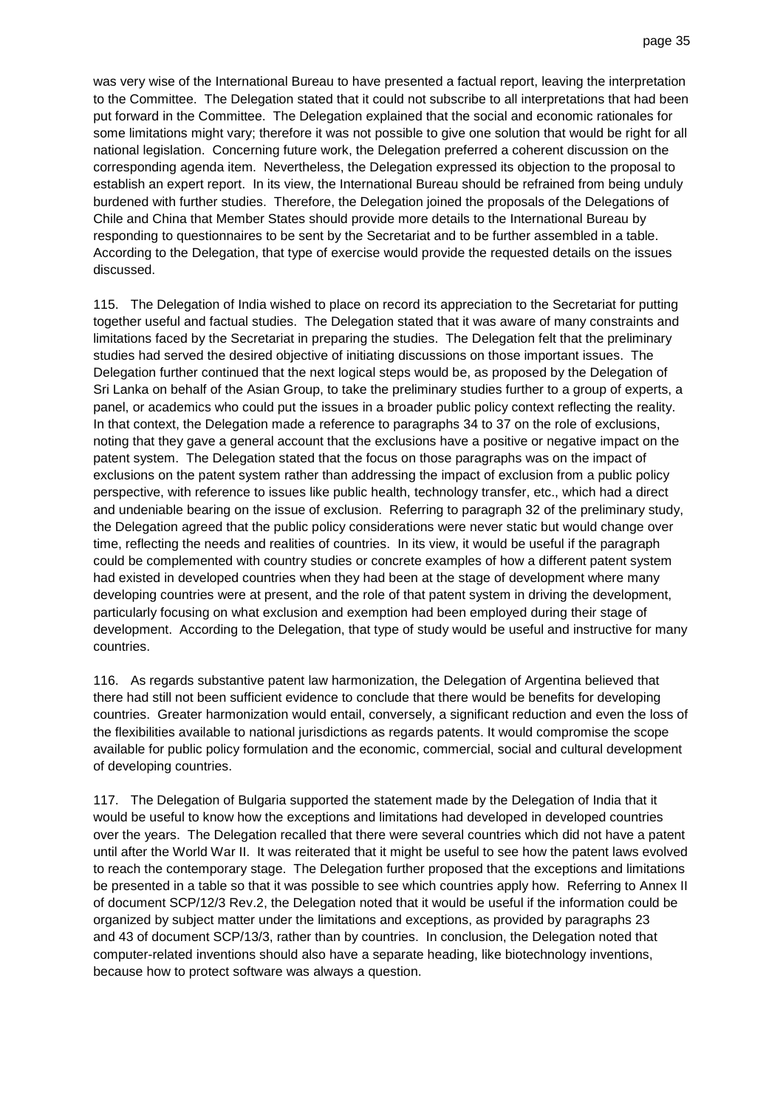was very wise of the International Bureau to have presented a factual report, leaving the interpretation to the Committee. The Delegation stated that it could not subscribe to all interpretations that had been put forward in the Committee. The Delegation explained that the social and economic rationales for some limitations might vary; therefore it was not possible to give one solution that would be right for all national legislation. Concerning future work, the Delegation preferred a coherent discussion on the corresponding agenda item. Nevertheless, the Delegation expressed its objection to the proposal to establish an expert report. In its view, the International Bureau should be refrained from being unduly burdened with further studies. Therefore, the Delegation joined the proposals of the Delegations of Chile and China that Member States should provide more details to the International Bureau by responding to questionnaires to be sent by the Secretariat and to be further assembled in a table. According to the Delegation, that type of exercise would provide the requested details on the issues discussed.

115. The Delegation of India wished to place on record its appreciation to the Secretariat for putting together useful and factual studies. The Delegation stated that it was aware of many constraints and limitations faced by the Secretariat in preparing the studies. The Delegation felt that the preliminary studies had served the desired objective of initiating discussions on those important issues. The Delegation further continued that the next logical steps would be, as proposed by the Delegation of Sri Lanka on behalf of the Asian Group, to take the preliminary studies further to a group of experts, a panel, or academics who could put the issues in a broader public policy context reflecting the reality. In that context, the Delegation made a reference to paragraphs 34 to 37 on the role of exclusions, noting that they gave a general account that the exclusions have a positive or negative impact on the patent system. The Delegation stated that the focus on those paragraphs was on the impact of exclusions on the patent system rather than addressing the impact of exclusion from a public policy perspective, with reference to issues like public health, technology transfer, etc., which had a direct and undeniable bearing on the issue of exclusion. Referring to paragraph 32 of the preliminary study, the Delegation agreed that the public policy considerations were never static but would change over time, reflecting the needs and realities of countries. In its view, it would be useful if the paragraph could be complemented with country studies or concrete examples of how a different patent system had existed in developed countries when they had been at the stage of development where many developing countries were at present, and the role of that patent system in driving the development, particularly focusing on what exclusion and exemption had been employed during their stage of development. According to the Delegation, that type of study would be useful and instructive for many countries.

116. As regards substantive patent law harmonization, the Delegation of Argentina believed that there had still not been sufficient evidence to conclude that there would be benefits for developing countries. Greater harmonization would entail, conversely, a significant reduction and even the loss of the flexibilities available to national jurisdictions as regards patents. It would compromise the scope available for public policy formulation and the economic, commercial, social and cultural development of developing countries.

117. The Delegation of Bulgaria supported the statement made by the Delegation of India that it would be useful to know how the exceptions and limitations had developed in developed countries over the years. The Delegation recalled that there were several countries which did not have a patent until after the World War II. It was reiterated that it might be useful to see how the patent laws evolved to reach the contemporary stage. The Delegation further proposed that the exceptions and limitations be presented in a table so that it was possible to see which countries apply how. Referring to Annex II of document SCP/12/3 Rev.2, the Delegation noted that it would be useful if the information could be organized by subject matter under the limitations and exceptions, as provided by paragraphs 23 and 43 of document SCP/13/3, rather than by countries. In conclusion, the Delegation noted that computer-related inventions should also have a separate heading, like biotechnology inventions, because how to protect software was always a question.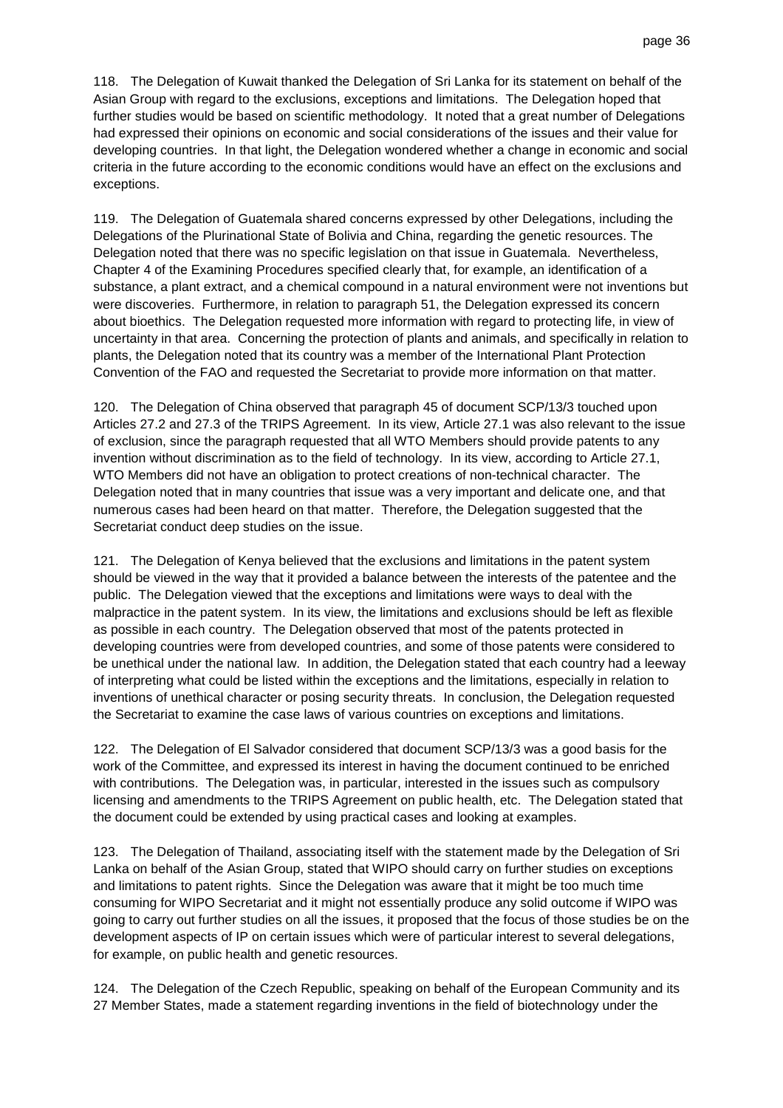118. The Delegation of Kuwait thanked the Delegation of Sri Lanka for its statement on behalf of the Asian Group with regard to the exclusions, exceptions and limitations. The Delegation hoped that further studies would be based on scientific methodology. It noted that a great number of Delegations had expressed their opinions on economic and social considerations of the issues and their value for developing countries. In that light, the Delegation wondered whether a change in economic and social criteria in the future according to the economic conditions would have an effect on the exclusions and exceptions.

119. The Delegation of Guatemala shared concerns expressed by other Delegations, including the Delegations of the Plurinational State of Bolivia and China, regarding the genetic resources. The Delegation noted that there was no specific legislation on that issue in Guatemala. Nevertheless, Chapter 4 of the Examining Procedures specified clearly that, for example, an identification of a substance, a plant extract, and a chemical compound in a natural environment were not inventions but were discoveries. Furthermore, in relation to paragraph 51, the Delegation expressed its concern about bioethics. The Delegation requested more information with regard to protecting life, in view of uncertainty in that area. Concerning the protection of plants and animals, and specifically in relation to plants, the Delegation noted that its country was a member of the International Plant Protection Convention of the FAO and requested the Secretariat to provide more information on that matter.

120. The Delegation of China observed that paragraph 45 of document SCP/13/3 touched upon Articles 27.2 and 27.3 of the TRIPS Agreement. In its view, Article 27.1 was also relevant to the issue of exclusion, since the paragraph requested that all WTO Members should provide patents to any invention without discrimination as to the field of technology. In its view, according to Article 27.1, WTO Members did not have an obligation to protect creations of non-technical character. The Delegation noted that in many countries that issue was a very important and delicate one, and that numerous cases had been heard on that matter. Therefore, the Delegation suggested that the Secretariat conduct deep studies on the issue.

121. The Delegation of Kenya believed that the exclusions and limitations in the patent system should be viewed in the way that it provided a balance between the interests of the patentee and the public. The Delegation viewed that the exceptions and limitations were ways to deal with the malpractice in the patent system. In its view, the limitations and exclusions should be left as flexible as possible in each country. The Delegation observed that most of the patents protected in developing countries were from developed countries, and some of those patents were considered to be unethical under the national law. In addition, the Delegation stated that each country had a leeway of interpreting what could be listed within the exceptions and the limitations, especially in relation to inventions of unethical character or posing security threats. In conclusion, the Delegation requested the Secretariat to examine the case laws of various countries on exceptions and limitations.

122. The Delegation of El Salvador considered that document SCP/13/3 was a good basis for the work of the Committee, and expressed its interest in having the document continued to be enriched with contributions. The Delegation was, in particular, interested in the issues such as compulsory licensing and amendments to the TRIPS Agreement on public health, etc. The Delegation stated that the document could be extended by using practical cases and looking at examples.

123. The Delegation of Thailand, associating itself with the statement made by the Delegation of Sri Lanka on behalf of the Asian Group, stated that WIPO should carry on further studies on exceptions and limitations to patent rights. Since the Delegation was aware that it might be too much time consuming for WIPO Secretariat and it might not essentially produce any solid outcome if WIPO was going to carry out further studies on all the issues, it proposed that the focus of those studies be on the development aspects of IP on certain issues which were of particular interest to several delegations, for example, on public health and genetic resources.

124. The Delegation of the Czech Republic, speaking on behalf of the European Community and its 27 Member States, made a statement regarding inventions in the field of biotechnology under the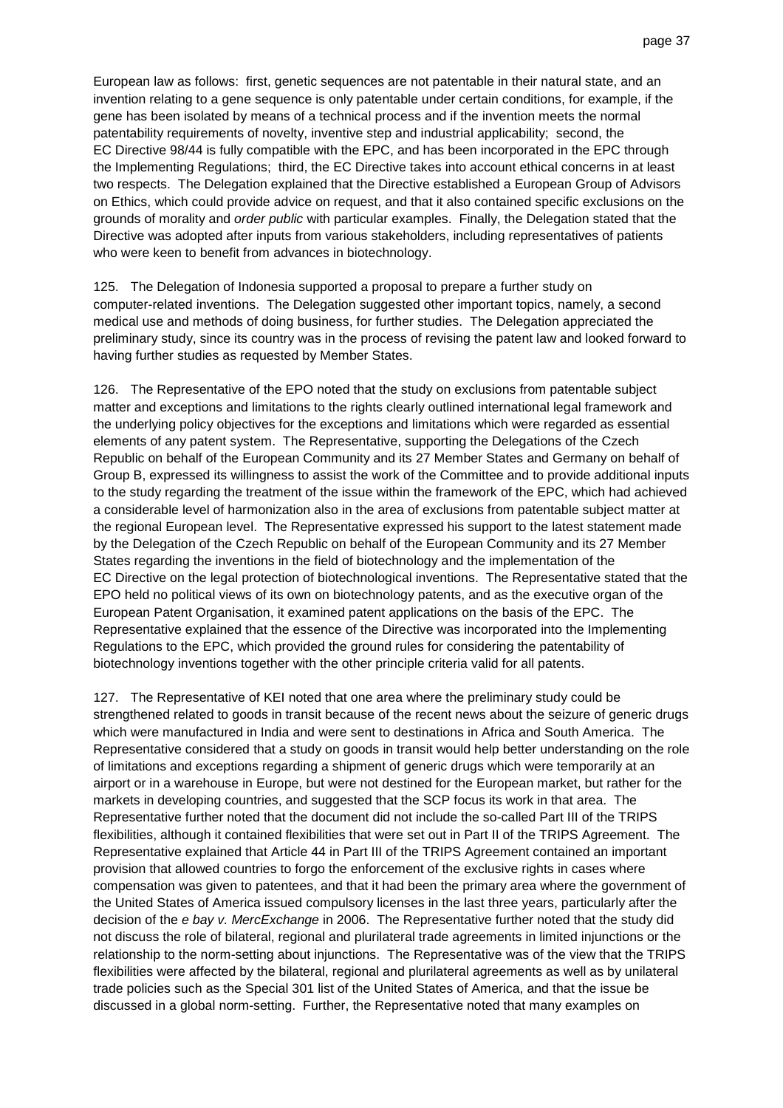European law as follows: first, genetic sequences are not patentable in their natural state, and an invention relating to a gene sequence is only patentable under certain conditions, for example, if the gene has been isolated by means of a technical process and if the invention meets the normal patentability requirements of novelty, inventive step and industrial applicability; second, the EC Directive 98/44 is fully compatible with the EPC, and has been incorporated in the EPC through the Implementing Regulations; third, the EC Directive takes into account ethical concerns in at least two respects. The Delegation explained that the Directive established a European Group of Advisors on Ethics, which could provide advice on request, and that it also contained specific exclusions on the grounds of morality and order public with particular examples. Finally, the Delegation stated that the Directive was adopted after inputs from various stakeholders, including representatives of patients who were keen to benefit from advances in biotechnology.

125. The Delegation of Indonesia supported a proposal to prepare a further study on computer-related inventions. The Delegation suggested other important topics, namely, a second medical use and methods of doing business, for further studies. The Delegation appreciated the preliminary study, since its country was in the process of revising the patent law and looked forward to having further studies as requested by Member States.

126. The Representative of the EPO noted that the study on exclusions from patentable subject matter and exceptions and limitations to the rights clearly outlined international legal framework and the underlying policy objectives for the exceptions and limitations which were regarded as essential elements of any patent system. The Representative, supporting the Delegations of the Czech Republic on behalf of the European Community and its 27 Member States and Germany on behalf of Group B, expressed its willingness to assist the work of the Committee and to provide additional inputs to the study regarding the treatment of the issue within the framework of the EPC, which had achieved a considerable level of harmonization also in the area of exclusions from patentable subject matter at the regional European level. The Representative expressed his support to the latest statement made by the Delegation of the Czech Republic on behalf of the European Community and its 27 Member States regarding the inventions in the field of biotechnology and the implementation of the EC Directive on the legal protection of biotechnological inventions. The Representative stated that the EPO held no political views of its own on biotechnology patents, and as the executive organ of the European Patent Organisation, it examined patent applications on the basis of the EPC. The Representative explained that the essence of the Directive was incorporated into the Implementing Regulations to the EPC, which provided the ground rules for considering the patentability of biotechnology inventions together with the other principle criteria valid for all patents.

127. The Representative of KEI noted that one area where the preliminary study could be strengthened related to goods in transit because of the recent news about the seizure of generic drugs which were manufactured in India and were sent to destinations in Africa and South America. The Representative considered that a study on goods in transit would help better understanding on the role of limitations and exceptions regarding a shipment of generic drugs which were temporarily at an airport or in a warehouse in Europe, but were not destined for the European market, but rather for the markets in developing countries, and suggested that the SCP focus its work in that area. The Representative further noted that the document did not include the so-called Part III of the TRIPS flexibilities, although it contained flexibilities that were set out in Part II of the TRIPS Agreement. The Representative explained that Article 44 in Part III of the TRIPS Agreement contained an important provision that allowed countries to forgo the enforcement of the exclusive rights in cases where compensation was given to patentees, and that it had been the primary area where the government of the United States of America issued compulsory licenses in the last three years, particularly after the decision of the e bay v. MercExchange in 2006. The Representative further noted that the study did not discuss the role of bilateral, regional and plurilateral trade agreements in limited injunctions or the relationship to the norm-setting about injunctions. The Representative was of the view that the TRIPS flexibilities were affected by the bilateral, regional and plurilateral agreements as well as by unilateral trade policies such as the Special 301 list of the United States of America, and that the issue be discussed in a global norm-setting. Further, the Representative noted that many examples on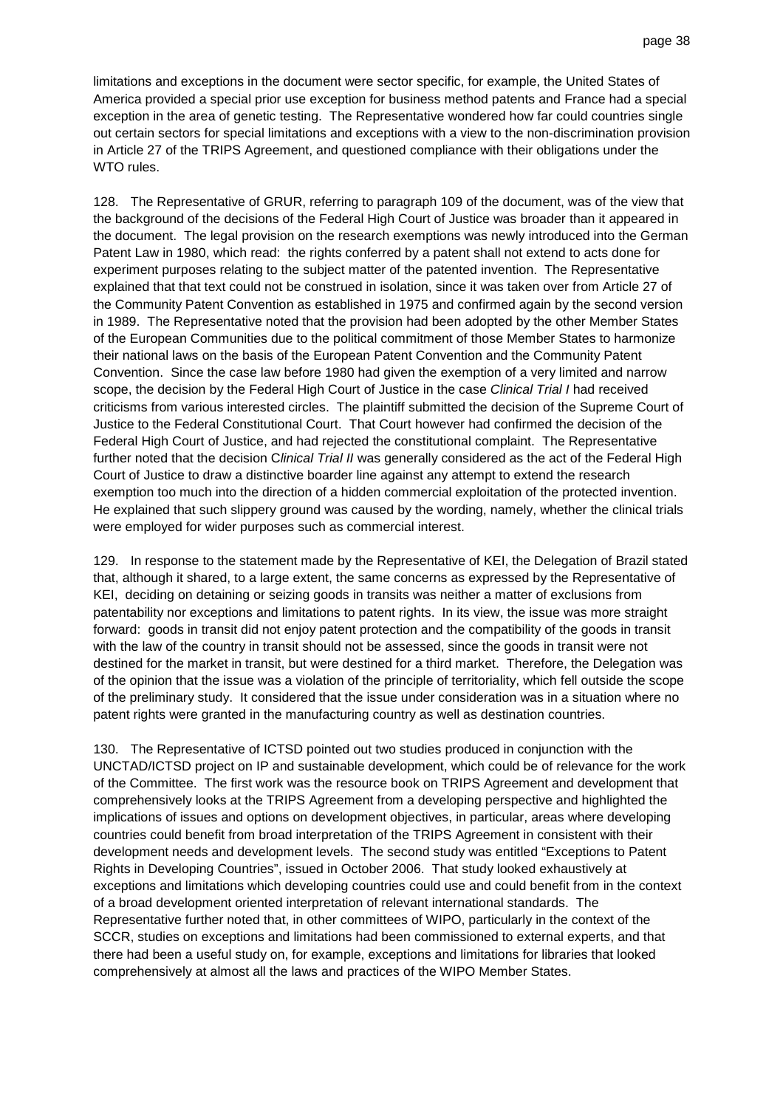limitations and exceptions in the document were sector specific, for example, the United States of America provided a special prior use exception for business method patents and France had a special exception in the area of genetic testing. The Representative wondered how far could countries single out certain sectors for special limitations and exceptions with a view to the non-discrimination provision in Article 27 of the TRIPS Agreement, and questioned compliance with their obligations under the WTO rules.

128. The Representative of GRUR, referring to paragraph 109 of the document, was of the view that the background of the decisions of the Federal High Court of Justice was broader than it appeared in the document. The legal provision on the research exemptions was newly introduced into the German Patent Law in 1980, which read: the rights conferred by a patent shall not extend to acts done for experiment purposes relating to the subject matter of the patented invention. The Representative explained that that text could not be construed in isolation, since it was taken over from Article 27 of the Community Patent Convention as established in 1975 and confirmed again by the second version in 1989. The Representative noted that the provision had been adopted by the other Member States of the European Communities due to the political commitment of those Member States to harmonize their national laws on the basis of the European Patent Convention and the Community Patent Convention. Since the case law before 1980 had given the exemption of a very limited and narrow scope, the decision by the Federal High Court of Justice in the case Clinical Trial I had received criticisms from various interested circles. The plaintiff submitted the decision of the Supreme Court of Justice to the Federal Constitutional Court. That Court however had confirmed the decision of the Federal High Court of Justice, and had rejected the constitutional complaint. The Representative further noted that the decision Clinical Trial II was generally considered as the act of the Federal High Court of Justice to draw a distinctive boarder line against any attempt to extend the research exemption too much into the direction of a hidden commercial exploitation of the protected invention. He explained that such slippery ground was caused by the wording, namely, whether the clinical trials were employed for wider purposes such as commercial interest.

129. In response to the statement made by the Representative of KEI, the Delegation of Brazil stated that, although it shared, to a large extent, the same concerns as expressed by the Representative of KEI, deciding on detaining or seizing goods in transits was neither a matter of exclusions from patentability nor exceptions and limitations to patent rights. In its view, the issue was more straight forward: goods in transit did not enjoy patent protection and the compatibility of the goods in transit with the law of the country in transit should not be assessed, since the goods in transit were not destined for the market in transit, but were destined for a third market. Therefore, the Delegation was of the opinion that the issue was a violation of the principle of territoriality, which fell outside the scope of the preliminary study. It considered that the issue under consideration was in a situation where no patent rights were granted in the manufacturing country as well as destination countries.

130. The Representative of ICTSD pointed out two studies produced in conjunction with the UNCTAD/ICTSD project on IP and sustainable development, which could be of relevance for the work of the Committee. The first work was the resource book on TRIPS Agreement and development that comprehensively looks at the TRIPS Agreement from a developing perspective and highlighted the implications of issues and options on development objectives, in particular, areas where developing countries could benefit from broad interpretation of the TRIPS Agreement in consistent with their development needs and development levels. The second study was entitled "Exceptions to Patent Rights in Developing Countries", issued in October 2006. That study looked exhaustively at exceptions and limitations which developing countries could use and could benefit from in the context of a broad development oriented interpretation of relevant international standards. The Representative further noted that, in other committees of WIPO, particularly in the context of the SCCR, studies on exceptions and limitations had been commissioned to external experts, and that there had been a useful study on, for example, exceptions and limitations for libraries that looked comprehensively at almost all the laws and practices of the WIPO Member States.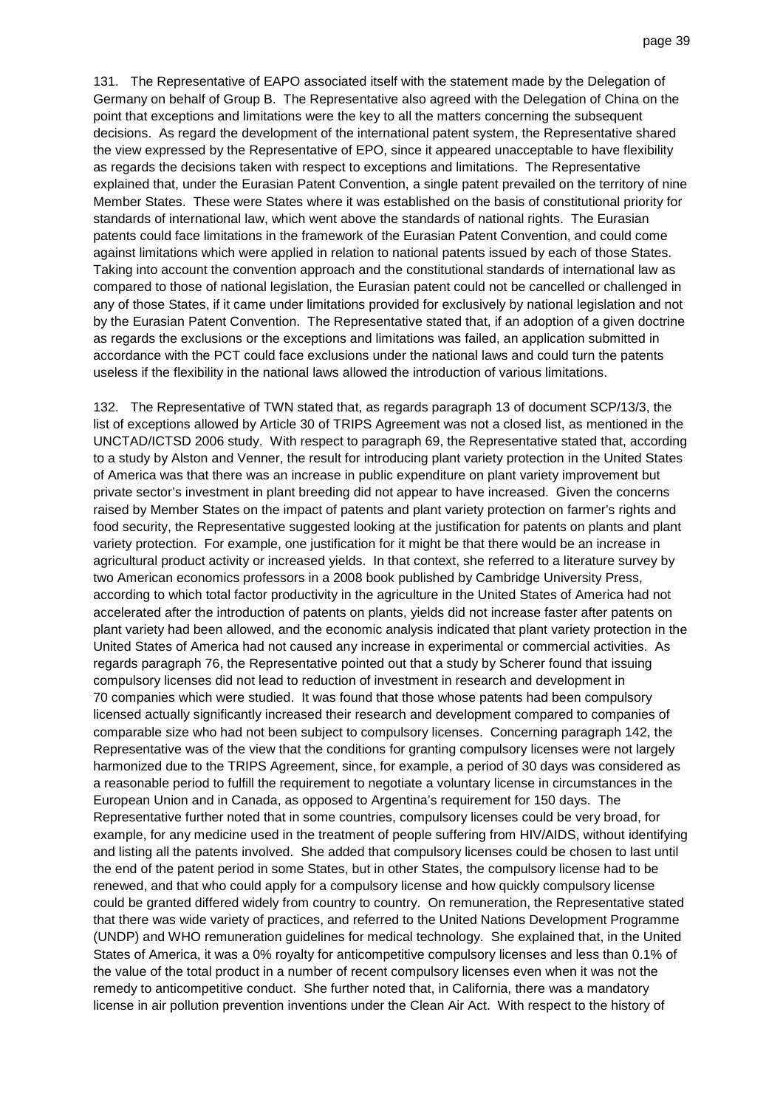131. The Representative of EAPO associated itself with the statement made by the Delegation of Germany on behalf of Group B. The Representative also agreed with the Delegation of China on the point that exceptions and limitations were the key to all the matters concerning the subsequent decisions. As regard the development of the international patent system, the Representative shared the view expressed by the Representative of EPO, since it appeared unacceptable to have flexibility as regards the decisions taken with respect to exceptions and limitations. The Representative explained that, under the Eurasian Patent Convention, a single patent prevailed on the territory of nine Member States. These were States where it was established on the basis of constitutional priority for standards of international law, which went above the standards of national rights. The Eurasian patents could face limitations in the framework of the Eurasian Patent Convention, and could come against limitations which were applied in relation to national patents issued by each of those States. Taking into account the convention approach and the constitutional standards of international law as compared to those of national legislation, the Eurasian patent could not be cancelled or challenged in any of those States, if it came under limitations provided for exclusively by national legislation and not by the Eurasian Patent Convention. The Representative stated that, if an adoption of a given doctrine as regards the exclusions or the exceptions and limitations was failed, an application submitted in accordance with the PCT could face exclusions under the national laws and could turn the patents useless if the flexibility in the national laws allowed the introduction of various limitations.

132. The Representative of TWN stated that, as regards paragraph 13 of document SCP/13/3, the list of exceptions allowed by Article 30 of TRIPS Agreement was not a closed list, as mentioned in the UNCTAD/ICTSD 2006 study. With respect to paragraph 69, the Representative stated that, according to a study by Alston and Venner, the result for introducing plant variety protection in the United States of America was that there was an increase in public expenditure on plant variety improvement but private sector's investment in plant breeding did not appear to have increased. Given the concerns raised by Member States on the impact of patents and plant variety protection on farmer's rights and food security, the Representative suggested looking at the justification for patents on plants and plant variety protection. For example, one justification for it might be that there would be an increase in agricultural product activity or increased yields. In that context, she referred to a literature survey by two American economics professors in a 2008 book published by Cambridge University Press, according to which total factor productivity in the agriculture in the United States of America had not accelerated after the introduction of patents on plants, yields did not increase faster after patents on plant variety had been allowed, and the economic analysis indicated that plant variety protection in the United States of America had not caused any increase in experimental or commercial activities. As regards paragraph 76, the Representative pointed out that a study by Scherer found that issuing compulsory licenses did not lead to reduction of investment in research and development in 70 companies which were studied. It was found that those whose patents had been compulsory licensed actually significantly increased their research and development compared to companies of comparable size who had not been subject to compulsory licenses. Concerning paragraph 142, the Representative was of the view that the conditions for granting compulsory licenses were not largely harmonized due to the TRIPS Agreement, since, for example, a period of 30 days was considered as a reasonable period to fulfill the requirement to negotiate a voluntary license in circumstances in the European Union and in Canada, as opposed to Argentina's requirement for 150 days. The Representative further noted that in some countries, compulsory licenses could be very broad, for example, for any medicine used in the treatment of people suffering from HIV/AIDS, without identifying and listing all the patents involved. She added that compulsory licenses could be chosen to last until the end of the patent period in some States, but in other States, the compulsory license had to be renewed, and that who could apply for a compulsory license and how quickly compulsory license could be granted differed widely from country to country. On remuneration, the Representative stated that there was wide variety of practices, and referred to the United Nations Development Programme (UNDP) and WHO remuneration guidelines for medical technology. She explained that, in the United States of America, it was a 0% royalty for anticompetitive compulsory licenses and less than 0.1% of the value of the total product in a number of recent compulsory licenses even when it was not the remedy to anticompetitive conduct. She further noted that, in California, there was a mandatory license in air pollution prevention inventions under the Clean Air Act. With respect to the history of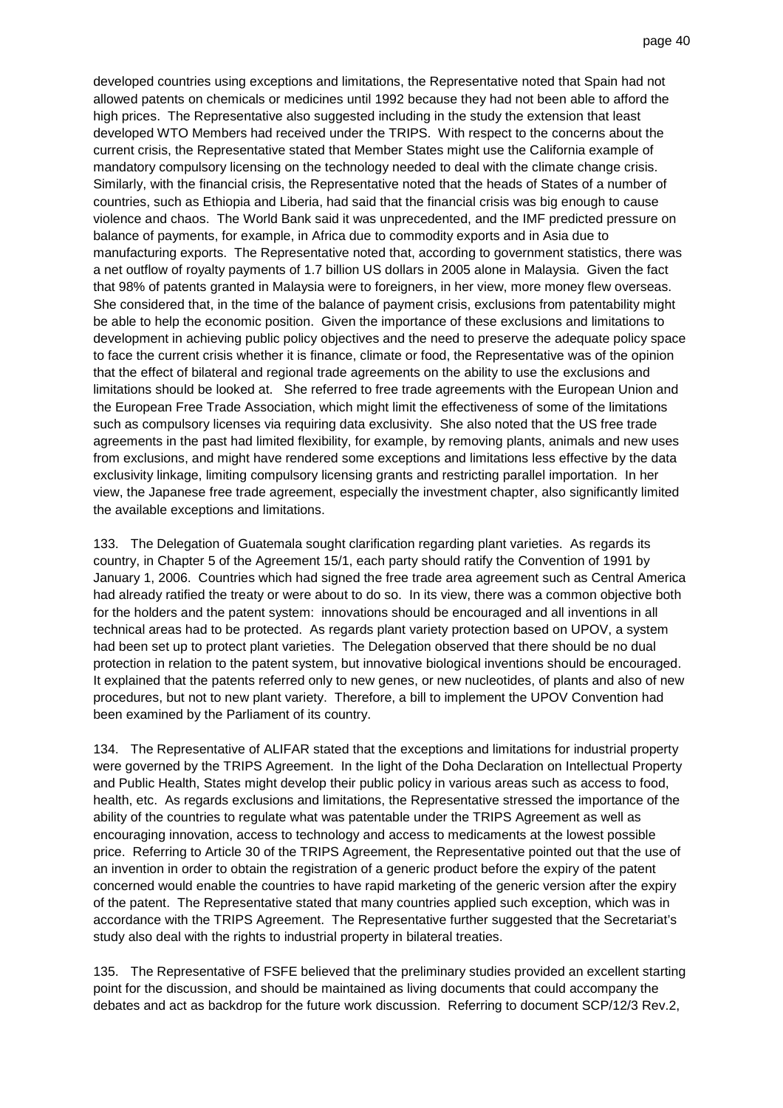developed countries using exceptions and limitations, the Representative noted that Spain had not allowed patents on chemicals or medicines until 1992 because they had not been able to afford the high prices. The Representative also suggested including in the study the extension that least developed WTO Members had received under the TRIPS. With respect to the concerns about the current crisis, the Representative stated that Member States might use the California example of mandatory compulsory licensing on the technology needed to deal with the climate change crisis. Similarly, with the financial crisis, the Representative noted that the heads of States of a number of countries, such as Ethiopia and Liberia, had said that the financial crisis was big enough to cause violence and chaos. The World Bank said it was unprecedented, and the IMF predicted pressure on balance of payments, for example, in Africa due to commodity exports and in Asia due to manufacturing exports. The Representative noted that, according to government statistics, there was a net outflow of royalty payments of 1.7 billion US dollars in 2005 alone in Malaysia. Given the fact that 98% of patents granted in Malaysia were to foreigners, in her view, more money flew overseas. She considered that, in the time of the balance of payment crisis, exclusions from patentability might be able to help the economic position. Given the importance of these exclusions and limitations to development in achieving public policy objectives and the need to preserve the adequate policy space to face the current crisis whether it is finance, climate or food, the Representative was of the opinion that the effect of bilateral and regional trade agreements on the ability to use the exclusions and limitations should be looked at. She referred to free trade agreements with the European Union and the European Free Trade Association, which might limit the effectiveness of some of the limitations such as compulsory licenses via requiring data exclusivity. She also noted that the US free trade agreements in the past had limited flexibility, for example, by removing plants, animals and new uses from exclusions, and might have rendered some exceptions and limitations less effective by the data exclusivity linkage, limiting compulsory licensing grants and restricting parallel importation. In her view, the Japanese free trade agreement, especially the investment chapter, also significantly limited the available exceptions and limitations.

133. The Delegation of Guatemala sought clarification regarding plant varieties. As regards its country, in Chapter 5 of the Agreement 15/1, each party should ratify the Convention of 1991 by January 1, 2006. Countries which had signed the free trade area agreement such as Central America had already ratified the treaty or were about to do so. In its view, there was a common objective both for the holders and the patent system: innovations should be encouraged and all inventions in all technical areas had to be protected. As regards plant variety protection based on UPOV, a system had been set up to protect plant varieties. The Delegation observed that there should be no dual protection in relation to the patent system, but innovative biological inventions should be encouraged. It explained that the patents referred only to new genes, or new nucleotides, of plants and also of new procedures, but not to new plant variety. Therefore, a bill to implement the UPOV Convention had been examined by the Parliament of its country.

134. The Representative of ALIFAR stated that the exceptions and limitations for industrial property were governed by the TRIPS Agreement. In the light of the Doha Declaration on Intellectual Property and Public Health, States might develop their public policy in various areas such as access to food, health, etc. As regards exclusions and limitations, the Representative stressed the importance of the ability of the countries to regulate what was patentable under the TRIPS Agreement as well as encouraging innovation, access to technology and access to medicaments at the lowest possible price. Referring to Article 30 of the TRIPS Agreement, the Representative pointed out that the use of an invention in order to obtain the registration of a generic product before the expiry of the patent concerned would enable the countries to have rapid marketing of the generic version after the expiry of the patent. The Representative stated that many countries applied such exception, which was in accordance with the TRIPS Agreement. The Representative further suggested that the Secretariat's study also deal with the rights to industrial property in bilateral treaties.

135. The Representative of FSFE believed that the preliminary studies provided an excellent starting point for the discussion, and should be maintained as living documents that could accompany the debates and act as backdrop for the future work discussion. Referring to document SCP/12/3 Rev.2,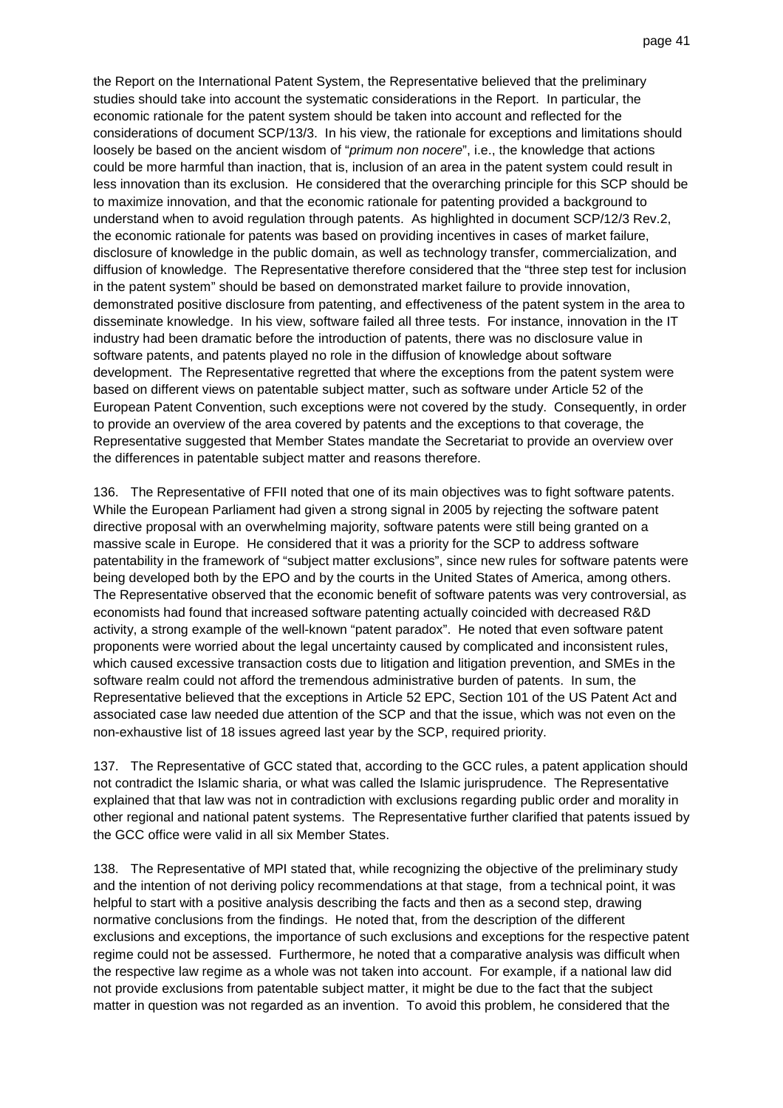the Report on the International Patent System, the Representative believed that the preliminary studies should take into account the systematic considerations in the Report. In particular, the economic rationale for the patent system should be taken into account and reflected for the considerations of document SCP/13/3. In his view, the rationale for exceptions and limitations should loosely be based on the ancient wisdom of "primum non nocere", i.e., the knowledge that actions could be more harmful than inaction, that is, inclusion of an area in the patent system could result in less innovation than its exclusion. He considered that the overarching principle for this SCP should be to maximize innovation, and that the economic rationale for patenting provided a background to understand when to avoid regulation through patents. As highlighted in document SCP/12/3 Rev.2, the economic rationale for patents was based on providing incentives in cases of market failure, disclosure of knowledge in the public domain, as well as technology transfer, commercialization, and diffusion of knowledge. The Representative therefore considered that the "three step test for inclusion in the patent system" should be based on demonstrated market failure to provide innovation, demonstrated positive disclosure from patenting, and effectiveness of the patent system in the area to disseminate knowledge. In his view, software failed all three tests. For instance, innovation in the IT industry had been dramatic before the introduction of patents, there was no disclosure value in software patents, and patents played no role in the diffusion of knowledge about software development. The Representative regretted that where the exceptions from the patent system were based on different views on patentable subject matter, such as software under Article 52 of the European Patent Convention, such exceptions were not covered by the study. Consequently, in order to provide an overview of the area covered by patents and the exceptions to that coverage, the Representative suggested that Member States mandate the Secretariat to provide an overview over the differences in patentable subject matter and reasons therefore.

136. The Representative of FFII noted that one of its main objectives was to fight software patents. While the European Parliament had given a strong signal in 2005 by rejecting the software patent directive proposal with an overwhelming majority, software patents were still being granted on a massive scale in Europe. He considered that it was a priority for the SCP to address software patentability in the framework of "subject matter exclusions", since new rules for software patents were being developed both by the EPO and by the courts in the United States of America, among others. The Representative observed that the economic benefit of software patents was very controversial, as economists had found that increased software patenting actually coincided with decreased R&D activity, a strong example of the well-known "patent paradox". He noted that even software patent proponents were worried about the legal uncertainty caused by complicated and inconsistent rules, which caused excessive transaction costs due to litigation and litigation prevention, and SMEs in the software realm could not afford the tremendous administrative burden of patents. In sum, the Representative believed that the exceptions in Article 52 EPC, Section 101 of the US Patent Act and associated case law needed due attention of the SCP and that the issue, which was not even on the non-exhaustive list of 18 issues agreed last year by the SCP, required priority.

137. The Representative of GCC stated that, according to the GCC rules, a patent application should not contradict the Islamic sharia, or what was called the Islamic jurisprudence. The Representative explained that that law was not in contradiction with exclusions regarding public order and morality in other regional and national patent systems. The Representative further clarified that patents issued by the GCC office were valid in all six Member States.

138. The Representative of MPI stated that, while recognizing the objective of the preliminary study and the intention of not deriving policy recommendations at that stage, from a technical point, it was helpful to start with a positive analysis describing the facts and then as a second step, drawing normative conclusions from the findings. He noted that, from the description of the different exclusions and exceptions, the importance of such exclusions and exceptions for the respective patent regime could not be assessed. Furthermore, he noted that a comparative analysis was difficult when the respective law regime as a whole was not taken into account. For example, if a national law did not provide exclusions from patentable subject matter, it might be due to the fact that the subject matter in question was not regarded as an invention. To avoid this problem, he considered that the